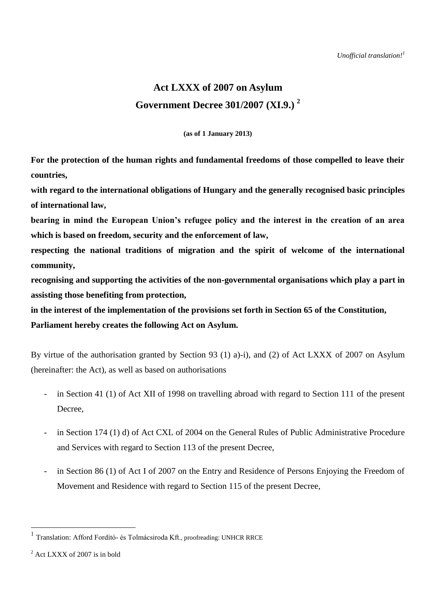# **Act LXXX of 2007 on Asylum Government Decree 301/2007 (XI.9.) 2**

**(as of 1 January 2013)**

**For the protection of the human rights and fundamental freedoms of those compelled to leave their countries,**

**with regard to the international obligations of Hungary and the generally recognised basic principles of international law,**

**bearing in mind the European Union's refugee policy and the interest in the creation of an area which is based on freedom, security and the enforcement of law,**

**respecting the national traditions of migration and the spirit of welcome of the international community,**

**recognising and supporting the activities of the non-governmental organisations which play a part in assisting those benefiting from protection,**

**in the interest of the implementation of the provisions set forth in Section 65 of the Constitution, Parliament hereby creates the following Act on Asylum.**

By virtue of the authorisation granted by Section 93 (1) a)-i), and (2) of Act LXXX of 2007 on Asylum (hereinafter: the Act), as well as based on authorisations

- in Section 41 (1) of Act XII of 1998 on travelling abroad with regard to Section 111 of the present Decree,
- in Section 174 (1) d) of Act CXL of 2004 on the General Rules of Public Administrative Procedure and Services with regard to Section 113 of the present Decree,
- in Section 86 (1) of Act I of 2007 on the Entry and Residence of Persons Enjoying the Freedom of Movement and Residence with regard to Section 115 of the present Decree,

 $\overline{a}$ 

<sup>&</sup>lt;sup>1</sup> Translation: Afford Fordító- és Tolmácsiroda Kft., proofreading: UNHCR RRCE

 $^{2}$  Act LXXX of 2007 is in bold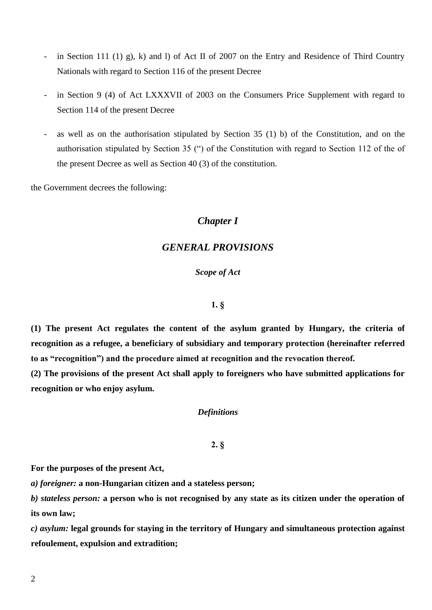- in Section 111 (1) g), k) and l) of Act II of 2007 on the Entry and Residence of Third Country Nationals with regard to Section 116 of the present Decree
- in Section 9 (4) of Act LXXXVII of 2003 on the Consumers Price Supplement with regard to Section 114 of the present Decree
- as well as on the authorisation stipulated by Section  $35 \text{ (1)}$  b) of the Constitution, and on the authorisation stipulated by Section 35 (") of the Constitution with regard to Section 112 of the of the present Decree as well as Section 40 (3) of the constitution.

the Government decrees the following:

# *Chapter I*

# *GENERAL PROVISIONS*

# *Scope of Act*

# **1. §**

**(1) The present Act regulates the content of the asylum granted by Hungary, the criteria of recognition as a refugee, a beneficiary of subsidiary and temporary protection (hereinafter referred to as "recognition") and the procedure aimed at recognition and the revocation thereof.**

**(2) The provisions of the present Act shall apply to foreigners who have submitted applications for recognition or who enjoy asylum.**

### *Definitions*

### **2. §**

**For the purposes of the present Act,**

*a) foreigner:* **a non-Hungarian citizen and a stateless person;**

*b) stateless person:* **a person who is not recognised by any state as its citizen under the operation of its own law;**

*c) asylum:* **legal grounds for staying in the territory of Hungary and simultaneous protection against refoulement, expulsion and extradition;**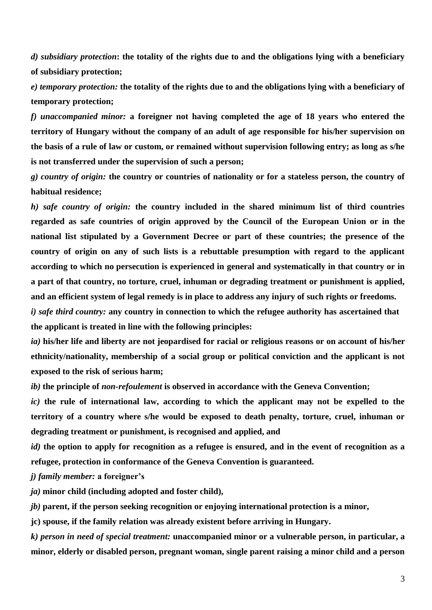*d) subsidiary protection***: the totality of the rights due to and the obligations lying with a beneficiary of subsidiary protection;**

*e) temporary protection:* **the totality of the rights due to and the obligations lying with a beneficiary of temporary protection;**

*f) unaccompanied minor:* **a foreigner not having completed the age of 18 years who entered the territory of Hungary without the company of an adult of age responsible for his/her supervision on the basis of a rule of law or custom, or remained without supervision following entry; as long as s/he is not transferred under the supervision of such a person;**

*g) country of origin:* **the country or countries of nationality or for a stateless person, the country of habitual residence;**

*h) safe country of origin:* **the country included in the shared minimum list of third countries regarded as safe countries of origin approved by the Council of the European Union or in the national list stipulated by a Government Decree or part of these countries; the presence of the country of origin on any of such lists is a rebuttable presumption with regard to the applicant according to which no persecution is experienced in general and systematically in that country or in a part of that country, no torture, cruel, inhuman or degrading treatment or punishment is applied, and an efficient system of legal remedy is in place to address any injury of such rights or freedoms.**

*i) safe third country:* **any country in connection to which the refugee authority has ascertained that the applicant is treated in line with the following principles:**

*ia)* **his/her life and liberty are not jeopardised for racial or religious reasons or on account of his/her ethnicity/nationality, membership of a social group or political conviction and the applicant is not exposed to the risk of serious harm;**

*ib)* **the principle of** *non-refoulement* **is observed in accordance with the Geneva Convention;**

*ic)* **the rule of international law, according to which the applicant may not be expelled to the territory of a country where s/he would be exposed to death penalty, torture, cruel, inhuman or degrading treatment or punishment, is recognised and applied, and**

*id)* **the option to apply for recognition as a refugee is ensured, and in the event of recognition as a refugee, protection in conformance of the Geneva Convention is guaranteed.**

*j) family member:* **a foreigner's**

*ja)* **minor child (including adopted and foster child),**

*jb)* **parent, if the person seeking recognition or enjoying international protection is a minor,**

**jc) spouse, if the family relation was already existent before arriving in Hungary.**

*k) person in need of special treatment:* **unaccompanied minor or a vulnerable person, in particular, a minor, elderly or disabled person, pregnant woman, single parent raising a minor child and a person**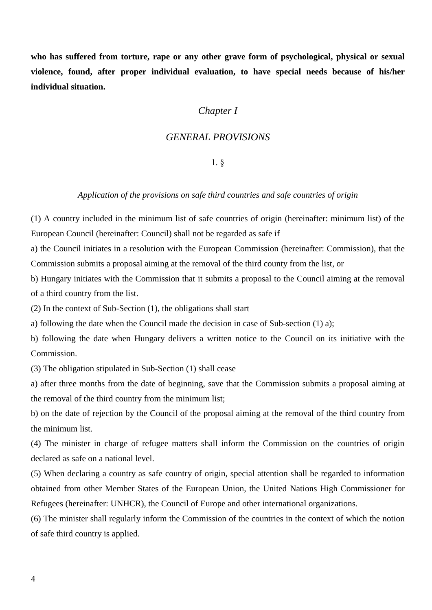**who has suffered from torture, rape or any other grave form of psychological, physical or sexual violence, found, after proper individual evaluation, to have special needs because of his/her individual situation.**

# *Chapter I*

# *GENERAL PROVISIONS*

# 1. §

## *Application of the provisions on safe third countries and safe countries of origin*

(1) A country included in the minimum list of safe countries of origin (hereinafter: minimum list) of the European Council (hereinafter: Council) shall not be regarded as safe if

a) the Council initiates in a resolution with the European Commission (hereinafter: Commission), that the Commission submits a proposal aiming at the removal of the third county from the list, or

b) Hungary initiates with the Commission that it submits a proposal to the Council aiming at the removal of a third country from the list.

(2) In the context of Sub-Section (1), the obligations shall start

a) following the date when the Council made the decision in case of Sub-section (1) a);

b) following the date when Hungary delivers a written notice to the Council on its initiative with the Commission.

(3) The obligation stipulated in Sub-Section (1) shall cease

a) after three months from the date of beginning, save that the Commission submits a proposal aiming at the removal of the third country from the minimum list;

b) on the date of rejection by the Council of the proposal aiming at the removal of the third country from the minimum list.

(4) The minister in charge of refugee matters shall inform the Commission on the countries of origin declared as safe on a national level.

(5) When declaring a country as safe country of origin, special attention shall be regarded to information obtained from other Member States of the European Union, the United Nations High Commissioner for Refugees (hereinafter: UNHCR), the Council of Europe and other international organizations.

(6) The minister shall regularly inform the Commission of the countries in the context of which the notion of safe third country is applied.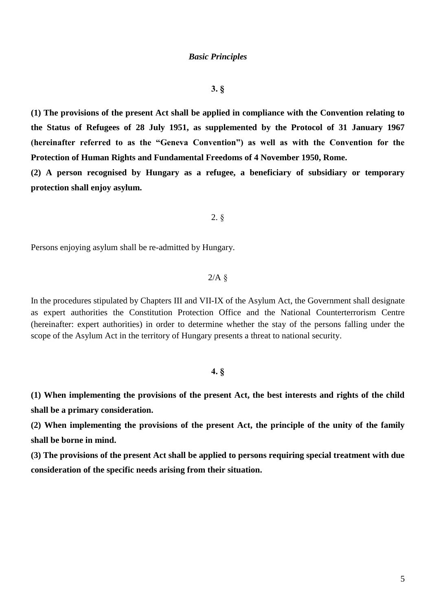### *Basic Principles*

# **3. §**

**(1) The provisions of the present Act shall be applied in compliance with the Convention relating to the Status of Refugees of 28 July 1951, as supplemented by the Protocol of 31 January 1967 (hereinafter referred to as the "Geneva Convention") as well as with the Convention for the Protection of Human Rights and Fundamental Freedoms of 4 November 1950, Rome.**

**(2) A person recognised by Hungary as a refugee, a beneficiary of subsidiary or temporary protection shall enjoy asylum.**

### 2. §

Persons enjoying asylum shall be re-admitted by Hungary.

# $2/A$  §

In the procedures stipulated by Chapters III and VII-IX of the Asylum Act, the Government shall designate as expert authorities the Constitution Protection Office and the National Counterterrorism Centre (hereinafter: expert authorities) in order to determine whether the stay of the persons falling under the scope of the Asylum Act in the territory of Hungary presents a threat to national security.

# **4. §**

**(1) When implementing the provisions of the present Act, the best interests and rights of the child shall be a primary consideration.**

**(2) When implementing the provisions of the present Act, the principle of the unity of the family shall be borne in mind.**

**(3) The provisions of the present Act shall be applied to persons requiring special treatment with due consideration of the specific needs arising from their situation.**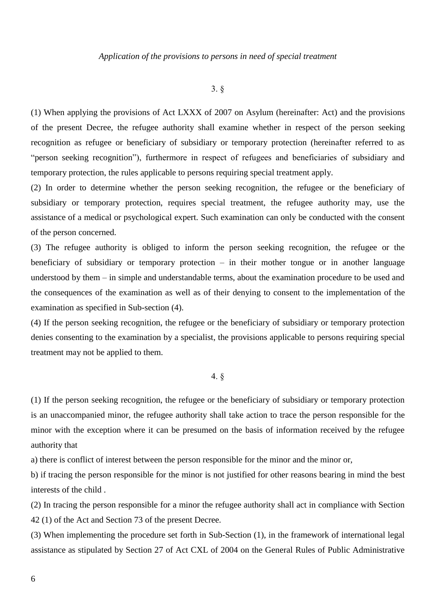### *Application of the provisions to persons in need of special treatment*

# 3. §

(1) When applying the provisions of Act LXXX of 2007 on Asylum (hereinafter: Act) and the provisions of the present Decree, the refugee authority shall examine whether in respect of the person seeking recognition as refugee or beneficiary of subsidiary or temporary protection (hereinafter referred to as "person seeking recognition"), furthermore in respect of refugees and beneficiaries of subsidiary and temporary protection, the rules applicable to persons requiring special treatment apply.

(2) In order to determine whether the person seeking recognition, the refugee or the beneficiary of subsidiary or temporary protection, requires special treatment, the refugee authority may, use the assistance of a medical or psychological expert. Such examination can only be conducted with the consent of the person concerned.

(3) The refugee authority is obliged to inform the person seeking recognition, the refugee or the beneficiary of subsidiary or temporary protection – in their mother tongue or in another language understood by them – in simple and understandable terms, about the examination procedure to be used and the consequences of the examination as well as of their denying to consent to the implementation of the examination as specified in Sub-section (4).

(4) If the person seeking recognition, the refugee or the beneficiary of subsidiary or temporary protection denies consenting to the examination by a specialist, the provisions applicable to persons requiring special treatment may not be applied to them.

## 4. §

(1) If the person seeking recognition, the refugee or the beneficiary of subsidiary or temporary protection is an unaccompanied minor, the refugee authority shall take action to trace the person responsible for the minor with the exception where it can be presumed on the basis of information received by the refugee authority that

a) there is conflict of interest between the person responsible for the minor and the minor or,

b) if tracing the person responsible for the minor is not justified for other reasons bearing in mind the best interests of the child .

(2) In tracing the person responsible for a minor the refugee authority shall act in compliance with Section 42 (1) of the Act and Section 73 of the present Decree.

(3) When implementing the procedure set forth in Sub-Section (1), in the framework of international legal assistance as stipulated by Section 27 of Act CXL of 2004 on the General Rules of Public Administrative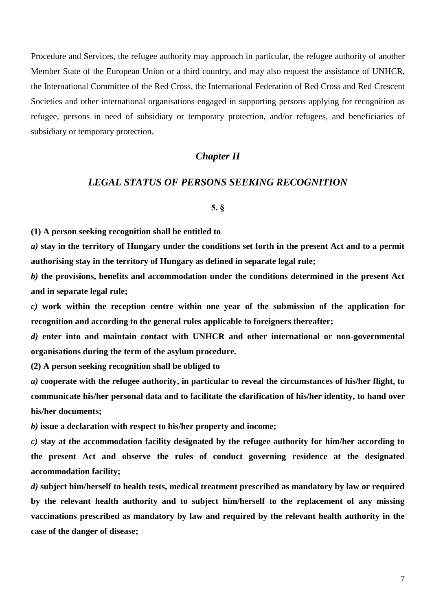Procedure and Services, the refugee authority may approach in particular, the refugee authority of another Member State of the European Union or a third country, and may also request the assistance of UNHCR, the International Committee of the Red Cross, the International Federation of Red Cross and Red Crescent Societies and other international organisations engaged in supporting persons applying for recognition as refugee, persons in need of subsidiary or temporary protection, and/or refugees, and beneficiaries of subsidiary or temporary protection.

# *Chapter II*

# *LEGAL STATUS OF PERSONS SEEKING RECOGNITION*

#### **5. §**

**(1) A person seeking recognition shall be entitled to**

*a)* **stay in the territory of Hungary under the conditions set forth in the present Act and to a permit authorising stay in the territory of Hungary as defined in separate legal rule;**

*b)* **the provisions, benefits and accommodation under the conditions determined in the present Act and in separate legal rule;**

*c)* **work within the reception centre within one year of the submission of the application for recognition and according to the general rules applicable to foreigners thereafter;**

*d)* **enter into and maintain contact with UNHCR and other international or non-governmental organisations during the term of the asylum procedure.**

**(2) A person seeking recognition shall be obliged to**

*a)* **cooperate with the refugee authority, in particular to reveal the circumstances of his/her flight, to communicate his/her personal data and to facilitate the clarification of his/her identity, to hand over his/her documents;**

*b)* **issue a declaration with respect to his/her property and income;**

*c)* **stay at the accommodation facility designated by the refugee authority for him/her according to the present Act and observe the rules of conduct governing residence at the designated accommodation facility;**

*d)* **subject him/herself to health tests, medical treatment prescribed as mandatory by law or required by the relevant health authority and to subject him/herself to the replacement of any missing vaccinations prescribed as mandatory by law and required by the relevant health authority in the case of the danger of disease;**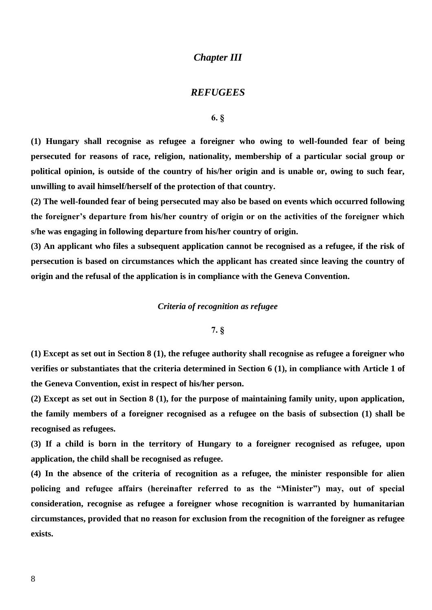# *Chapter III*

# *REFUGEES*

# **6. §**

**(1) Hungary shall recognise as refugee a foreigner who owing to well-founded fear of being persecuted for reasons of race, religion, nationality, membership of a particular social group or political opinion, is outside of the country of his/her origin and is unable or, owing to such fear, unwilling to avail himself/herself of the protection of that country.**

**(2) The well-founded fear of being persecuted may also be based on events which occurred following the foreigner's departure from his/her country of origin or on the activities of the foreigner which s/he was engaging in following departure from his/her country of origin.**

**(3) An applicant who files a subsequent application cannot be recognised as a refugee, if the risk of persecution is based on circumstances which the applicant has created since leaving the country of origin and the refusal of the application is in compliance with the Geneva Convention.**

### *Criteria of recognition as refugee*

# **7. §**

**(1) Except as set out in Section 8 (1), the refugee authority shall recognise as refugee a foreigner who verifies or substantiates that the criteria determined in Section 6 (1), in compliance with Article 1 of the Geneva Convention, exist in respect of his/her person.**

**(2) Except as set out in Section 8 (1), for the purpose of maintaining family unity, upon application, the family members of a foreigner recognised as a refugee on the basis of subsection (1) shall be recognised as refugees.**

**(3) If a child is born in the territory of Hungary to a foreigner recognised as refugee, upon application, the child shall be recognised as refugee.**

**(4) In the absence of the criteria of recognition as a refugee, the minister responsible for alien policing and refugee affairs (hereinafter referred to as the "Minister") may, out of special consideration, recognise as refugee a foreigner whose recognition is warranted by humanitarian circumstances, provided that no reason for exclusion from the recognition of the foreigner as refugee exists.**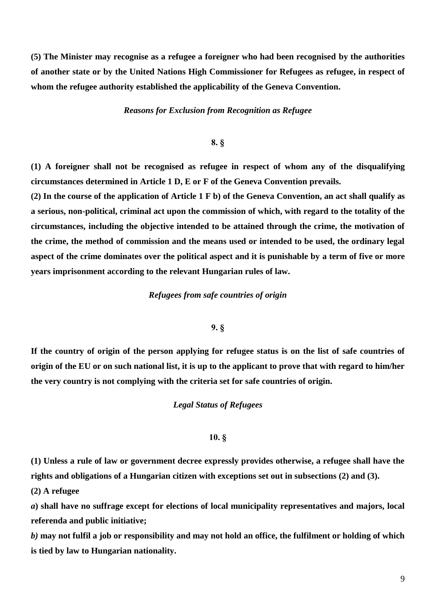**(5) The Minister may recognise as a refugee a foreigner who had been recognised by the authorities of another state or by the United Nations High Commissioner for Refugees as refugee, in respect of whom the refugee authority established the applicability of the Geneva Convention.**

*Reasons for Exclusion from Recognition as Refugee*

# **8. §**

**(1) A foreigner shall not be recognised as refugee in respect of whom any of the disqualifying circumstances determined in Article 1 D, E or F of the Geneva Convention prevails.**

**(2) In the course of the application of Article 1 F b) of the Geneva Convention, an act shall qualify as a serious, non-political, criminal act upon the commission of which, with regard to the totality of the circumstances, including the objective intended to be attained through the crime, the motivation of the crime, the method of commission and the means used or intended to be used, the ordinary legal aspect of the crime dominates over the political aspect and it is punishable by a term of five or more years imprisonment according to the relevant Hungarian rules of law.**

### *Refugees from safe countries of origin*

#### **9. §**

**If the country of origin of the person applying for refugee status is on the list of safe countries of origin of the EU or on such national list, it is up to the applicant to prove that with regard to him/her the very country is not complying with the criteria set for safe countries of origin.**

### *Legal Status of Refugees*

## **10. §**

**(1) Unless a rule of law or government decree expressly provides otherwise, a refugee shall have the rights and obligations of a Hungarian citizen with exceptions set out in subsections (2) and (3).**

**(2) A refugee**

*a***) shall have no suffrage except for elections of local municipality representatives and majors, local referenda and public initiative;**

*b)* **may not fulfil a job or responsibility and may not hold an office, the fulfilment or holding of which is tied by law to Hungarian nationality.**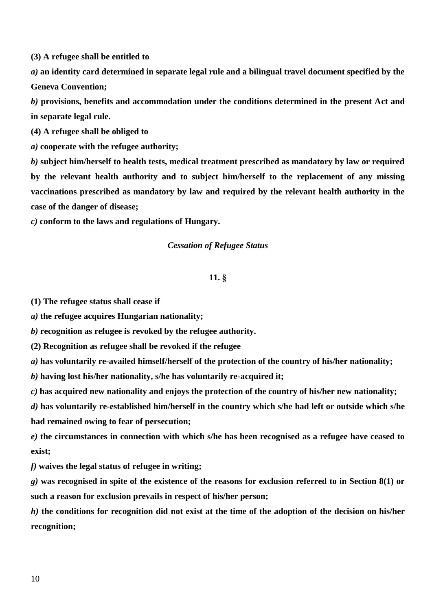**(3) A refugee shall be entitled to**

*a)* **an identity card determined in separate legal rule and a bilingual travel document specified by the Geneva Convention;**

*b)* **provisions, benefits and accommodation under the conditions determined in the present Act and in separate legal rule.**

**(4) A refugee shall be obliged to**

*a)* **cooperate with the refugee authority;**

*b)* **subject him/herself to health tests, medical treatment prescribed as mandatory by law or required by the relevant health authority and to subject him/herself to the replacement of any missing vaccinations prescribed as mandatory by law and required by the relevant health authority in the case of the danger of disease;**

*c)* **conform to the laws and regulations of Hungary.**

## *Cessation of Refugee Status*

# **11. §**

**(1) The refugee status shall cease if**

*a)* **the refugee acquires Hungarian nationality;**

*b)* **recognition as refugee is revoked by the refugee authority.**

**(2) Recognition as refugee shall be revoked if the refugee**

*a)* **has voluntarily re-availed himself/herself of the protection of the country of his/her nationality;**

*b)* **having lost his/her nationality, s/he has voluntarily re-acquired it;**

*c)* **has acquired new nationality and enjoys the protection of the country of his/her new nationality;**

*d)* **has voluntarily re-established him/herself in the country which s/he had left or outside which s/he had remained owing to fear of persecution;**

*e)* **the circumstances in connection with which s/he has been recognised as a refugee have ceased to exist;**

*f)* **waives the legal status of refugee in writing;**

*g)* **was recognised in spite of the existence of the reasons for exclusion referred to in Section 8(1) or such a reason for exclusion prevails in respect of his/her person;**

*h)* **the conditions for recognition did not exist at the time of the adoption of the decision on his/her recognition;**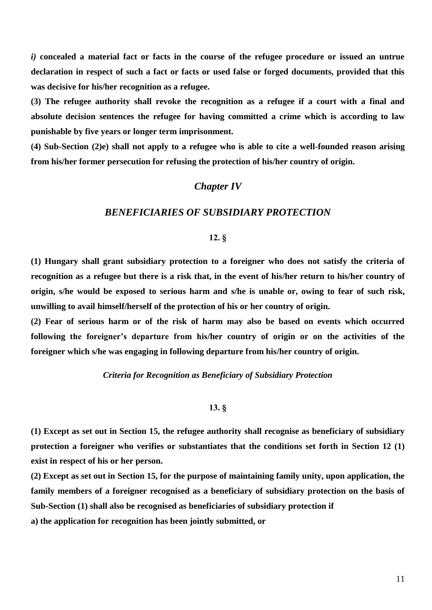*i)* **concealed a material fact or facts in the course of the refugee procedure or issued an untrue declaration in respect of such a fact or facts or used false or forged documents, provided that this was decisive for his/her recognition as a refugee.**

**(3) The refugee authority shall revoke the recognition as a refugee if a court with a final and absolute decision sentences the refugee for having committed a crime which is according to law punishable by five years or longer term imprisonment.**

**(4) Sub-Section (2)e) shall not apply to a refugee who is able to cite a well-founded reason arising from his/her former persecution for refusing the protection of his/her country of origin.**

# *Chapter IV*

# *BENEFICIARIES OF SUBSIDIARY PROTECTION*

# **12. §**

**(1) Hungary shall grant subsidiary protection to a foreigner who does not satisfy the criteria of recognition as a refugee but there is a risk that, in the event of his/her return to his/her country of origin, s/he would be exposed to serious harm and s/he is unable or, owing to fear of such risk, unwilling to avail himself/herself of the protection of his or her country of origin.**

**(2) Fear of serious harm or of the risk of harm may also be based on events which occurred following the foreigner's departure from his/her country of origin or on the activities of the foreigner which s/he was engaging in following departure from his/her country of origin.**

#### *Criteria for Recognition as Beneficiary of Subsidiary Protection*

# **13. §**

**(1) Except as set out in Section 15, the refugee authority shall recognise as beneficiary of subsidiary protection a foreigner who verifies or substantiates that the conditions set forth in Section 12 (1) exist in respect of his or her person.**

**(2) Except as set out in Section 15, for the purpose of maintaining family unity, upon application, the family members of a foreigner recognised as a beneficiary of subsidiary protection on the basis of Sub-Section (1) shall also be recognised as beneficiaries of subsidiary protection if**

**a) the application for recognition has been jointly submitted, or**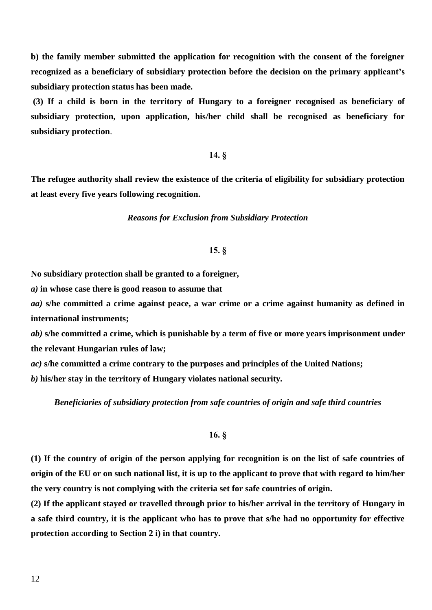**b) the family member submitted the application for recognition with the consent of the foreigner recognized as a beneficiary of subsidiary protection before the decision on the primary applicant's subsidiary protection status has been made.** 

**(3) If a child is born in the territory of Hungary to a foreigner recognised as beneficiary of subsidiary protection, upon application, his/her child shall be recognised as beneficiary for subsidiary protection**.

# **14. §**

**The refugee authority shall review the existence of the criteria of eligibility for subsidiary protection at least every five years following recognition.**

### *Reasons for Exclusion from Subsidiary Protection*

# **15. §**

**No subsidiary protection shall be granted to a foreigner,**

*a)* **in whose case there is good reason to assume that**

*aa)* **s/he committed a crime against peace, a war crime or a crime against humanity as defined in international instruments;**

*ab)* **s/he committed a crime, which is punishable by a term of five or more years imprisonment under the relevant Hungarian rules of law;**

*ac)* **s/he committed a crime contrary to the purposes and principles of the United Nations;**

*b)* **his/her stay in the territory of Hungary violates national security***.*

*Beneficiaries of subsidiary protection from safe countries of origin and safe third countries*

# **16. §**

**(1) If the country of origin of the person applying for recognition is on the list of safe countries of origin of the EU or on such national list, it is up to the applicant to prove that with regard to him/her the very country is not complying with the criteria set for safe countries of origin.**

**(2) If the applicant stayed or travelled through prior to his/her arrival in the territory of Hungary in a safe third country, it is the applicant who has to prove that s/he had no opportunity for effective protection according to Section 2 i) in that country.**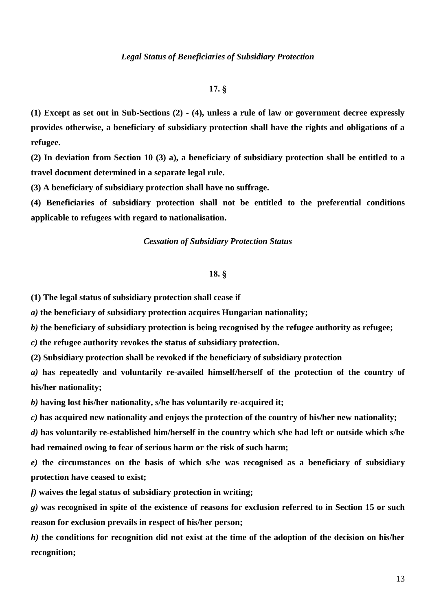# **17. §**

**(1) Except as set out in Sub-Sections (2) - (4), unless a rule of law or government decree expressly provides otherwise, a beneficiary of subsidiary protection shall have the rights and obligations of a refugee.**

**(2) In deviation from Section 10 (3) a), a beneficiary of subsidiary protection shall be entitled to a travel document determined in a separate legal rule.**

**(3) A beneficiary of subsidiary protection shall have no suffrage.**

**(4) Beneficiaries of subsidiary protection shall not be entitled to the preferential conditions applicable to refugees with regard to nationalisation.**

### *Cessation of Subsidiary Protection Status*

### **18. §**

**(1) The legal status of subsidiary protection shall cease if**

*a)* **the beneficiary of subsidiary protection acquires Hungarian nationality;**

*b)* **the beneficiary of subsidiary protection is being recognised by the refugee authority as refugee;**

*c)* **the refugee authority revokes the status of subsidiary protection.**

**(2) Subsidiary protection shall be revoked if the beneficiary of subsidiary protection**

*a)* **has repeatedly and voluntarily re-availed himself/herself of the protection of the country of his/her nationality;** 

*b)* **having lost his/her nationality, s/he has voluntarily re-acquired it;**

*c)* **has acquired new nationality and enjoys the protection of the country of his/her new nationality;**

*d)* **has voluntarily re-established him/herself in the country which s/he had left or outside which s/he had remained owing to fear of serious harm or the risk of such harm;** 

*e)* **the circumstances on the basis of which s/he was recognised as a beneficiary of subsidiary protection have ceased to exist;**

*f)* **waives the legal status of subsidiary protection in writing;**

*g)* **was recognised in spite of the existence of reasons for exclusion referred to in Section 15 or such reason for exclusion prevails in respect of his/her person;**

*h)* **the conditions for recognition did not exist at the time of the adoption of the decision on his/her recognition;**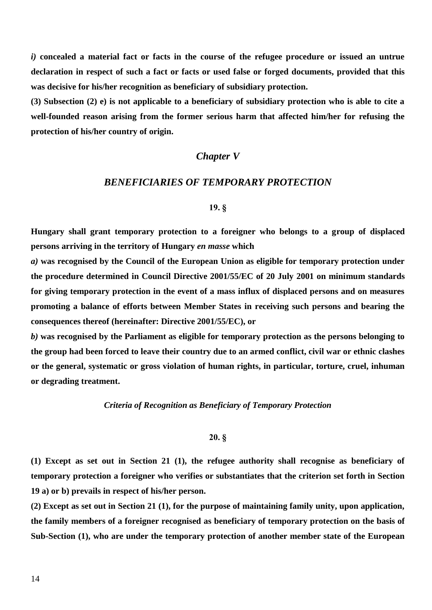*i)* **concealed a material fact or facts in the course of the refugee procedure or issued an untrue declaration in respect of such a fact or facts or used false or forged documents, provided that this was decisive for his/her recognition as beneficiary of subsidiary protection.**

**(3) Subsection (2) e) is not applicable to a beneficiary of subsidiary protection who is able to cite a well-founded reason arising from the former serious harm that affected him/her for refusing the protection of his/her country of origin.**

# *Chapter V*

# *BENEFICIARIES OF TEMPORARY PROTECTION*

### **19. §**

**Hungary shall grant temporary protection to a foreigner who belongs to a group of displaced persons arriving in the territory of Hungary** *en masse* **which**

*a)* **was recognised by the Council of the European Union as eligible for temporary protection under the procedure determined in Council Directive 2001/55/EC of 20 July 2001 on minimum standards for giving temporary protection in the event of a mass influx of displaced persons and on measures promoting a balance of efforts between Member States in receiving such persons and bearing the consequences thereof (hereinafter: Directive 2001/55/EC), or**

*b)* **was recognised by the Parliament as eligible for temporary protection as the persons belonging to the group had been forced to leave their country due to an armed conflict, civil war or ethnic clashes or the general, systematic or gross violation of human rights, in particular, torture, cruel, inhuman or degrading treatment.**

### *Criteria of Recognition as Beneficiary of Temporary Protection*

# **20. §**

**(1) Except as set out in Section 21 (1), the refugee authority shall recognise as beneficiary of temporary protection a foreigner who verifies or substantiates that the criterion set forth in Section 19 a) or b) prevails in respect of his/her person.**

**(2) Except as set out in Section 21 (1), for the purpose of maintaining family unity, upon application, the family members of a foreigner recognised as beneficiary of temporary protection on the basis of Sub-Section (1), who are under the temporary protection of another member state of the European**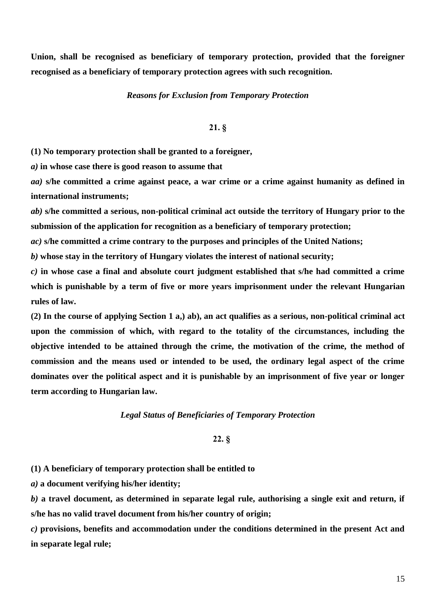**Union, shall be recognised as beneficiary of temporary protection, provided that the foreigner recognised as a beneficiary of temporary protection agrees with such recognition.**

### *Reasons for Exclusion from Temporary Protection*

# **21. §**

**(1) No temporary protection shall be granted to a foreigner,**

*a)* **in whose case there is good reason to assume that**

*aa)* **s/he committed a crime against peace, a war crime or a crime against humanity as defined in international instruments;**

*ab)* **s/he committed a serious, non-political criminal act outside the territory of Hungary prior to the submission of the application for recognition as a beneficiary of temporary protection;**

*ac)* **s/he committed a crime contrary to the purposes and principles of the United Nations;**

*b)* **whose stay in the territory of Hungary violates the interest of national security;**

*c)* **in whose case a final and absolute court judgment established that s/he had committed a crime which is punishable by a term of five or more years imprisonment under the relevant Hungarian rules of law.**

**(2) In the course of applying Section 1 a,) ab), an act qualifies as a serious, non-political criminal act upon the commission of which, with regard to the totality of the circumstances, including the objective intended to be attained through the crime, the motivation of the crime, the method of commission and the means used or intended to be used, the ordinary legal aspect of the crime dominates over the political aspect and it is punishable by an imprisonment of five year or longer term according to Hungarian law.**

### *Legal Status of Beneficiaries of Temporary Protection*

# **22. §**

**(1) A beneficiary of temporary protection shall be entitled to**

*a)* **a document verifying his/her identity;**

*b)* **a travel document, as determined in separate legal rule, authorising a single exit and return, if s/he has no valid travel document from his/her country of origin;**

*c)* **provisions, benefits and accommodation under the conditions determined in the present Act and in separate legal rule;**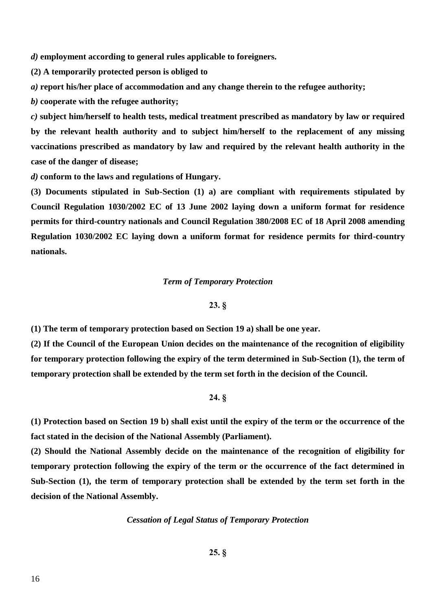*d)* **employment according to general rules applicable to foreigners.**

**(2) A temporarily protected person is obliged to**

*a)* **report his/her place of accommodation and any change therein to the refugee authority;**

*b)* **cooperate with the refugee authority;**

*c)* **subject him/herself to health tests, medical treatment prescribed as mandatory by law or required by the relevant health authority and to subject him/herself to the replacement of any missing vaccinations prescribed as mandatory by law and required by the relevant health authority in the case of the danger of disease;**

*d)* **conform to the laws and regulations of Hungary.**

**(3) Documents stipulated in Sub-Section (1) a) are compliant with requirements stipulated by Council Regulation 1030/2002 EC of 13 June 2002 laying down a uniform format for residence permits for third-country nationals and Council Regulation 380/2008 EC of 18 April 2008 amending Regulation 1030/2002 EC laying down a uniform format for residence permits for third-country nationals.**

### *Term of Temporary Protection*

# **23. §**

**(1) The term of temporary protection based on Section 19 a) shall be one year.**

**(2) If the Council of the European Union decides on the maintenance of the recognition of eligibility for temporary protection following the expiry of the term determined in Sub-Section (1), the term of temporary protection shall be extended by the term set forth in the decision of the Council.**

# **24. §**

**(1) Protection based on Section 19 b) shall exist until the expiry of the term or the occurrence of the fact stated in the decision of the National Assembly (Parliament).**

**(2) Should the National Assembly decide on the maintenance of the recognition of eligibility for temporary protection following the expiry of the term or the occurrence of the fact determined in Sub-Section (1), the term of temporary protection shall be extended by the term set forth in the decision of the National Assembly.**

## *Cessation of Legal Status of Temporary Protection*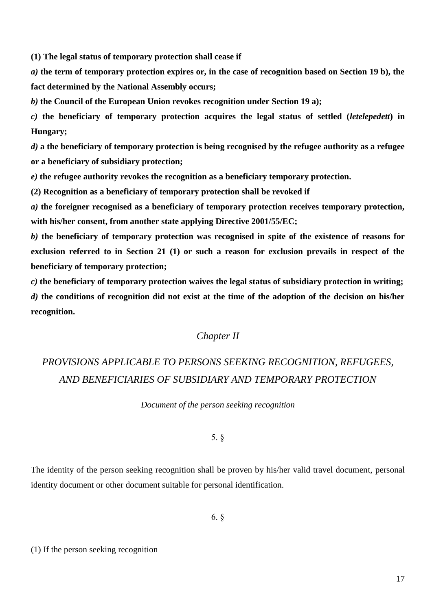**(1) The legal status of temporary protection shall cease if**

*a)* **the term of temporary protection expires or, in the case of recognition based on Section 19 b), the fact determined by the National Assembly occurs;**

*b)* **the Council of the European Union revokes recognition under Section 19 a);**

*c)* **the beneficiary of temporary protection acquires the legal status of settled (***letelepedett***) in Hungary;**

*d)* **a the beneficiary of temporary protection is being recognised by the refugee authority as a refugee or a beneficiary of subsidiary protection;**

*e)* **the refugee authority revokes the recognition as a beneficiary temporary protection.**

**(2) Recognition as a beneficiary of temporary protection shall be revoked if**

*a)* **the foreigner recognised as a beneficiary of temporary protection receives temporary protection, with his/her consent, from another state applying Directive 2001/55/EC;**

*b)* **the beneficiary of temporary protection was recognised in spite of the existence of reasons for exclusion referred to in Section 21 (1) or such a reason for exclusion prevails in respect of the beneficiary of temporary protection;**

*c)* **the beneficiary of temporary protection waives the legal status of subsidiary protection in writing;** *d)* **the conditions of recognition did not exist at the time of the adoption of the decision on his/her recognition.**

# *Chapter II*

# *PROVISIONS APPLICABLE TO PERSONS SEEKING RECOGNITION, REFUGEES, AND BENEFICIARIES OF SUBSIDIARY AND TEMPORARY PROTECTION*

*Document of the person seeking recognition*

# 5. §

The identity of the person seeking recognition shall be proven by his/her valid travel document, personal identity document or other document suitable for personal identification.

6. §

(1) If the person seeking recognition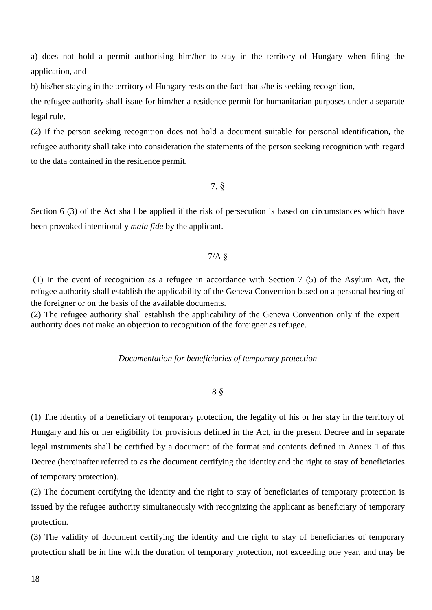a) does not hold a permit authorising him/her to stay in the territory of Hungary when filing the application, and

b) his/her staying in the territory of Hungary rests on the fact that s/he is seeking recognition,

the refugee authority shall issue for him/her a residence permit for humanitarian purposes under a separate legal rule.

(2) If the person seeking recognition does not hold a document suitable for personal identification, the refugee authority shall take into consideration the statements of the person seeking recognition with regard to the data contained in the residence permit.

7. §

Section 6 (3) of the Act shall be applied if the risk of persecution is based on circumstances which have been provoked intentionally *mala fide* by the applicant.

# 7/A §

(1) In the event of recognition as a refugee in accordance with Section 7 (5) of the Asylum Act, the refugee authority shall establish the applicability of the Geneva Convention based on a personal hearing of the foreigner or on the basis of the available documents.

(2) The refugee authority shall establish the applicability of the Geneva Convention only if the expert authority does not make an objection to recognition of the foreigner as refugee.

# *Documentation for beneficiaries of temporary protection*

8 §

(1) The identity of a beneficiary of temporary protection, the legality of his or her stay in the territory of Hungary and his or her eligibility for provisions defined in the Act, in the present Decree and in separate legal instruments shall be certified by a document of the format and contents defined in Annex 1 of this Decree (hereinafter referred to as the document certifying the identity and the right to stay of beneficiaries of temporary protection).

(2) The document certifying the identity and the right to stay of beneficiaries of temporary protection is issued by the refugee authority simultaneously with recognizing the applicant as beneficiary of temporary protection.

(3) The validity of document certifying the identity and the right to stay of beneficiaries of temporary protection shall be in line with the duration of temporary protection, not exceeding one year, and may be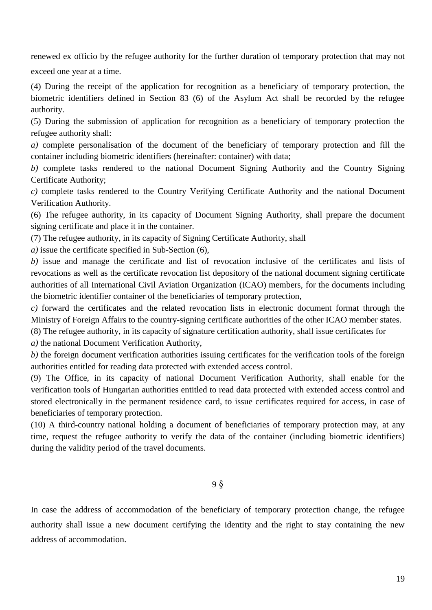renewed ex officio by the refugee authority for the further duration of temporary protection that may not

exceed one year at a time.

(4) During the receipt of the application for recognition as a beneficiary of temporary protection, the biometric identifiers defined in Section 83 (6) of the Asylum Act shall be recorded by the refugee authority.

(5) During the submission of application for recognition as a beneficiary of temporary protection the refugee authority shall:

*a)* complete personalisation of the document of the beneficiary of temporary protection and fill the container including biometric identifiers (hereinafter: container) with data;

*b)* complete tasks rendered to the national Document Signing Authority and the Country Signing Certificate Authority;

*c)* complete tasks rendered to the Country Verifying Certificate Authority and the national Document Verification Authority.

(6) The refugee authority, in its capacity of Document Signing Authority, shall prepare the document signing certificate and place it in the container.

(7) The refugee authority, in its capacity of Signing Certificate Authority, shall

*a)* issue the certificate specified in Sub-Section (6),

*b)* issue and manage the certificate and list of revocation inclusive of the certificates and lists of revocations as well as the certificate revocation list depository of the national document signing certificate authorities of all International Civil Aviation Organization (ICAO) members, for the documents including the biometric identifier container of the beneficiaries of temporary protection,

*c)* forward the certificates and the related revocation lists in electronic document format through the Ministry of Foreign Affairs to the country-signing certificate authorities of the other ICAO member states.

(8) The refugee authority, in its capacity of signature certification authority, shall issue certificates for

*a)* the national Document Verification Authority,

*b*) the foreign document verification authorities issuing certificates for the verification tools of the foreign authorities entitled for reading data protected with extended access control.

(9) The Office, in its capacity of national Document Verification Authority, shall enable for the verification tools of Hungarian authorities entitled to read data protected with extended access control and stored electronically in the permanent residence card, to issue certificates required for access, in case of beneficiaries of temporary protection.

(10) A third-country national holding a document of beneficiaries of temporary protection may, at any time, request the refugee authority to verify the data of the container (including biometric identifiers) during the validity period of the travel documents.

9 §

In case the address of accommodation of the beneficiary of temporary protection change, the refugee authority shall issue a new document certifying the identity and the right to stay containing the new address of accommodation.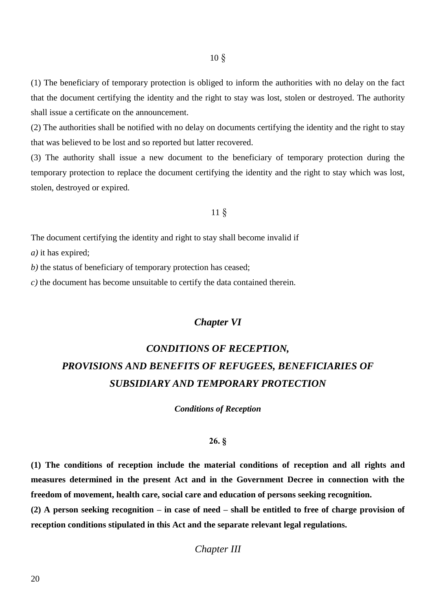(1) The beneficiary of temporary protection is obliged to inform the authorities with no delay on the fact that the document certifying the identity and the right to stay was lost, stolen or destroyed. The authority shall issue a certificate on the announcement.

(2) The authorities shall be notified with no delay on documents certifying the identity and the right to stay that was believed to be lost and so reported but latter recovered.

(3) The authority shall issue a new document to the beneficiary of temporary protection during the temporary protection to replace the document certifying the identity and the right to stay which was lost, stolen, destroyed or expired.

# 11 §

The document certifying the identity and right to stay shall become invalid if

*a)* it has expired;

*b)* the status of beneficiary of temporary protection has ceased;

*c)* the document has become unsuitable to certify the data contained therein.

# *Chapter VI*

# *CONDITIONS OF RECEPTION, PROVISIONS AND BENEFITS OF REFUGEES, BENEFICIARIES OF SUBSIDIARY AND TEMPORARY PROTECTION*

*Conditions of Reception*

# **26. §**

**(1) The conditions of reception include the material conditions of reception and all rights and measures determined in the present Act and in the Government Decree in connection with the freedom of movement, health care, social care and education of persons seeking recognition.**

**(2) A person seeking recognition – in case of need – shall be entitled to free of charge provision of reception conditions stipulated in this Act and the separate relevant legal regulations.**

*Chapter III*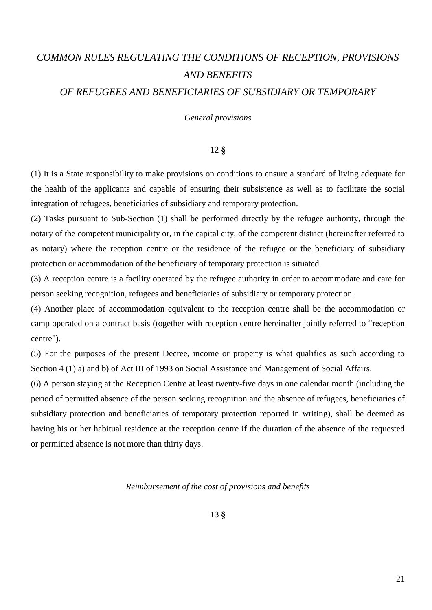# *COMMON RULES REGULATING THE CONDITIONS OF RECEPTION, PROVISIONS AND BENEFITS OF REFUGEES AND BENEFICIARIES OF SUBSIDIARY OR TEMPORARY*

### *General provisions*

### 12 **§**

(1) It is a State responsibility to make provisions on conditions to ensure a standard of living adequate for the health of the applicants and capable of ensuring their subsistence as well as to facilitate the social integration of refugees, beneficiaries of subsidiary and temporary protection.

(2) Tasks pursuant to Sub-Section (1) shall be performed directly by the refugee authority, through the notary of the competent municipality or, in the capital city, of the competent district (hereinafter referred to as notary) where the reception centre or the residence of the refugee or the beneficiary of subsidiary protection or accommodation of the beneficiary of temporary protection is situated.

(3) A reception centre is a facility operated by the refugee authority in order to accommodate and care for person seeking recognition, refugees and beneficiaries of subsidiary or temporary protection.

(4) Another place of accommodation equivalent to the reception centre shall be the accommodation or camp operated on a contract basis (together with reception centre hereinafter jointly referred to "reception centre").

(5) For the purposes of the present Decree, income or property is what qualifies as such according to Section 4 (1) a) and b) of Act III of 1993 on Social Assistance and Management of Social Affairs.

(6) A person staying at the Reception Centre at least twenty-five days in one calendar month (including the period of permitted absence of the person seeking recognition and the absence of refugees, beneficiaries of subsidiary protection and beneficiaries of temporary protection reported in writing), shall be deemed as having his or her habitual residence at the reception centre if the duration of the absence of the requested or permitted absence is not more than thirty days.

## *Reimbursement of the cost of provisions and benefits*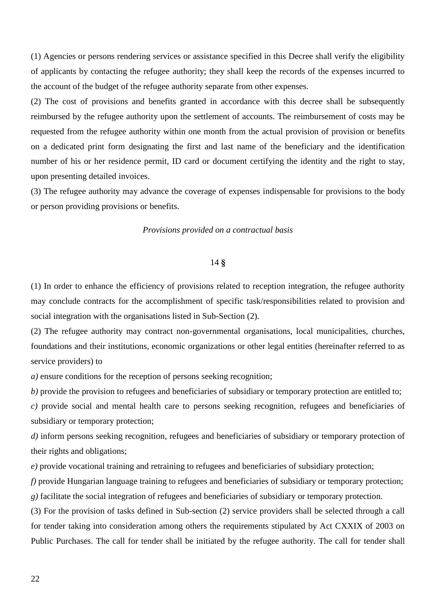(1) Agencies or persons rendering services or assistance specified in this Decree shall verify the eligibility of applicants by contacting the refugee authority; they shall keep the records of the expenses incurred to the account of the budget of the refugee authority separate from other expenses.

(2) The cost of provisions and benefits granted in accordance with this decree shall be subsequently reimbursed by the refugee authority upon the settlement of accounts. The reimbursement of costs may be requested from the refugee authority within one month from the actual provision of provision or benefits on a dedicated print form designating the first and last name of the beneficiary and the identification number of his or her residence permit, ID card or document certifying the identity and the right to stay, upon presenting detailed invoices.

(3) The refugee authority may advance the coverage of expenses indispensable for provisions to the body or person providing provisions or benefits.

### *Provisions provided on a contractual basis*

### 14 **§**

(1) In order to enhance the efficiency of provisions related to reception integration, the refugee authority may conclude contracts for the accomplishment of specific task/responsibilities related to provision and social integration with the organisations listed in Sub-Section (2).

(2) The refugee authority may contract non-governmental organisations, local municipalities, churches, foundations and their institutions, economic organizations or other legal entities (hereinafter referred to as service providers) to

*a)* ensure conditions for the reception of persons seeking recognition;

*b)* provide the provision to refugees and beneficiaries of subsidiary or temporary protection are entitled to;

*c)* provide social and mental health care to persons seeking recognition, refugees and beneficiaries of subsidiary or temporary protection;

*d)* inform persons seeking recognition, refugees and beneficiaries of subsidiary or temporary protection of their rights and obligations;

*e)* provide vocational training and retraining to refugees and beneficiaries of subsidiary protection;

*f)* provide Hungarian language training to refugees and beneficiaries of subsidiary or temporary protection; *g)* facilitate the social integration of refugees and beneficiaries of subsidiary or temporary protection.

(3) For the provision of tasks defined in Sub-section (2) service providers shall be selected through a call for tender taking into consideration among others the requirements stipulated by Act CXXIX of 2003 on Public Purchases. The call for tender shall be initiated by the refugee authority. The call for tender shall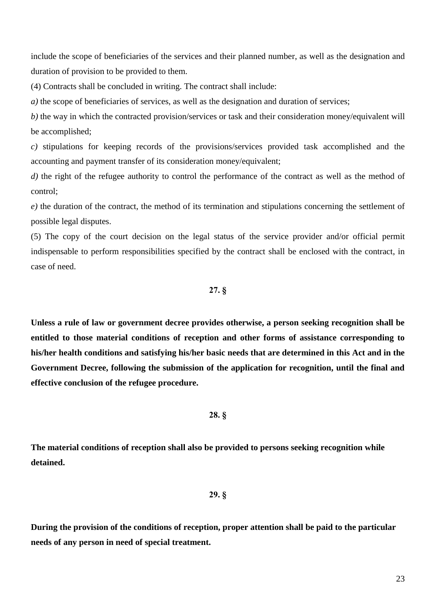include the scope of beneficiaries of the services and their planned number, as well as the designation and duration of provision to be provided to them.

(4) Contracts shall be concluded in writing. The contract shall include:

*a*) the scope of beneficiaries of services, as well as the designation and duration of services;

*b)* the way in which the contracted provision/services or task and their consideration money/equivalent will be accomplished;

*c)* stipulations for keeping records of the provisions/services provided task accomplished and the accounting and payment transfer of its consideration money/equivalent;

*d*) the right of the refugee authority to control the performance of the contract as well as the method of control;

*e)* the duration of the contract, the method of its termination and stipulations concerning the settlement of possible legal disputes.

(5) The copy of the court decision on the legal status of the service provider and/or official permit indispensable to perform responsibilities specified by the contract shall be enclosed with the contract, in case of need.

# **27. §**

**Unless a rule of law or government decree provides otherwise, a person seeking recognition shall be entitled to those material conditions of reception and other forms of assistance corresponding to his/her health conditions and satisfying his/her basic needs that are determined in this Act and in the Government Decree, following the submission of the application for recognition, until the final and effective conclusion of the refugee procedure.**

### **28. §**

**The material conditions of reception shall also be provided to persons seeking recognition while detained.**

# **29. §**

**During the provision of the conditions of reception, proper attention shall be paid to the particular needs of any person in need of special treatment.**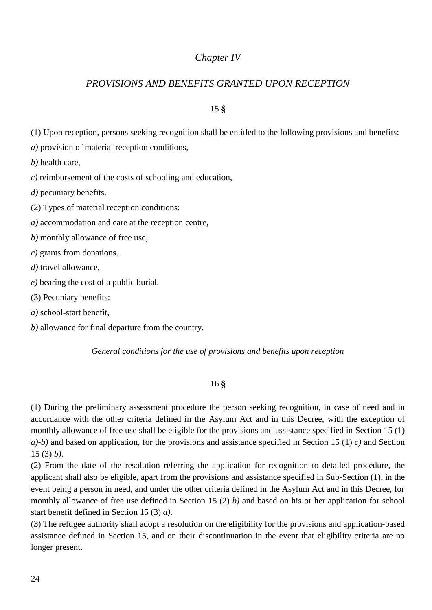# *Chapter IV*

# *PROVISIONS AND BENEFITS GRANTED UPON RECEPTION*

# 15 **§**

(1) Upon reception, persons seeking recognition shall be entitled to the following provisions and benefits:

*a)* provision of material reception conditions,

*b)* health care,

*c)* reimbursement of the costs of schooling and education,

*d*) pecuniary benefits.

(2) Types of material reception conditions:

*a)* accommodation and care at the reception centre,

*b)* monthly allowance of free use,

*c)* grants from donations.

*d)* travel allowance,

*e)* bearing the cost of a public burial.

(3) Pecuniary benefits:

*a)* school-start benefit,

*b)* allowance for final departure from the country.

*General conditions for the use of provisions and benefits upon reception*

# 16 **§**

(1) During the preliminary assessment procedure the person seeking recognition, in case of need and in accordance with the other criteria defined in the Asylum Act and in this Decree, with the exception of monthly allowance of free use shall be eligible for the provisions and assistance specified in Section 15 (1) *a)-b)* and based on application, for the provisions and assistance specified in Section 15 (1) *c)* and Section 15 (3) *b)*.

(2) From the date of the resolution referring the application for recognition to detailed procedure, the applicant shall also be eligible, apart from the provisions and assistance specified in Sub-Section (1), in the event being a person in need, and under the other criteria defined in the Asylum Act and in this Decree, for monthly allowance of free use defined in Section 15 (2) *b)* and based on his or her application for school start benefit defined in Section 15 (3) *a)*.

(3) The refugee authority shall adopt a resolution on the eligibility for the provisions and application-based assistance defined in Section 15, and on their discontinuation in the event that eligibility criteria are no longer present.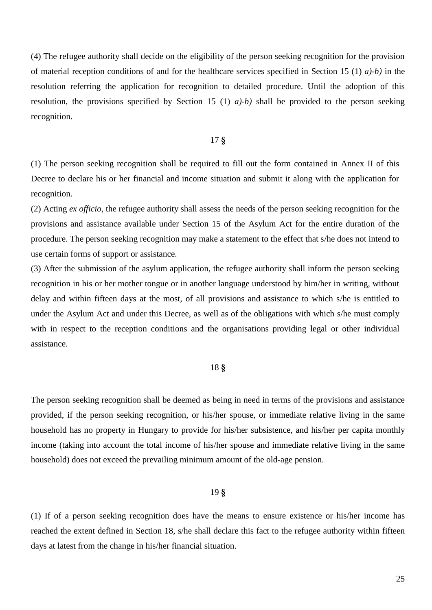(4) The refugee authority shall decide on the eligibility of the person seeking recognition for the provision of material reception conditions of and for the healthcare services specified in Section 15 (1) *a)-b)* in the resolution referring the application for recognition to detailed procedure. Until the adoption of this resolution, the provisions specified by Section 15 (1) *a)-b)* shall be provided to the person seeking recognition.

# 17 **§**

(1) The person seeking recognition shall be required to fill out the form contained in Annex II of this Decree to declare his or her financial and income situation and submit it along with the application for recognition.

(2) Acting *ex officio*, the refugee authority shall assess the needs of the person seeking recognition for the provisions and assistance available under Section 15 of the Asylum Act for the entire duration of the procedure. The person seeking recognition may make a statement to the effect that s/he does not intend to use certain forms of support or assistance.

(3) After the submission of the asylum application, the refugee authority shall inform the person seeking recognition in his or her mother tongue or in another language understood by him/her in writing, without delay and within fifteen days at the most, of all provisions and assistance to which s/he is entitled to under the Asylum Act and under this Decree, as well as of the obligations with which s/he must comply with in respect to the reception conditions and the organisations providing legal or other individual assistance.

### 18 **§**

The person seeking recognition shall be deemed as being in need in terms of the provisions and assistance provided, if the person seeking recognition, or his/her spouse, or immediate relative living in the same household has no property in Hungary to provide for his/her subsistence, and his/her per capita monthly income (taking into account the total income of his/her spouse and immediate relative living in the same household) does not exceed the prevailing minimum amount of the old-age pension.

# 19 **§**

(1) If of a person seeking recognition does have the means to ensure existence or his/her income has reached the extent defined in Section 18, s/he shall declare this fact to the refugee authority within fifteen days at latest from the change in his/her financial situation.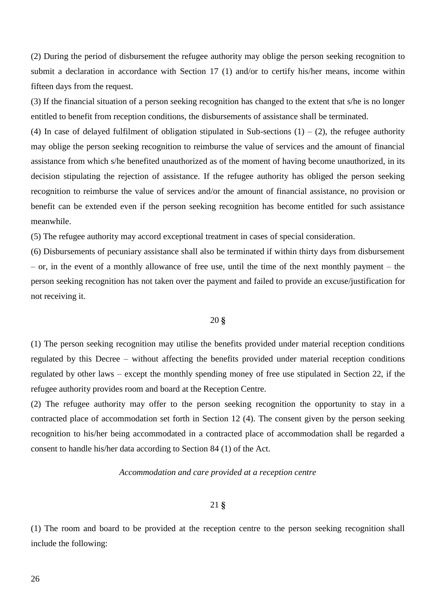(2) During the period of disbursement the refugee authority may oblige the person seeking recognition to submit a declaration in accordance with Section 17 (1) and/or to certify his/her means, income within fifteen days from the request.

(3) If the financial situation of a person seeking recognition has changed to the extent that s/he is no longer entitled to benefit from reception conditions, the disbursements of assistance shall be terminated.

(4) In case of delayed fulfilment of obligation stipulated in Sub-sections  $(1) - (2)$ , the refugee authority may oblige the person seeking recognition to reimburse the value of services and the amount of financial assistance from which s/he benefited unauthorized as of the moment of having become unauthorized, in its decision stipulating the rejection of assistance. If the refugee authority has obliged the person seeking recognition to reimburse the value of services and/or the amount of financial assistance, no provision or benefit can be extended even if the person seeking recognition has become entitled for such assistance meanwhile.

(5) The refugee authority may accord exceptional treatment in cases of special consideration.

(6) Disbursements of pecuniary assistance shall also be terminated if within thirty days from disbursement – or, in the event of a monthly allowance of free use, until the time of the next monthly payment – the person seeking recognition has not taken over the payment and failed to provide an excuse/justification for not receiving it.

### 20 **§**

(1) The person seeking recognition may utilise the benefits provided under material reception conditions regulated by this Decree – without affecting the benefits provided under material reception conditions regulated by other laws – except the monthly spending money of free use stipulated in Section 22, if the refugee authority provides room and board at the Reception Centre.

(2) The refugee authority may offer to the person seeking recognition the opportunity to stay in a contracted place of accommodation set forth in Section 12 (4). The consent given by the person seeking recognition to his/her being accommodated in a contracted place of accommodation shall be regarded a consent to handle his/her data according to Section 84 (1) of the Act.

### *Accommodation and care provided at a reception centre*

# 21 **§**

(1) The room and board to be provided at the reception centre to the person seeking recognition shall include the following: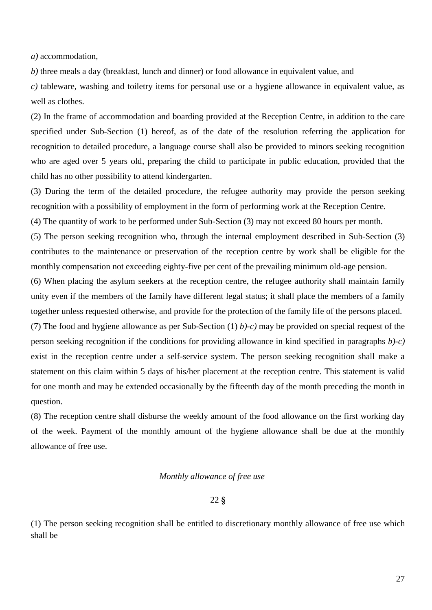*a)* accommodation,

*b)* three meals a day (breakfast, lunch and dinner) or food allowance in equivalent value, and

*c)* tableware, washing and toiletry items for personal use or a hygiene allowance in equivalent value, as well as clothes.

(2) In the frame of accommodation and boarding provided at the Reception Centre, in addition to the care specified under Sub-Section (1) hereof, as of the date of the resolution referring the application for recognition to detailed procedure, a language course shall also be provided to minors seeking recognition who are aged over 5 years old, preparing the child to participate in public education, provided that the child has no other possibility to attend kindergarten.

(3) During the term of the detailed procedure, the refugee authority may provide the person seeking recognition with a possibility of employment in the form of performing work at the Reception Centre.

(4) The quantity of work to be performed under Sub-Section (3) may not exceed 80 hours per month.

(5) The person seeking recognition who, through the internal employment described in Sub-Section (3) contributes to the maintenance or preservation of the reception centre by work shall be eligible for the monthly compensation not exceeding eighty-five per cent of the prevailing minimum old-age pension.

(6) When placing the asylum seekers at the reception centre, the refugee authority shall maintain family unity even if the members of the family have different legal status; it shall place the members of a family together unless requested otherwise, and provide for the protection of the family life of the persons placed.

(7) The food and hygiene allowance as per Sub-Section (1) *b)-c)* may be provided on special request of the person seeking recognition if the conditions for providing allowance in kind specified in paragraphs *b)-c)* exist in the reception centre under a self-service system. The person seeking recognition shall make a statement on this claim within 5 days of his/her placement at the reception centre. This statement is valid for one month and may be extended occasionally by the fifteenth day of the month preceding the month in question.

(8) The reception centre shall disburse the weekly amount of the food allowance on the first working day of the week. Payment of the monthly amount of the hygiene allowance shall be due at the monthly allowance of free use.

### *Monthly allowance of free use*

### 22 **§**

(1) The person seeking recognition shall be entitled to discretionary monthly allowance of free use which shall be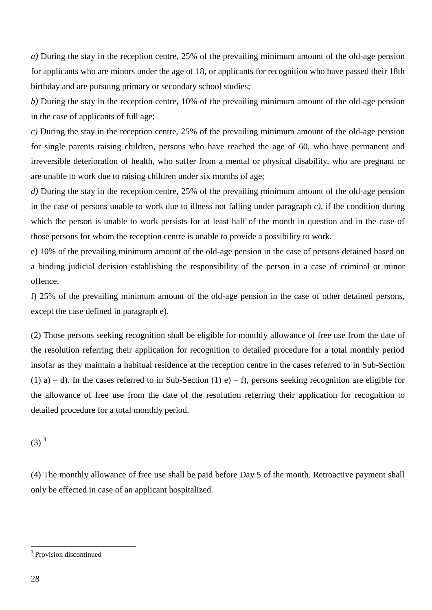*a)* During the stay in the reception centre, 25% of the prevailing minimum amount of the old-age pension for applicants who are minors under the age of 18, or applicants for recognition who have passed their 18th birthday and are pursuing primary or secondary school studies;

*b)* During the stay in the reception centre, 10% of the prevailing minimum amount of the old-age pension in the case of applicants of full age;

*c)* During the stay in the reception centre, 25% of the prevailing minimum amount of the old-age pension for single parents raising children, persons who have reached the age of 60, who have permanent and irreversible deterioration of health, who suffer from a mental or physical disability, who are pregnant or are unable to work due to raising children under six months of age;

*d)* During the stay in the reception centre, 25% of the prevailing minimum amount of the old-age pension in the case of persons unable to work due to illness not falling under paragraph *c)*, if the condition during which the person is unable to work persists for at least half of the month in question and in the case of those persons for whom the reception centre is unable to provide a possibility to work.

e) 10% of the prevailing minimum amount of the old-age pension in the case of persons detained based on a binding judicial decision establishing the responsibility of the person in a case of criminal or minor offence.

f) 25% of the prevailing minimum amount of the old-age pension in the case of other detained persons, except the case defined in paragraph e).

(2) Those persons seeking recognition shall be eligible for monthly allowance of free use from the date of the resolution referring their application for recognition to detailed procedure for a total monthly period insofar as they maintain a habitual residence at the reception centre in the cases referred to in Sub-Section (1) a) – d). In the cases referred to in Sub-Section (1) e) – f), persons seeking recognition are eligible for the allowance of free use from the date of the resolution referring their application for recognition to detailed procedure for a total monthly period.

 $(3)^{3}$ 

(4) The monthly allowance of free use shall be paid before Day 5 of the month. Retroactive payment shall only be effected in case of an applicant hospitalized.

 $\overline{a}$ 

<sup>&</sup>lt;sup>3</sup> Provision discontinued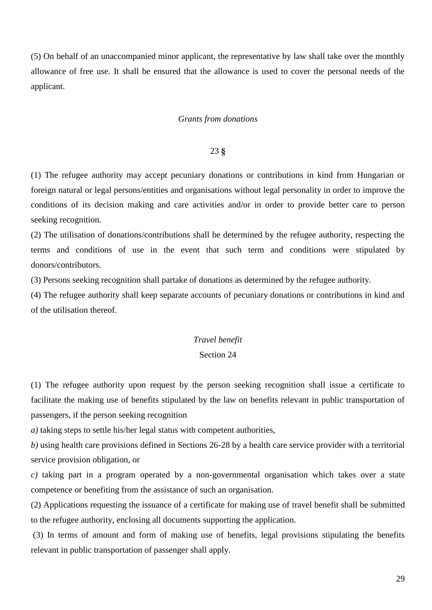(5) On behalf of an unaccompanied minor applicant, the representative by law shall take over the monthly allowance of free use. It shall be ensured that the allowance is used to cover the personal needs of the applicant.

## *Grants from donations*

### 23 **§**

(1) The refugee authority may accept pecuniary donations or contributions in kind from Hungarian or foreign natural or legal persons/entities and organisations without legal personality in order to improve the conditions of its decision making and care activities and/or in order to provide better care to person seeking recognition.

(2) The utilisation of donations/contributions shall be determined by the refugee authority, respecting the terms and conditions of use in the event that such term and conditions were stipulated by donors/contributors.

(3) Persons seeking recognition shall partake of donations as determined by the refugee authority.

(4) The refugee authority shall keep separate accounts of pecuniary donations or contributions in kind and of the utilisation thereof.

### *Travel benefit*

# Section 24

(1) The refugee authority upon request by the person seeking recognition shall issue a certificate to facilitate the making use of benefits stipulated by the law on benefits relevant in public transportation of passengers, if the person seeking recognition

*a)* taking steps to settle his/her legal status with competent authorities,

*b)* using health care provisions defined in Sections 26-28 by a health care service provider with a territorial service provision obligation, or

*c)* taking part in a program operated by a non-governmental organisation which takes over a state competence or benefiting from the assistance of such an organisation.

(2) Applications requesting the issuance of a certificate for making use of travel benefit shall be submitted to the refugee authority, enclosing all documents supporting the application.

(3) In terms of amount and form of making use of benefits, legal provisions stipulating the benefits relevant in public transportation of passenger shall apply.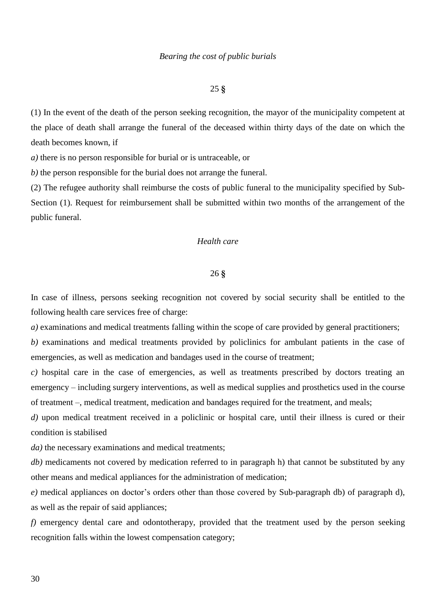## *Bearing the cost of public burials*

## 25 **§**

(1) In the event of the death of the person seeking recognition, the mayor of the municipality competent at the place of death shall arrange the funeral of the deceased within thirty days of the date on which the death becomes known, if

*a)* there is no person responsible for burial or is untraceable, or

*b)* the person responsible for the burial does not arrange the funeral.

(2) The refugee authority shall reimburse the costs of public funeral to the municipality specified by Sub-Section (1). Request for reimbursement shall be submitted within two months of the arrangement of the public funeral.

## *Health care*

### 26 **§**

In case of illness, persons seeking recognition not covered by social security shall be entitled to the following health care services free of charge:

*a)* examinations and medical treatments falling within the scope of care provided by general practitioners;

*b)* examinations and medical treatments provided by policlinics for ambulant patients in the case of emergencies, as well as medication and bandages used in the course of treatment;

*c)* hospital care in the case of emergencies, as well as treatments prescribed by doctors treating an emergency – including surgery interventions, as well as medical supplies and prosthetics used in the course of treatment –, medical treatment, medication and bandages required for the treatment, and meals;

*d*) upon medical treatment received in a policlinic or hospital care, until their illness is cured or their condition is stabilised

*da*) the necessary examinations and medical treatments;

*db*) medicaments not covered by medication referred to in paragraph h) that cannot be substituted by any other means and medical appliances for the administration of medication;

*e)* medical appliances on doctor's orders other than those covered by Sub-paragraph db) of paragraph d), as well as the repair of said appliances;

*f)* emergency dental care and odontotherapy, provided that the treatment used by the person seeking recognition falls within the lowest compensation category;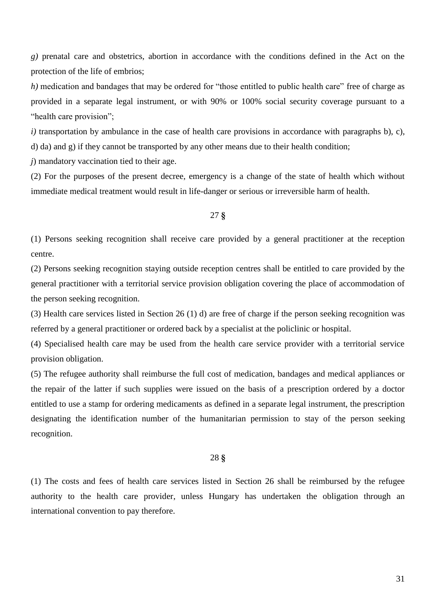*g)* prenatal care and obstetrics, abortion in accordance with the conditions defined in the Act on the protection of the life of embrios;

*h*) medication and bandages that may be ordered for "those entitled to public health care" free of charge as provided in a separate legal instrument, or with 90% or 100% social security coverage pursuant to a "health care provision";

*i*) transportation by ambulance in the case of health care provisions in accordance with paragraphs b), c), d) da) and g) if they cannot be transported by any other means due to their health condition;

*j*) mandatory vaccination tied to their age.

(2) For the purposes of the present decree, emergency is a change of the state of health which without immediate medical treatment would result in life-danger or serious or irreversible harm of health.

### 27 **§**

(1) Persons seeking recognition shall receive care provided by a general practitioner at the reception centre.

(2) Persons seeking recognition staying outside reception centres shall be entitled to care provided by the general practitioner with a territorial service provision obligation covering the place of accommodation of the person seeking recognition.

(3) Health care services listed in Section 26 (1) d) are free of charge if the person seeking recognition was referred by a general practitioner or ordered back by a specialist at the policlinic or hospital.

(4) Specialised health care may be used from the health care service provider with a territorial service provision obligation.

(5) The refugee authority shall reimburse the full cost of medication, bandages and medical appliances or the repair of the latter if such supplies were issued on the basis of a prescription ordered by a doctor entitled to use a stamp for ordering medicaments as defined in a separate legal instrument, the prescription designating the identification number of the humanitarian permission to stay of the person seeking recognition.

# 28 **§**

(1) The costs and fees of health care services listed in Section 26 shall be reimbursed by the refugee authority to the health care provider, unless Hungary has undertaken the obligation through an international convention to pay therefore.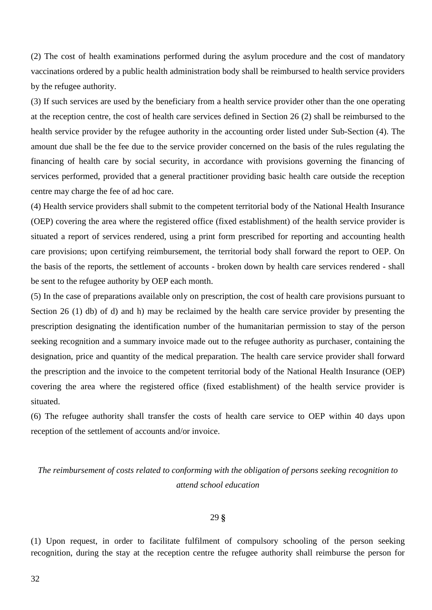(2) The cost of health examinations performed during the asylum procedure and the cost of mandatory vaccinations ordered by a public health administration body shall be reimbursed to health service providers by the refugee authority.

(3) If such services are used by the beneficiary from a health service provider other than the one operating at the reception centre, the cost of health care services defined in Section 26 (2) shall be reimbursed to the health service provider by the refugee authority in the accounting order listed under Sub-Section (4). The amount due shall be the fee due to the service provider concerned on the basis of the rules regulating the financing of health care by social security, in accordance with provisions governing the financing of services performed, provided that a general practitioner providing basic health care outside the reception centre may charge the fee of ad hoc care.

(4) Health service providers shall submit to the competent territorial body of the National Health Insurance (OEP) covering the area where the registered office (fixed establishment) of the health service provider is situated a report of services rendered, using a print form prescribed for reporting and accounting health care provisions; upon certifying reimbursement, the territorial body shall forward the report to OEP. On the basis of the reports, the settlement of accounts - broken down by health care services rendered - shall be sent to the refugee authority by OEP each month.

(5) In the case of preparations available only on prescription, the cost of health care provisions pursuant to Section 26 (1) db) of d) and h) may be reclaimed by the health care service provider by presenting the prescription designating the identification number of the humanitarian permission to stay of the person seeking recognition and a summary invoice made out to the refugee authority as purchaser, containing the designation, price and quantity of the medical preparation. The health care service provider shall forward the prescription and the invoice to the competent territorial body of the National Health Insurance (OEP) covering the area where the registered office (fixed establishment) of the health service provider is situated.

(6) The refugee authority shall transfer the costs of health care service to OEP within 40 days upon reception of the settlement of accounts and/or invoice.

# *The reimbursement of costs related to conforming with the obligation of persons seeking recognition to attend school education*

## 29 **§**

(1) Upon request, in order to facilitate fulfilment of compulsory schooling of the person seeking recognition, during the stay at the reception centre the refugee authority shall reimburse the person for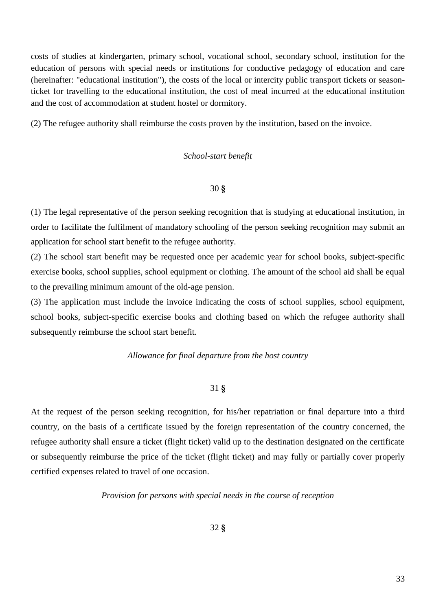costs of studies at kindergarten, primary school, vocational school, secondary school, institution for the education of persons with special needs or institutions for conductive pedagogy of education and care (hereinafter: "educational institution"), the costs of the local or intercity public transport tickets or seasonticket for travelling to the educational institution, the cost of meal incurred at the educational institution and the cost of accommodation at student hostel or dormitory.

(2) The refugee authority shall reimburse the costs proven by the institution, based on the invoice.

# *School-start benefit*

# 30 **§**

(1) The legal representative of the person seeking recognition that is studying at educational institution, in order to facilitate the fulfilment of mandatory schooling of the person seeking recognition may submit an application for school start benefit to the refugee authority.

(2) The school start benefit may be requested once per academic year for school books, subject-specific exercise books, school supplies, school equipment or clothing. The amount of the school aid shall be equal to the prevailing minimum amount of the old-age pension.

(3) The application must include the invoice indicating the costs of school supplies, school equipment, school books, subject-specific exercise books and clothing based on which the refugee authority shall subsequently reimburse the school start benefit.

### *Allowance for final departure from the host country*

# 31 **§**

At the request of the person seeking recognition, for his/her repatriation or final departure into a third country, on the basis of a certificate issued by the foreign representation of the country concerned, the refugee authority shall ensure a ticket (flight ticket) valid up to the destination designated on the certificate or subsequently reimburse the price of the ticket (flight ticket) and may fully or partially cover properly certified expenses related to travel of one occasion.

*Provision for persons with special needs in the course of reception*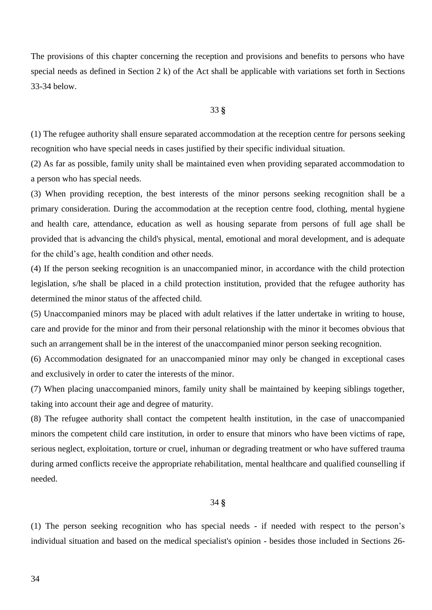The provisions of this chapter concerning the reception and provisions and benefits to persons who have special needs as defined in Section 2 k) of the Act shall be applicable with variations set forth in Sections 33-34 below.

### 33 **§**

(1) The refugee authority shall ensure separated accommodation at the reception centre for persons seeking recognition who have special needs in cases justified by their specific individual situation.

(2) As far as possible, family unity shall be maintained even when providing separated accommodation to a person who has special needs.

(3) When providing reception, the best interests of the minor persons seeking recognition shall be a primary consideration. During the accommodation at the reception centre food, clothing, mental hygiene and health care, attendance, education as well as housing separate from persons of full age shall be provided that is advancing the child's physical, mental, emotional and moral development, and is adequate for the child's age, health condition and other needs.

(4) If the person seeking recognition is an unaccompanied minor, in accordance with the child protection legislation, s/he shall be placed in a child protection institution, provided that the refugee authority has determined the minor status of the affected child.

(5) Unaccompanied minors may be placed with adult relatives if the latter undertake in writing to house, care and provide for the minor and from their personal relationship with the minor it becomes obvious that such an arrangement shall be in the interest of the unaccompanied minor person seeking recognition.

(6) Accommodation designated for an unaccompanied minor may only be changed in exceptional cases and exclusively in order to cater the interests of the minor.

(7) When placing unaccompanied minors, family unity shall be maintained by keeping siblings together, taking into account their age and degree of maturity.

(8) The refugee authority shall contact the competent health institution, in the case of unaccompanied minors the competent child care institution, in order to ensure that minors who have been victims of rape, serious neglect, exploitation, torture or cruel, inhuman or degrading treatment or who have suffered trauma during armed conflicts receive the appropriate rehabilitation, mental healthcare and qualified counselling if needed.

## 34 **§**

(1) The person seeking recognition who has special needs - if needed with respect to the person's individual situation and based on the medical specialist's opinion - besides those included in Sections 26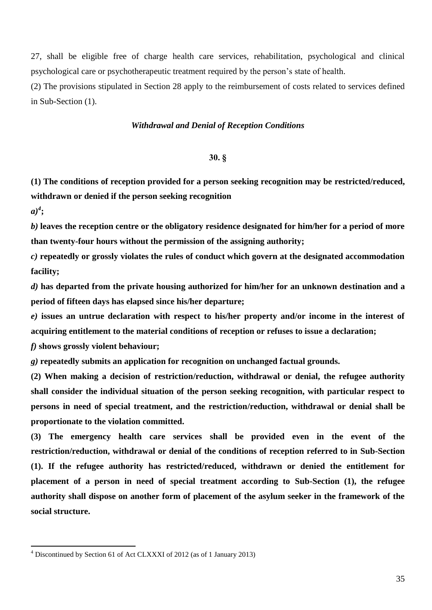27, shall be eligible free of charge health care services, rehabilitation, psychological and clinical psychological care or psychotherapeutic treatment required by the person's state of health.

(2) The provisions stipulated in Section 28 apply to the reimbursement of costs related to services defined in Sub-Section (1).

# *Withdrawal and Denial of Reception Conditions*

### **30. §**

**(1) The conditions of reception provided for a person seeking recognition may be restricted/reduced, withdrawn or denied if the person seeking recognition**

*a)4* **;**

 $\overline{a}$ 

*b)* **leaves the reception centre or the obligatory residence designated for him/her for a period of more than twenty-four hours without the permission of the assigning authority;**

*c)* **repeatedly or grossly violates the rules of conduct which govern at the designated accommodation facility;**

*d)* **has departed from the private housing authorized for him/her for an unknown destination and a period of fifteen days has elapsed since his/her departure;**

*e)* **issues an untrue declaration with respect to his/her property and/or income in the interest of acquiring entitlement to the material conditions of reception or refuses to issue a declaration;**

*f)* **shows grossly violent behaviour;**

*g)* **repeatedly submits an application for recognition on unchanged factual grounds.**

**(2) When making a decision of restriction/reduction, withdrawal or denial, the refugee authority shall consider the individual situation of the person seeking recognition, with particular respect to persons in need of special treatment, and the restriction/reduction, withdrawal or denial shall be proportionate to the violation committed.**

**(3) The emergency health care services shall be provided even in the event of the restriction/reduction, withdrawal or denial of the conditions of reception referred to in Sub-Section (1). If the refugee authority has restricted/reduced, withdrawn or denied the entitlement for placement of a person in need of special treatment according to Sub-Section (1), the refugee authority shall dispose on another form of placement of the asylum seeker in the framework of the social structure.** 

<sup>4</sup> Discontinued by Section 61 of Act CLXXXI of 2012 (as of 1 January 2013)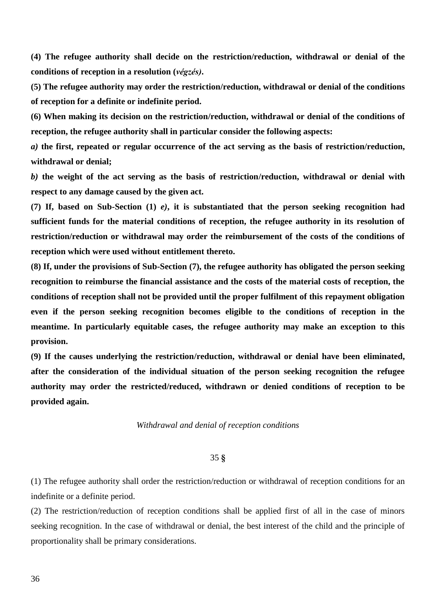**(4) The refugee authority shall decide on the restriction/reduction, withdrawal or denial of the conditions of reception in a resolution (***végzés)***.** 

**(5) The refugee authority may order the restriction/reduction, withdrawal or denial of the conditions of reception for a definite or indefinite period.**

**(6) When making its decision on the restriction/reduction, withdrawal or denial of the conditions of reception, the refugee authority shall in particular consider the following aspects:**

*a)* **the first, repeated or regular occurrence of the act serving as the basis of restriction/reduction, withdrawal or denial;**

*b)* **the weight of the act serving as the basis of restriction/reduction, withdrawal or denial with respect to any damage caused by the given act.**

**(7) If, based on Sub-Section (1)** *e)***, it is substantiated that the person seeking recognition had sufficient funds for the material conditions of reception, the refugee authority in its resolution of restriction/reduction or withdrawal may order the reimbursement of the costs of the conditions of reception which were used without entitlement thereto.**

**(8) If, under the provisions of Sub-Section (7), the refugee authority has obligated the person seeking recognition to reimburse the financial assistance and the costs of the material costs of reception, the conditions of reception shall not be provided until the proper fulfilment of this repayment obligation even if the person seeking recognition becomes eligible to the conditions of reception in the meantime. In particularly equitable cases, the refugee authority may make an exception to this provision.**

**(9) If the causes underlying the restriction/reduction, withdrawal or denial have been eliminated, after the consideration of the individual situation of the person seeking recognition the refugee authority may order the restricted/reduced, withdrawn or denied conditions of reception to be provided again.**

*Withdrawal and denial of reception conditions*

# 35 **§**

(1) The refugee authority shall order the restriction/reduction or withdrawal of reception conditions for an indefinite or a definite period.

(2) The restriction/reduction of reception conditions shall be applied first of all in the case of minors seeking recognition. In the case of withdrawal or denial, the best interest of the child and the principle of proportionality shall be primary considerations.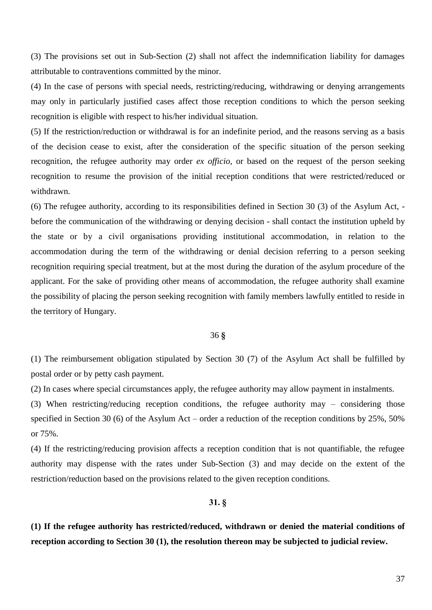(3) The provisions set out in Sub-Section (2) shall not affect the indemnification liability for damages attributable to contraventions committed by the minor.

(4) In the case of persons with special needs, restricting/reducing, withdrawing or denying arrangements may only in particularly justified cases affect those reception conditions to which the person seeking recognition is eligible with respect to his/her individual situation.

(5) If the restriction/reduction or withdrawal is for an indefinite period, and the reasons serving as a basis of the decision cease to exist, after the consideration of the specific situation of the person seeking recognition, the refugee authority may order *ex officio*, or based on the request of the person seeking recognition to resume the provision of the initial reception conditions that were restricted/reduced or withdrawn.

(6) The refugee authority, according to its responsibilities defined in Section 30 (3) of the Asylum Act, before the communication of the withdrawing or denying decision - shall contact the institution upheld by the state or by a civil organisations providing institutional accommodation, in relation to the accommodation during the term of the withdrawing or denial decision referring to a person seeking recognition requiring special treatment, but at the most during the duration of the asylum procedure of the applicant. For the sake of providing other means of accommodation, the refugee authority shall examine the possibility of placing the person seeking recognition with family members lawfully entitled to reside in the territory of Hungary.

#### 36 **§**

(1) The reimbursement obligation stipulated by Section 30 (7) of the Asylum Act shall be fulfilled by postal order or by petty cash payment.

(2) In cases where special circumstances apply, the refugee authority may allow payment in instalments.

(3) When restricting/reducing reception conditions, the refugee authority may – considering those specified in Section 30 (6) of the Asylum Act – order a reduction of the reception conditions by 25%, 50% or 75%.

(4) If the restricting/reducing provision affects a reception condition that is not quantifiable, the refugee authority may dispense with the rates under Sub-Section (3) and may decide on the extent of the restriction/reduction based on the provisions related to the given reception conditions.

### **31. §**

**(1) If the refugee authority has restricted/reduced, withdrawn or denied the material conditions of reception according to Section 30 (1), the resolution thereon may be subjected to judicial review.**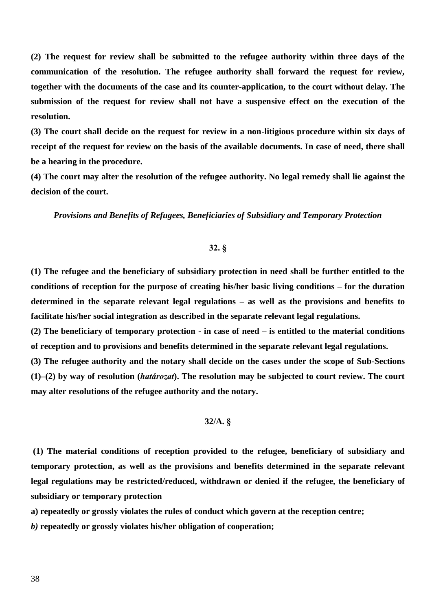**(2) The request for review shall be submitted to the refugee authority within three days of the communication of the resolution. The refugee authority shall forward the request for review, together with the documents of the case and its counter-application, to the court without delay. The submission of the request for review shall not have a suspensive effect on the execution of the resolution.**

**(3) The court shall decide on the request for review in a non-litigious procedure within six days of receipt of the request for review on the basis of the available documents. In case of need, there shall be a hearing in the procedure.**

**(4) The court may alter the resolution of the refugee authority. No legal remedy shall lie against the decision of the court.**

*Provisions and Benefits of Refugees, Beneficiaries of Subsidiary and Temporary Protection*

#### **32. §**

**(1) The refugee and the beneficiary of subsidiary protection in need shall be further entitled to the conditions of reception for the purpose of creating his/her basic living conditions – for the duration determined in the separate relevant legal regulations – as well as the provisions and benefits to facilitate his/her social integration as described in the separate relevant legal regulations.**

**(2) The beneficiary of temporary protection - in case of need – is entitled to the material conditions of reception and to provisions and benefits determined in the separate relevant legal regulations.**

**(3) The refugee authority and the notary shall decide on the cases under the scope of Sub-Sections (1)–(2) by way of resolution (***határozat***). The resolution may be subjected to court review. The court may alter resolutions of the refugee authority and the notary.**

# **32/A. §**

**(1) The material conditions of reception provided to the refugee, beneficiary of subsidiary and temporary protection, as well as the provisions and benefits determined in the separate relevant legal regulations may be restricted/reduced, withdrawn or denied if the refugee, the beneficiary of subsidiary or temporary protection**

**a) repeatedly or grossly violates the rules of conduct which govern at the reception centre;**

*b)* **repeatedly or grossly violates his/her obligation of cooperation;**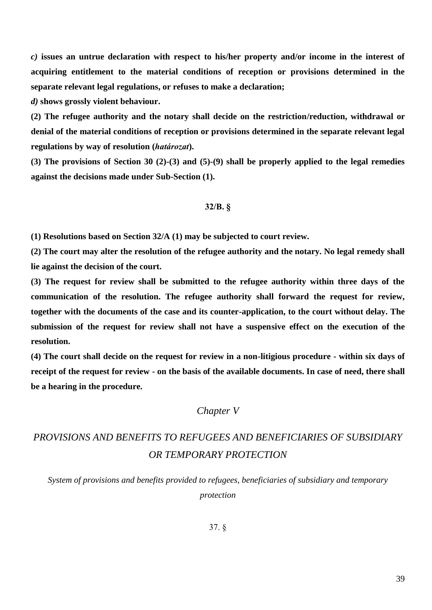*c)* **issues an untrue declaration with respect to his/her property and/or income in the interest of acquiring entitlement to the material conditions of reception or provisions determined in the separate relevant legal regulations, or refuses to make a declaration;**

*d)* **shows grossly violent behaviour.**

**(2) The refugee authority and the notary shall decide on the restriction/reduction, withdrawal or denial of the material conditions of reception or provisions determined in the separate relevant legal regulations by way of resolution (***határozat***).**

**(3) The provisions of Section 30 (2)-(3) and (5)-(9) shall be properly applied to the legal remedies against the decisions made under Sub-Section (1).**

#### **32/B. §**

**(1) Resolutions based on Section 32/A (1) may be subjected to court review.** 

**(2) The court may alter the resolution of the refugee authority and the notary. No legal remedy shall lie against the decision of the court.**

**(3) The request for review shall be submitted to the refugee authority within three days of the communication of the resolution. The refugee authority shall forward the request for review, together with the documents of the case and its counter-application, to the court without delay. The submission of the request for review shall not have a suspensive effect on the execution of the resolution.**

**(4) The court shall decide on the request for review in a non-litigious procedure - within six days of receipt of the request for review - on the basis of the available documents. In case of need, there shall be a hearing in the procedure.**

# *Chapter V*

# *PROVISIONS AND BENEFITS TO REFUGEES AND BENEFICIARIES OF SUBSIDIARY OR TEMPORARY PROTECTION*

*System of provisions and benefits provided to refugees, beneficiaries of subsidiary and temporary protection*

37. §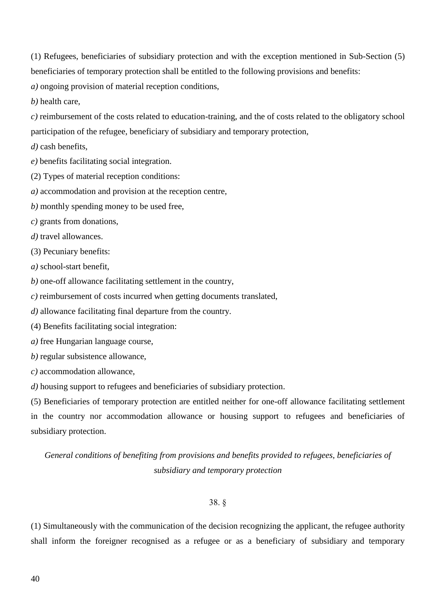(1) Refugees, beneficiaries of subsidiary protection and with the exception mentioned in Sub-Section (5) beneficiaries of temporary protection shall be entitled to the following provisions and benefits:

*a)* ongoing provision of material reception conditions,

*b)* health care,

*c)* reimbursement of the costs related to education-training, and the of costs related to the obligatory school participation of the refugee, beneficiary of subsidiary and temporary protection,

*d)* cash benefits,

*e)* benefits facilitating social integration.

(2) Types of material reception conditions:

*a)* accommodation and provision at the reception centre,

*b)* monthly spending money to be used free,

*c)* grants from donations,

d) travel allowances.

(3) Pecuniary benefits:

*a)* school-start benefit,

*b)* one-off allowance facilitating settlement in the country,

*c)* reimbursement of costs incurred when getting documents translated,

*d)* allowance facilitating final departure from the country.

(4) Benefits facilitating social integration:

*a)* free Hungarian language course,

*b)* regular subsistence allowance,

*c)* accommodation allowance,

*d)* housing support to refugees and beneficiaries of subsidiary protection.

(5) Beneficiaries of temporary protection are entitled neither for one-off allowance facilitating settlement in the country nor accommodation allowance or housing support to refugees and beneficiaries of subsidiary protection.

*General conditions of benefiting from provisions and benefits provided to refugees, beneficiaries of subsidiary and temporary protection*

# 38. §

(1) Simultaneously with the communication of the decision recognizing the applicant, the refugee authority shall inform the foreigner recognised as a refugee or as a beneficiary of subsidiary and temporary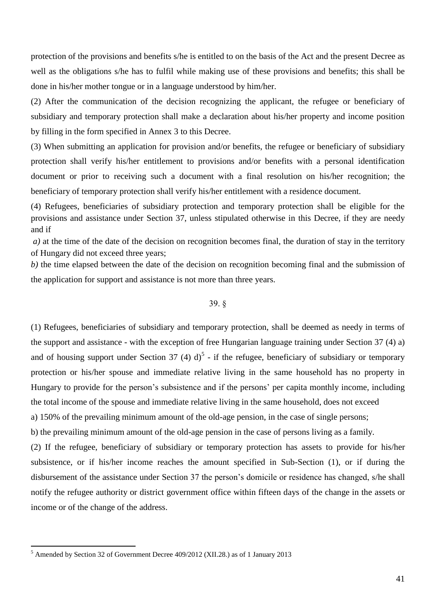protection of the provisions and benefits s/he is entitled to on the basis of the Act and the present Decree as well as the obligations s/he has to fulfil while making use of these provisions and benefits; this shall be done in his/her mother tongue or in a language understood by him/her.

(2) After the communication of the decision recognizing the applicant, the refugee or beneficiary of subsidiary and temporary protection shall make a declaration about his/her property and income position by filling in the form specified in Annex 3 to this Decree.

(3) When submitting an application for provision and/or benefits, the refugee or beneficiary of subsidiary protection shall verify his/her entitlement to provisions and/or benefits with a personal identification document or prior to receiving such a document with a final resolution on his/her recognition; the beneficiary of temporary protection shall verify his/her entitlement with a residence document.

(4) Refugees, beneficiaries of subsidiary protection and temporary protection shall be eligible for the provisions and assistance under Section 37, unless stipulated otherwise in this Decree, if they are needy and if

*a)* at the time of the date of the decision on recognition becomes final, the duration of stay in the territory of Hungary did not exceed three years;

*b)* the time elapsed between the date of the decision on recognition becoming final and the submission of the application for support and assistance is not more than three years.

#### 39. §

(1) Refugees, beneficiaries of subsidiary and temporary protection, shall be deemed as needy in terms of the support and assistance - with the exception of free Hungarian language training under Section 37 (4) a) and of housing support under Section 37 (4)  $d$ <sup>5</sup> - if the refugee, beneficiary of subsidiary or temporary protection or his/her spouse and immediate relative living in the same household has no property in Hungary to provide for the person's subsistence and if the persons' per capita monthly income, including the total income of the spouse and immediate relative living in the same household, does not exceed a) 150% of the prevailing minimum amount of the old-age pension, in the case of single persons;

b) the prevailing minimum amount of the old-age pension in the case of persons living as a family.

(2) If the refugee, beneficiary of subsidiary or temporary protection has assets to provide for his/her subsistence, or if his/her income reaches the amount specified in Sub-Section (1), or if during the disbursement of the assistance under Section 37 the person's domicile or residence has changed, s/he shall notify the refugee authority or district government office within fifteen days of the change in the assets or income or of the change of the address.

<sup>&</sup>lt;sup>5</sup> Amended by Section 32 of Government Decree 409/2012 (XII.28.) as of 1 January 2013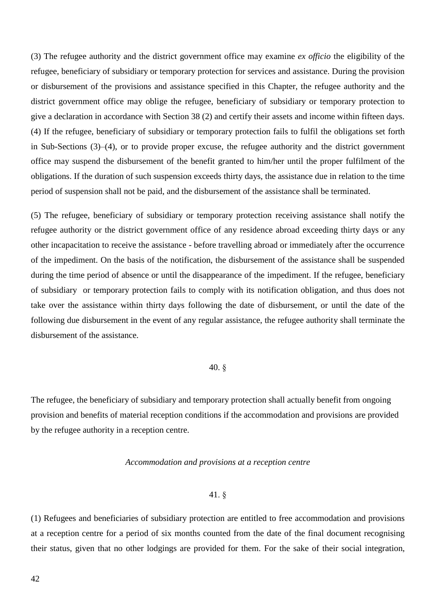(3) The refugee authority and the district government office may examine *ex officio* the eligibility of the refugee, beneficiary of subsidiary or temporary protection for services and assistance. During the provision or disbursement of the provisions and assistance specified in this Chapter, the refugee authority and the district government office may oblige the refugee, beneficiary of subsidiary or temporary protection to give a declaration in accordance with Section 38 (2) and certify their assets and income within fifteen days. (4) If the refugee, beneficiary of subsidiary or temporary protection fails to fulfil the obligations set forth in Sub-Sections (3)–(4), or to provide proper excuse, the refugee authority and the district government office may suspend the disbursement of the benefit granted to him/her until the proper fulfilment of the obligations. If the duration of such suspension exceeds thirty days, the assistance due in relation to the time period of suspension shall not be paid, and the disbursement of the assistance shall be terminated.

(5) The refugee, beneficiary of subsidiary or temporary protection receiving assistance shall notify the refugee authority or the district government office of any residence abroad exceeding thirty days or any other incapacitation to receive the assistance - before travelling abroad or immediately after the occurrence of the impediment. On the basis of the notification, the disbursement of the assistance shall be suspended during the time period of absence or until the disappearance of the impediment. If the refugee, beneficiary of subsidiary or temporary protection fails to comply with its notification obligation, and thus does not take over the assistance within thirty days following the date of disbursement, or until the date of the following due disbursement in the event of any regular assistance, the refugee authority shall terminate the disbursement of the assistance.

### 40. §

The refugee, the beneficiary of subsidiary and temporary protection shall actually benefit from ongoing provision and benefits of material reception conditions if the accommodation and provisions are provided by the refugee authority in a reception centre.

### *Accommodation and provisions at a reception centre*

#### 41. §

(1) Refugees and beneficiaries of subsidiary protection are entitled to free accommodation and provisions at a reception centre for a period of six months counted from the date of the final document recognising their status, given that no other lodgings are provided for them. For the sake of their social integration,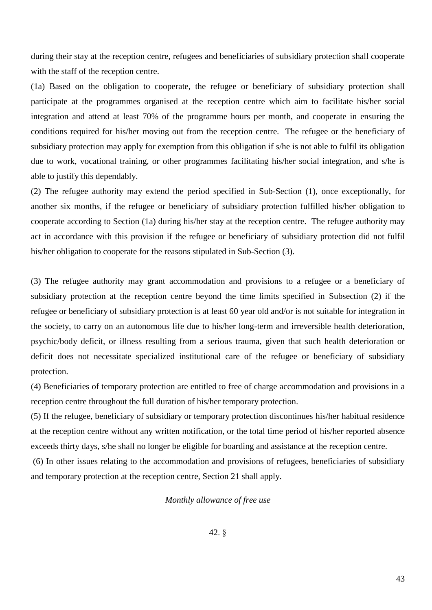during their stay at the reception centre, refugees and beneficiaries of subsidiary protection shall cooperate with the staff of the reception centre.

(1a) Based on the obligation to cooperate, the refugee or beneficiary of subsidiary protection shall participate at the programmes organised at the reception centre which aim to facilitate his/her social integration and attend at least 70% of the programme hours per month, and cooperate in ensuring the conditions required for his/her moving out from the reception centre. The refugee or the beneficiary of subsidiary protection may apply for exemption from this obligation if s/he is not able to fulfil its obligation due to work, vocational training, or other programmes facilitating his/her social integration, and s/he is able to justify this dependably.

(2) The refugee authority may extend the period specified in Sub-Section (1), once exceptionally, for another six months, if the refugee or beneficiary of subsidiary protection fulfilled his/her obligation to cooperate according to Section (1a) during his/her stay at the reception centre. The refugee authority may act in accordance with this provision if the refugee or beneficiary of subsidiary protection did not fulfil his/her obligation to cooperate for the reasons stipulated in Sub-Section (3).

(3) The refugee authority may grant accommodation and provisions to a refugee or a beneficiary of subsidiary protection at the reception centre beyond the time limits specified in Subsection (2) if the refugee or beneficiary of subsidiary protection is at least 60 year old and/or is not suitable for integration in the society, to carry on an autonomous life due to his/her long-term and irreversible health deterioration, psychic/body deficit, or illness resulting from a serious trauma, given that such health deterioration or deficit does not necessitate specialized institutional care of the refugee or beneficiary of subsidiary protection.

(4) Beneficiaries of temporary protection are entitled to free of charge accommodation and provisions in a reception centre throughout the full duration of his/her temporary protection.

(5) If the refugee, beneficiary of subsidiary or temporary protection discontinues his/her habitual residence at the reception centre without any written notification, or the total time period of his/her reported absence exceeds thirty days, s/he shall no longer be eligible for boarding and assistance at the reception centre.

(6) In other issues relating to the accommodation and provisions of refugees, beneficiaries of subsidiary and temporary protection at the reception centre, Section 21 shall apply.

### *Monthly allowance of free use*

42. §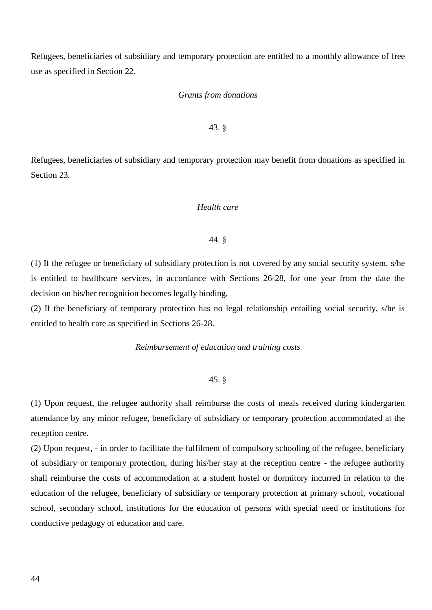Refugees, beneficiaries of subsidiary and temporary protection are entitled to a monthly allowance of free use as specified in Section 22.

#### *Grants from donations*

### 43. §

Refugees, beneficiaries of subsidiary and temporary protection may benefit from donations as specified in Section 23.

### *Health care*

#### 44. §

(1) If the refugee or beneficiary of subsidiary protection is not covered by any social security system, s/he is entitled to healthcare services, in accordance with Sections 26-28, for one year from the date the decision on his/her recognition becomes legally binding.

(2) If the beneficiary of temporary protection has no legal relationship entailing social security, s/he is entitled to health care as specified in Sections 26-28.

### *Reimbursement of education and training costs*

### 45. §

(1) Upon request, the refugee authority shall reimburse the costs of meals received during kindergarten attendance by any minor refugee, beneficiary of subsidiary or temporary protection accommodated at the reception centre.

(2) Upon request, - in order to facilitate the fulfilment of compulsory schooling of the refugee, beneficiary of subsidiary or temporary protection, during his/her stay at the reception centre - the refugee authority shall reimburse the costs of accommodation at a student hostel or dormitory incurred in relation to the education of the refugee, beneficiary of subsidiary or temporary protection at primary school, vocational school, secondary school, institutions for the education of persons with special need or institutions for conductive pedagogy of education and care.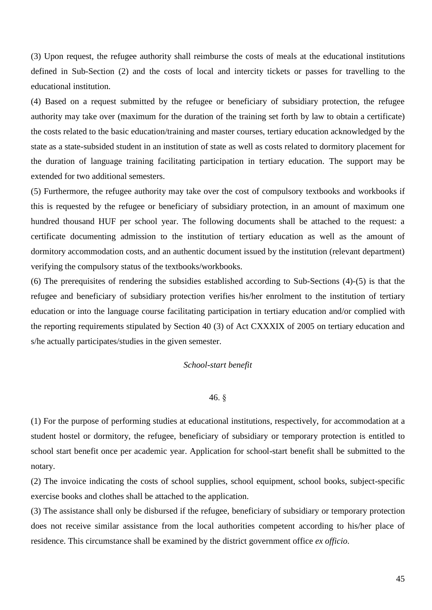(3) Upon request, the refugee authority shall reimburse the costs of meals at the educational institutions defined in Sub-Section (2) and the costs of local and intercity tickets or passes for travelling to the educational institution.

(4) Based on a request submitted by the refugee or beneficiary of subsidiary protection, the refugee authority may take over (maximum for the duration of the training set forth by law to obtain a certificate) the costs related to the basic education/training and master courses, tertiary education acknowledged by the state as a state-subsided student in an institution of state as well as costs related to dormitory placement for the duration of language training facilitating participation in tertiary education. The support may be extended for two additional semesters.

(5) Furthermore, the refugee authority may take over the cost of compulsory textbooks and workbooks if this is requested by the refugee or beneficiary of subsidiary protection, in an amount of maximum one hundred thousand HUF per school year. The following documents shall be attached to the request: a certificate documenting admission to the institution of tertiary education as well as the amount of dormitory accommodation costs, and an authentic document issued by the institution (relevant department) verifying the compulsory status of the textbooks/workbooks.

(6) The prerequisites of rendering the subsidies established according to Sub-Sections (4)-(5) is that the refugee and beneficiary of subsidiary protection verifies his/her enrolment to the institution of tertiary education or into the language course facilitating participation in tertiary education and/or complied with the reporting requirements stipulated by Section 40 (3) of Act CXXXIX of 2005 on tertiary education and s/he actually participates/studies in the given semester.

#### *School-start benefit*

#### 46. §

(1) For the purpose of performing studies at educational institutions, respectively, for accommodation at a student hostel or dormitory, the refugee, beneficiary of subsidiary or temporary protection is entitled to school start benefit once per academic year. Application for school-start benefit shall be submitted to the notary.

(2) The invoice indicating the costs of school supplies, school equipment, school books, subject-specific exercise books and clothes shall be attached to the application.

(3) The assistance shall only be disbursed if the refugee, beneficiary of subsidiary or temporary protection does not receive similar assistance from the local authorities competent according to his/her place of residence. This circumstance shall be examined by the district government office *ex officio*.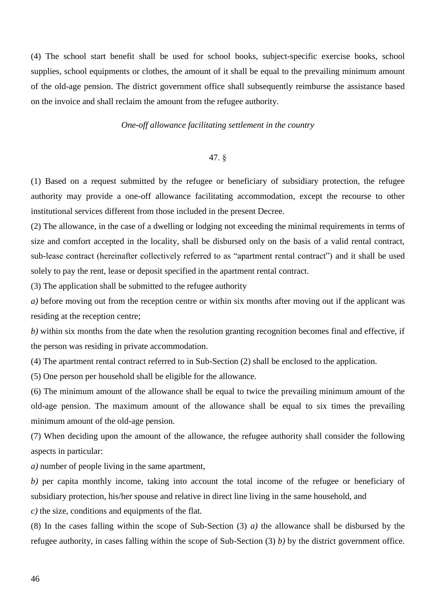(4) The school start benefit shall be used for school books, subject-specific exercise books, school supplies, school equipments or clothes, the amount of it shall be equal to the prevailing minimum amount of the old-age pension. The district government office shall subsequently reimburse the assistance based on the invoice and shall reclaim the amount from the refugee authority.

#### *One-off allowance facilitating settlement in the country*

### 47. §

(1) Based on a request submitted by the refugee or beneficiary of subsidiary protection, the refugee authority may provide a one-off allowance facilitating accommodation, except the recourse to other institutional services different from those included in the present Decree.

(2) The allowance, in the case of a dwelling or lodging not exceeding the minimal requirements in terms of size and comfort accepted in the locality, shall be disbursed only on the basis of a valid rental contract, sub-lease contract (hereinafter collectively referred to as "apartment rental contract") and it shall be used solely to pay the rent, lease or deposit specified in the apartment rental contract.

(3) The application shall be submitted to the refugee authority

*a)* before moving out from the reception centre or within six months after moving out if the applicant was residing at the reception centre;

*b)* within six months from the date when the resolution granting recognition becomes final and effective, if the person was residing in private accommodation.

(4) The apartment rental contract referred to in Sub-Section (2) shall be enclosed to the application.

(5) One person per household shall be eligible for the allowance.

(6) The minimum amount of the allowance shall be equal to twice the prevailing minimum amount of the old-age pension. The maximum amount of the allowance shall be equal to six times the prevailing minimum amount of the old-age pension.

(7) When deciding upon the amount of the allowance, the refugee authority shall consider the following aspects in particular:

*a)* number of people living in the same apartment,

*b)* per capita monthly income, taking into account the total income of the refugee or beneficiary of subsidiary protection, his/her spouse and relative in direct line living in the same household, and

*c)* the size, conditions and equipments of the flat.

(8) In the cases falling within the scope of Sub-Section (3) *a)* the allowance shall be disbursed by the refugee authority, in cases falling within the scope of Sub-Section (3) *b)* by the district government office.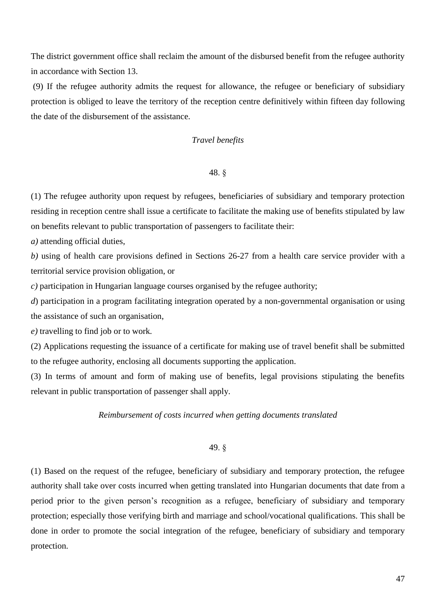The district government office shall reclaim the amount of the disbursed benefit from the refugee authority in accordance with Section 13.

(9) If the refugee authority admits the request for allowance, the refugee or beneficiary of subsidiary protection is obliged to leave the territory of the reception centre definitively within fifteen day following the date of the disbursement of the assistance.

# *Travel benefits*

#### 48. §

(1) The refugee authority upon request by refugees, beneficiaries of subsidiary and temporary protection residing in reception centre shall issue a certificate to facilitate the making use of benefits stipulated by law on benefits relevant to public transportation of passengers to facilitate their:

*a)* attending official duties,

*b)* using of health care provisions defined in Sections 26-27 from a health care service provider with a territorial service provision obligation, or

*c)* participation in Hungarian language courses organised by the refugee authority;

*d*) participation in a program facilitating integration operated by a non-governmental organisation or using the assistance of such an organisation,

*e)* travelling to find job or to work*.*

(2) Applications requesting the issuance of a certificate for making use of travel benefit shall be submitted to the refugee authority, enclosing all documents supporting the application.

(3) In terms of amount and form of making use of benefits, legal provisions stipulating the benefits relevant in public transportation of passenger shall apply.

#### *Reimbursement of costs incurred when getting documents translated*

# 49. §

(1) Based on the request of the refugee, beneficiary of subsidiary and temporary protection, the refugee authority shall take over costs incurred when getting translated into Hungarian documents that date from a period prior to the given person's recognition as a refugee, beneficiary of subsidiary and temporary protection; especially those verifying birth and marriage and school/vocational qualifications. This shall be done in order to promote the social integration of the refugee, beneficiary of subsidiary and temporary protection.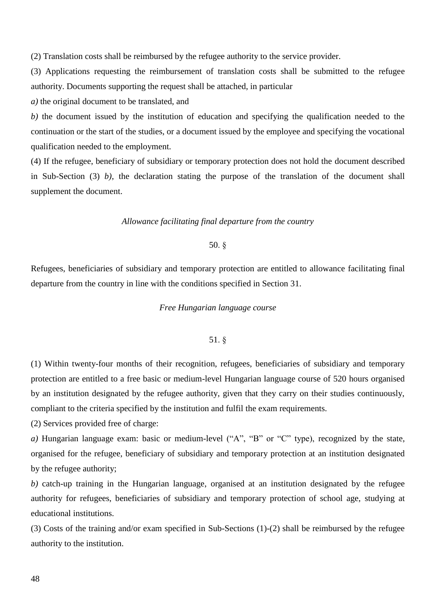(2) Translation costs shall be reimbursed by the refugee authority to the service provider.

(3) Applications requesting the reimbursement of translation costs shall be submitted to the refugee authority. Documents supporting the request shall be attached, in particular

*a)* the original document to be translated, and

*b)* the document issued by the institution of education and specifying the qualification needed to the continuation or the start of the studies, or a document issued by the employee and specifying the vocational qualification needed to the employment.

(4) If the refugee, beneficiary of subsidiary or temporary protection does not hold the document described in Sub-Section (3) *b)*, the declaration stating the purpose of the translation of the document shall supplement the document.

### *Allowance facilitating final departure from the country*

### 50. §

Refugees, beneficiaries of subsidiary and temporary protection are entitled to allowance facilitating final departure from the country in line with the conditions specified in Section 31.

### *Free Hungarian language course*

### 51. §

(1) Within twenty-four months of their recognition, refugees, beneficiaries of subsidiary and temporary protection are entitled to a free basic or medium-level Hungarian language course of 520 hours organised by an institution designated by the refugee authority, given that they carry on their studies continuously, compliant to the criteria specified by the institution and fulfil the exam requirements.

(2) Services provided free of charge:

*a)* Hungarian language exam: basic or medium-level ("A", "B" or "C" type), recognized by the state, organised for the refugee, beneficiary of subsidiary and temporary protection at an institution designated by the refugee authority;

*b)* catch-up training in the Hungarian language, organised at an institution designated by the refugee authority for refugees, beneficiaries of subsidiary and temporary protection of school age, studying at educational institutions.

(3) Costs of the training and/or exam specified in Sub-Sections (1)-(2) shall be reimbursed by the refugee authority to the institution.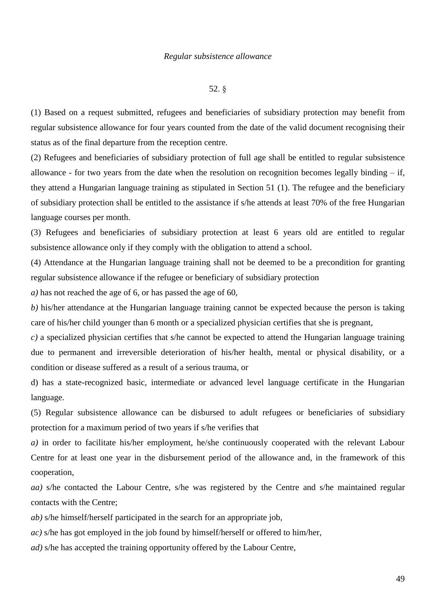### *Regular subsistence allowance*

#### 52. §

(1) Based on a request submitted, refugees and beneficiaries of subsidiary protection may benefit from regular subsistence allowance for four years counted from the date of the valid document recognising their status as of the final departure from the reception centre.

(2) Refugees and beneficiaries of subsidiary protection of full age shall be entitled to regular subsistence allowance - for two years from the date when the resolution on recognition becomes legally binding  $-$  if, they attend a Hungarian language training as stipulated in Section 51 (1). The refugee and the beneficiary of subsidiary protection shall be entitled to the assistance if s/he attends at least 70% of the free Hungarian language courses per month.

(3) Refugees and beneficiaries of subsidiary protection at least 6 years old are entitled to regular subsistence allowance only if they comply with the obligation to attend a school.

(4) Attendance at the Hungarian language training shall not be deemed to be a precondition for granting regular subsistence allowance if the refugee or beneficiary of subsidiary protection

*a)* has not reached the age of 6, or has passed the age of 60,

*b)* his/her attendance at the Hungarian language training cannot be expected because the person is taking care of his/her child younger than 6 month or a specialized physician certifies that she is pregnant,

*c)* a specialized physician certifies that s/he cannot be expected to attend the Hungarian language training due to permanent and irreversible deterioration of his/her health, mental or physical disability, or a condition or disease suffered as a result of a serious trauma, or

d) has a state-recognized basic, intermediate or advanced level language certificate in the Hungarian language.

(5) Regular subsistence allowance can be disbursed to adult refugees or beneficiaries of subsidiary protection for a maximum period of two years if s/he verifies that

*a)* in order to facilitate his/her employment, he/she continuously cooperated with the relevant Labour Centre for at least one year in the disbursement period of the allowance and, in the framework of this cooperation,

*aa)* s/he contacted the Labour Centre, s/he was registered by the Centre and s/he maintained regular contacts with the Centre;

*ab)* s/he himself/herself participated in the search for an appropriate job,

*ac)* s/he has got employed in the job found by himself/herself or offered to him/her,

*ad)* s/he has accepted the training opportunity offered by the Labour Centre,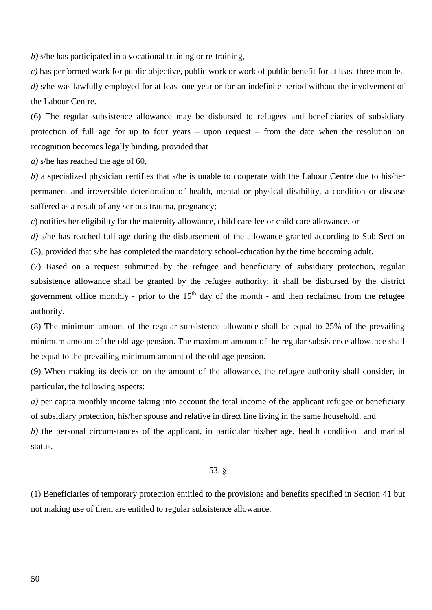*b)* s/he has participated in a vocational training or re-training,

*c)* has performed work for public objective, public work or work of public benefit for at least three months. *d)* s/he was lawfully employed for at least one year or for an indefinite period without the involvement of the Labour Centre.

(6) The regular subsistence allowance may be disbursed to refugees and beneficiaries of subsidiary protection of full age for up to four years – upon request – from the date when the resolution on recognition becomes legally binding, provided that

*a)* s/he has reached the age of 60,

*b)* a specialized physician certifies that s/he is unable to cooperate with the Labour Centre due to his/her permanent and irreversible deterioration of health, mental or physical disability, a condition or disease suffered as a result of any serious trauma, pregnancy;

*c*) notifies her eligibility for the maternity allowance, child care fee or child care allowance, or

*d)* s/he has reached full age during the disbursement of the allowance granted according to Sub-Section (3), provided that s/he has completed the mandatory school-education by the time becoming adult.

(7) Based on a request submitted by the refugee and beneficiary of subsidiary protection, regular subsistence allowance shall be granted by the refugee authority; it shall be disbursed by the district government office monthly - prior to the  $15<sup>th</sup>$  day of the month - and then reclaimed from the refugee authority.

(8) The minimum amount of the regular subsistence allowance shall be equal to 25% of the prevailing minimum amount of the old-age pension. The maximum amount of the regular subsistence allowance shall be equal to the prevailing minimum amount of the old-age pension.

(9) When making its decision on the amount of the allowance, the refugee authority shall consider, in particular, the following aspects:

*a*) per capita monthly income taking into account the total income of the applicant refugee or beneficiary of subsidiary protection, his/her spouse and relative in direct line living in the same household, and

*b)* the personal circumstances of the applicant, in particular his/her age, health condition and marital status.

### 53. §

(1) Beneficiaries of temporary protection entitled to the provisions and benefits specified in Section 41 but not making use of them are entitled to regular subsistence allowance.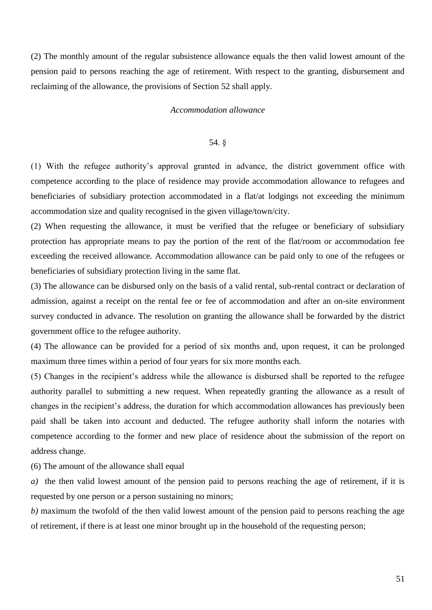(2) The monthly amount of the regular subsistence allowance equals the then valid lowest amount of the pension paid to persons reaching the age of retirement. With respect to the granting, disbursement and reclaiming of the allowance, the provisions of Section 52 shall apply.

#### *Accommodation allowance*

#### 54. §

(1) With the refugee authority's approval granted in advance, the district government office with competence according to the place of residence may provide accommodation allowance to refugees and beneficiaries of subsidiary protection accommodated in a flat/at lodgings not exceeding the minimum accommodation size and quality recognised in the given village/town/city.

(2) When requesting the allowance, it must be verified that the refugee or beneficiary of subsidiary protection has appropriate means to pay the portion of the rent of the flat/room or accommodation fee exceeding the received allowance. Accommodation allowance can be paid only to one of the refugees or beneficiaries of subsidiary protection living in the same flat.

(3) The allowance can be disbursed only on the basis of a valid rental, sub-rental contract or declaration of admission, against a receipt on the rental fee or fee of accommodation and after an on-site environment survey conducted in advance. The resolution on granting the allowance shall be forwarded by the district government office to the refugee authority.

(4) The allowance can be provided for a period of six months and, upon request, it can be prolonged maximum three times within a period of four years for six more months each.

(5) Changes in the recipient's address while the allowance is disbursed shall be reported to the refugee authority parallel to submitting a new request. When repeatedly granting the allowance as a result of changes in the recipient's address, the duration for which accommodation allowances has previously been paid shall be taken into account and deducted. The refugee authority shall inform the notaries with competence according to the former and new place of residence about the submission of the report on address change.

(6) The amount of the allowance shall equal

*a)* the then valid lowest amount of the pension paid to persons reaching the age of retirement, if it is requested by one person or a person sustaining no minors;

*b)* maximum the twofold of the then valid lowest amount of the pension paid to persons reaching the age of retirement, if there is at least one minor brought up in the household of the requesting person;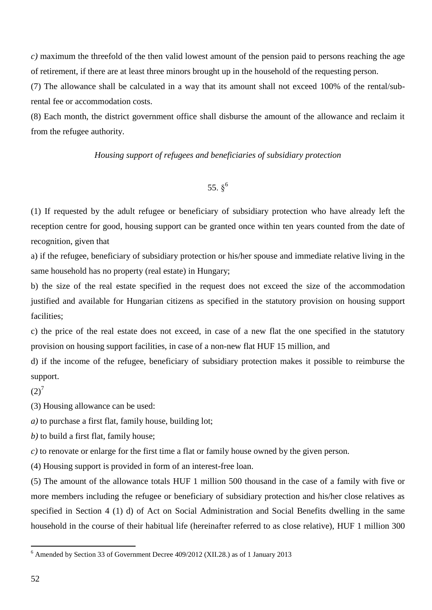*c)* maximum the threefold of the then valid lowest amount of the pension paid to persons reaching the age of retirement, if there are at least three minors brought up in the household of the requesting person.

(7) The allowance shall be calculated in a way that its amount shall not exceed 100% of the rental/subrental fee or accommodation costs.

(8) Each month, the district government office shall disburse the amount of the allowance and reclaim it from the refugee authority.

# *Housing support of refugees and beneficiaries of subsidiary protection*

# 55.  $8^6$

(1) If requested by the adult refugee or beneficiary of subsidiary protection who have already left the reception centre for good, housing support can be granted once within ten years counted from the date of recognition, given that

a) if the refugee, beneficiary of subsidiary protection or his/her spouse and immediate relative living in the same household has no property (real estate) in Hungary;

b) the size of the real estate specified in the request does not exceed the size of the accommodation justified and available for Hungarian citizens as specified in the statutory provision on housing support facilities;

c) the price of the real estate does not exceed, in case of a new flat the one specified in the statutory provision on housing support facilities, in case of a non-new flat HUF 15 million, and

d) if the income of the refugee, beneficiary of subsidiary protection makes it possible to reimburse the support.

# $(2)^7$

(3) Housing allowance can be used:

*a)* to purchase a first flat, family house, building lot;

*b)* to build a first flat, family house;

*c)* to renovate or enlarge for the first time a flat or family house owned by the given person.

(4) Housing support is provided in form of an interest-free loan.

(5) The amount of the allowance totals HUF 1 million 500 thousand in the case of a family with five or more members including the refugee or beneficiary of subsidiary protection and his/her close relatives as specified in Section 4 (1) d) of Act on Social Administration and Social Benefits dwelling in the same household in the course of their habitual life (hereinafter referred to as close relative), HUF 1 million 300

<sup>6</sup> Amended by Section 33 of Government Decree 409/2012 (XII.28.) as of 1 January 2013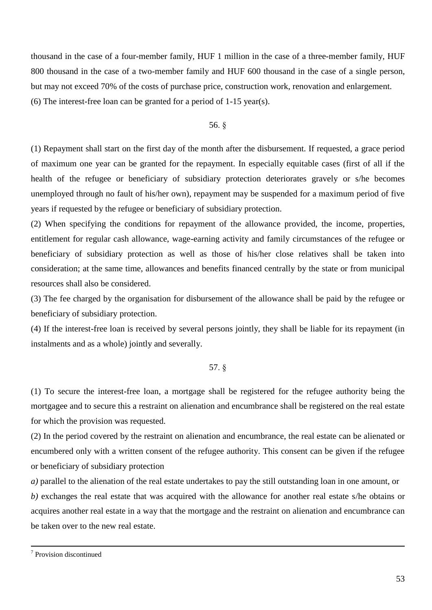thousand in the case of a four-member family, HUF 1 million in the case of a three-member family, HUF 800 thousand in the case of a two-member family and HUF 600 thousand in the case of a single person, but may not exceed 70% of the costs of purchase price, construction work, renovation and enlargement. (6) The interest-free loan can be granted for a period of 1-15 year(s).

## 56. §

(1) Repayment shall start on the first day of the month after the disbursement. If requested, a grace period of maximum one year can be granted for the repayment. In especially equitable cases (first of all if the health of the refugee or beneficiary of subsidiary protection deteriorates gravely or s/he becomes unemployed through no fault of his/her own), repayment may be suspended for a maximum period of five years if requested by the refugee or beneficiary of subsidiary protection.

(2) When specifying the conditions for repayment of the allowance provided, the income, properties, entitlement for regular cash allowance, wage-earning activity and family circumstances of the refugee or beneficiary of subsidiary protection as well as those of his/her close relatives shall be taken into consideration; at the same time, allowances and benefits financed centrally by the state or from municipal resources shall also be considered.

(3) The fee charged by the organisation for disbursement of the allowance shall be paid by the refugee or beneficiary of subsidiary protection.

(4) If the interest-free loan is received by several persons jointly, they shall be liable for its repayment (in instalments and as a whole) jointly and severally.

#### 57. §

(1) To secure the interest-free loan, a mortgage shall be registered for the refugee authority being the mortgagee and to secure this a restraint on alienation and encumbrance shall be registered on the real estate for which the provision was requested.

(2) In the period covered by the restraint on alienation and encumbrance, the real estate can be alienated or encumbered only with a written consent of the refugee authority. This consent can be given if the refugee or beneficiary of subsidiary protection

*a)* parallel to the alienation of the real estate undertakes to pay the still outstanding loan in one amount, or *b)* exchanges the real estate that was acquired with the allowance for another real estate s/he obtains or acquires another real estate in a way that the mortgage and the restraint on alienation and encumbrance can be taken over to the new real estate.

<sup>7</sup> Provision discontinued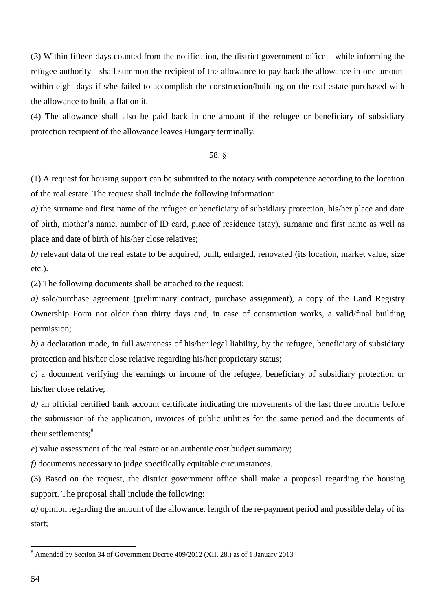(3) Within fifteen days counted from the notification, the district government office – while informing the refugee authority - shall summon the recipient of the allowance to pay back the allowance in one amount within eight days if s/he failed to accomplish the construction/building on the real estate purchased with the allowance to build a flat on it.

(4) The allowance shall also be paid back in one amount if the refugee or beneficiary of subsidiary protection recipient of the allowance leaves Hungary terminally.

# 58. §

(1) A request for housing support can be submitted to the notary with competence according to the location of the real estate. The request shall include the following information:

*a)* the surname and first name of the refugee or beneficiary of subsidiary protection, his/her place and date of birth, mother's name, number of ID card, place of residence (stay), surname and first name as well as place and date of birth of his/her close relatives;

*b)* relevant data of the real estate to be acquired, built, enlarged, renovated (its location, market value, size etc.).

(2) The following documents shall be attached to the request:

*a)* sale/purchase agreement (preliminary contract, purchase assignment), a copy of the Land Registry Ownership Form not older than thirty days and, in case of construction works, a valid/final building permission;

*b)* a declaration made, in full awareness of his/her legal liability, by the refugee, beneficiary of subsidiary protection and his/her close relative regarding his/her proprietary status;

*c)* a document verifying the earnings or income of the refugee, beneficiary of subsidiary protection or his/her close relative;

*d)* an official certified bank account certificate indicating the movements of the last three months before the submission of the application, invoices of public utilities for the same period and the documents of their settlements:<sup>8</sup>

*e*) value assessment of the real estate or an authentic cost budget summary;

*f)* documents necessary to judge specifically equitable circumstances.

(3) Based on the request, the district government office shall make a proposal regarding the housing support. The proposal shall include the following:

*a)* opinion regarding the amount of the allowance, length of the re-payment period and possible delay of its start;

<sup>&</sup>lt;sup>8</sup> Amended by Section 34 of Government Decree 409/2012 (XII. 28.) as of 1 January 2013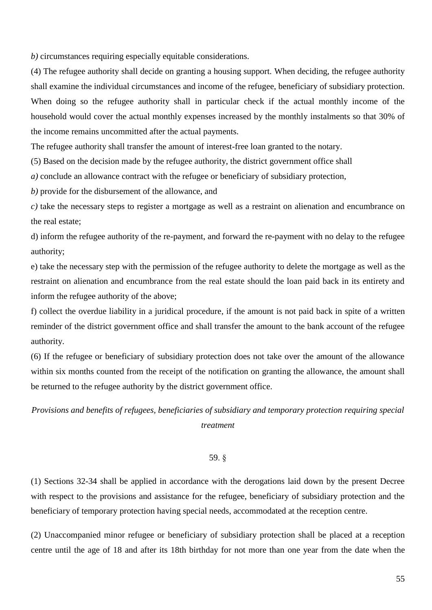*b)* circumstances requiring especially equitable considerations.

(4) The refugee authority shall decide on granting a housing support. When deciding, the refugee authority shall examine the individual circumstances and income of the refugee, beneficiary of subsidiary protection. When doing so the refugee authority shall in particular check if the actual monthly income of the household would cover the actual monthly expenses increased by the monthly instalments so that 30% of the income remains uncommitted after the actual payments.

The refugee authority shall transfer the amount of interest-free loan granted to the notary.

(5) Based on the decision made by the refugee authority, the district government office shall

*a)* conclude an allowance contract with the refugee or beneficiary of subsidiary protection,

*b)* provide for the disbursement of the allowance, and

*c)* take the necessary steps to register a mortgage as well as a restraint on alienation and encumbrance on the real estate;

d) inform the refugee authority of the re-payment, and forward the re-payment with no delay to the refugee authority;

e) take the necessary step with the permission of the refugee authority to delete the mortgage as well as the restraint on alienation and encumbrance from the real estate should the loan paid back in its entirety and inform the refugee authority of the above;

f) collect the overdue liability in a juridical procedure, if the amount is not paid back in spite of a written reminder of the district government office and shall transfer the amount to the bank account of the refugee authority.

(6) If the refugee or beneficiary of subsidiary protection does not take over the amount of the allowance within six months counted from the receipt of the notification on granting the allowance, the amount shall be returned to the refugee authority by the district government office.

# *Provisions and benefits of refugees, beneficiaries of subsidiary and temporary protection requiring special treatment*

### 59. §

(1) Sections 32-34 shall be applied in accordance with the derogations laid down by the present Decree with respect to the provisions and assistance for the refugee, beneficiary of subsidiary protection and the beneficiary of temporary protection having special needs, accommodated at the reception centre.

(2) Unaccompanied minor refugee or beneficiary of subsidiary protection shall be placed at a reception centre until the age of 18 and after its 18th birthday for not more than one year from the date when the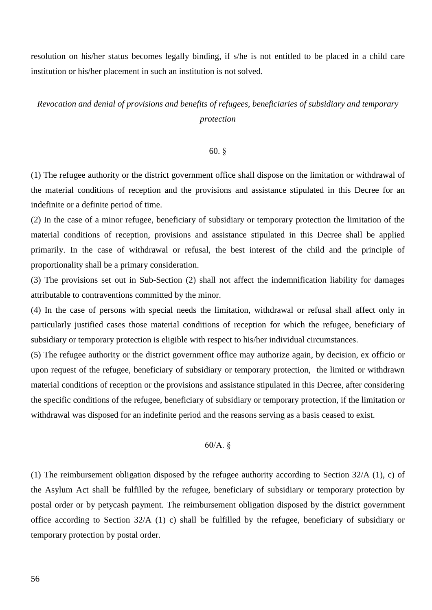resolution on his/her status becomes legally binding, if s/he is not entitled to be placed in a child care institution or his/her placement in such an institution is not solved.

# *Revocation and denial of provisions and benefits of refugees, beneficiaries of subsidiary and temporary protection*

### 60. §

(1) The refugee authority or the district government office shall dispose on the limitation or withdrawal of the material conditions of reception and the provisions and assistance stipulated in this Decree for an indefinite or a definite period of time.

(2) In the case of a minor refugee, beneficiary of subsidiary or temporary protection the limitation of the material conditions of reception, provisions and assistance stipulated in this Decree shall be applied primarily. In the case of withdrawal or refusal, the best interest of the child and the principle of proportionality shall be a primary consideration.

(3) The provisions set out in Sub-Section (2) shall not affect the indemnification liability for damages attributable to contraventions committed by the minor.

(4) In the case of persons with special needs the limitation, withdrawal or refusal shall affect only in particularly justified cases those material conditions of reception for which the refugee, beneficiary of subsidiary or temporary protection is eligible with respect to his/her individual circumstances.

(5) The refugee authority or the district government office may authorize again, by decision, ex officio or upon request of the refugee, beneficiary of subsidiary or temporary protection, the limited or withdrawn material conditions of reception or the provisions and assistance stipulated in this Decree, after considering the specific conditions of the refugee, beneficiary of subsidiary or temporary protection, if the limitation or withdrawal was disposed for an indefinite period and the reasons serving as a basis ceased to exist.

# 60/A. §

(1) The reimbursement obligation disposed by the refugee authority according to Section 32/A (1), c) of the Asylum Act shall be fulfilled by the refugee, beneficiary of subsidiary or temporary protection by postal order or by petycash payment. The reimbursement obligation disposed by the district government office according to Section 32/A (1) c) shall be fulfilled by the refugee, beneficiary of subsidiary or temporary protection by postal order.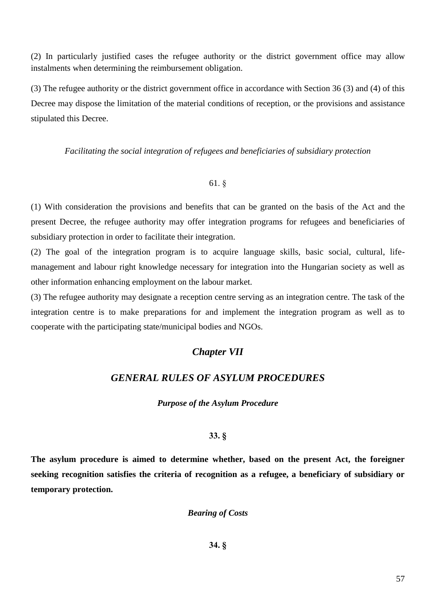(2) In particularly justified cases the refugee authority or the district government office may allow instalments when determining the reimbursement obligation.

(3) The refugee authority or the district government office in accordance with Section 36 (3) and (4) of this Decree may dispose the limitation of the material conditions of reception, or the provisions and assistance stipulated this Decree.

*Facilitating the social integration of refugees and beneficiaries of subsidiary protection*

# 61. §

(1) With consideration the provisions and benefits that can be granted on the basis of the Act and the present Decree, the refugee authority may offer integration programs for refugees and beneficiaries of subsidiary protection in order to facilitate their integration.

(2) The goal of the integration program is to acquire language skills, basic social, cultural, lifemanagement and labour right knowledge necessary for integration into the Hungarian society as well as other information enhancing employment on the labour market.

(3) The refugee authority may designate a reception centre serving as an integration centre. The task of the integration centre is to make preparations for and implement the integration program as well as to cooperate with the participating state/municipal bodies and NGOs.

# *Chapter VII*

# *GENERAL RULES OF ASYLUM PROCEDURES*

# *Purpose of the Asylum Procedure*

# **33. §**

**The asylum procedure is aimed to determine whether, based on the present Act, the foreigner seeking recognition satisfies the criteria of recognition as a refugee, a beneficiary of subsidiary or temporary protection.**

*Bearing of Costs*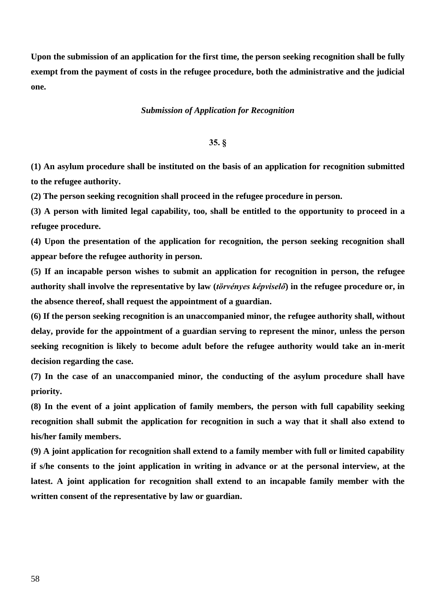**Upon the submission of an application for the first time, the person seeking recognition shall be fully exempt from the payment of costs in the refugee procedure, both the administrative and the judicial one.**

#### *Submission of Application for Recognition*

### **35. §**

**(1) An asylum procedure shall be instituted on the basis of an application for recognition submitted to the refugee authority.**

**(2) The person seeking recognition shall proceed in the refugee procedure in person.**

**(3) A person with limited legal capability, too, shall be entitled to the opportunity to proceed in a refugee procedure.**

**(4) Upon the presentation of the application for recognition, the person seeking recognition shall appear before the refugee authority in person.**

**(5) If an incapable person wishes to submit an application for recognition in person, the refugee authority shall involve the representative by law (***törvényes képviselő***) in the refugee procedure or, in the absence thereof, shall request the appointment of a guardian.**

**(6) If the person seeking recognition is an unaccompanied minor, the refugee authority shall, without delay, provide for the appointment of a guardian serving to represent the minor, unless the person seeking recognition is likely to become adult before the refugee authority would take an in-merit decision regarding the case.**

**(7) In the case of an unaccompanied minor, the conducting of the asylum procedure shall have priority.**

**(8) In the event of a joint application of family members, the person with full capability seeking recognition shall submit the application for recognition in such a way that it shall also extend to his/her family members.**

**(9) A joint application for recognition shall extend to a family member with full or limited capability if s/he consents to the joint application in writing in advance or at the personal interview, at the latest. A joint application for recognition shall extend to an incapable family member with the written consent of the representative by law or guardian.**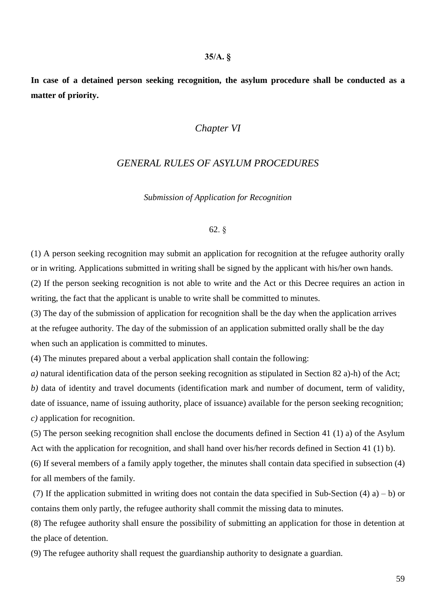#### **35/A. §**

**In case of a detained person seeking recognition, the asylum procedure shall be conducted as a matter of priority.**

# *Chapter VI*

# *GENERAL RULES OF ASYLUM PROCEDURES*

*Submission of Application for Recognition*

### 62. §

(1) A person seeking recognition may submit an application for recognition at the refugee authority orally or in writing. Applications submitted in writing shall be signed by the applicant with his/her own hands. (2) If the person seeking recognition is not able to write and the Act or this Decree requires an action in writing, the fact that the applicant is unable to write shall be committed to minutes.

(3) The day of the submission of application for recognition shall be the day when the application arrives at the refugee authority. The day of the submission of an application submitted orally shall be the day when such an application is committed to minutes.

(4) The minutes prepared about a verbal application shall contain the following:

*a)* natural identification data of the person seeking recognition as stipulated in Section 82 a)-h) of the Act; *b)* data of identity and travel documents (identification mark and number of document, term of validity, date of issuance, name of issuing authority, place of issuance) available for the person seeking recognition; *c)* application for recognition.

(5) The person seeking recognition shall enclose the documents defined in Section 41 (1) a) of the Asylum Act with the application for recognition, and shall hand over his/her records defined in Section 41 (1) b).

(6) If several members of a family apply together, the minutes shall contain data specified in subsection (4) for all members of the family.

(7) If the application submitted in writing does not contain the data specified in Sub-Section (4) a) – b) or contains them only partly, the refugee authority shall commit the missing data to minutes.

(8) The refugee authority shall ensure the possibility of submitting an application for those in detention at the place of detention.

(9) The refugee authority shall request the guardianship authority to designate a guardian.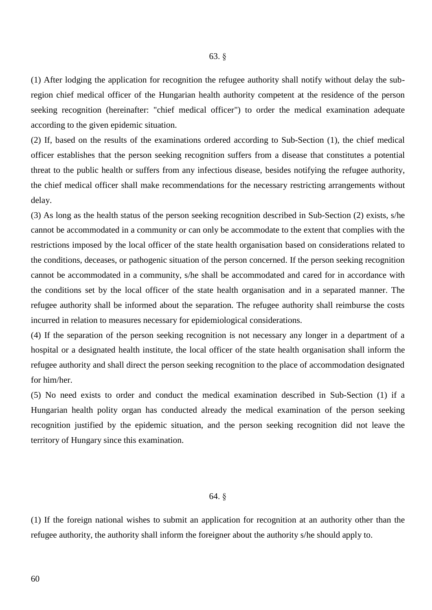(1) After lodging the application for recognition the refugee authority shall notify without delay the subregion chief medical officer of the Hungarian health authority competent at the residence of the person seeking recognition (hereinafter: "chief medical officer") to order the medical examination adequate according to the given epidemic situation.

(2) If, based on the results of the examinations ordered according to Sub-Section (1), the chief medical officer establishes that the person seeking recognition suffers from a disease that constitutes a potential threat to the public health or suffers from any infectious disease, besides notifying the refugee authority, the chief medical officer shall make recommendations for the necessary restricting arrangements without delay.

(3) As long as the health status of the person seeking recognition described in Sub-Section (2) exists, s/he cannot be accommodated in a community or can only be accommodate to the extent that complies with the restrictions imposed by the local officer of the state health organisation based on considerations related to the conditions, deceases, or pathogenic situation of the person concerned. If the person seeking recognition cannot be accommodated in a community, s/he shall be accommodated and cared for in accordance with the conditions set by the local officer of the state health organisation and in a separated manner. The refugee authority shall be informed about the separation. The refugee authority shall reimburse the costs incurred in relation to measures necessary for epidemiological considerations.

(4) If the separation of the person seeking recognition is not necessary any longer in a department of a hospital or a designated health institute, the local officer of the state health organisation shall inform the refugee authority and shall direct the person seeking recognition to the place of accommodation designated for him/her.

(5) No need exists to order and conduct the medical examination described in Sub-Section (1) if a Hungarian health polity organ has conducted already the medical examination of the person seeking recognition justified by the epidemic situation, and the person seeking recognition did not leave the territory of Hungary since this examination.

### 64. §

(1) If the foreign national wishes to submit an application for recognition at an authority other than the refugee authority, the authority shall inform the foreigner about the authority s/he should apply to.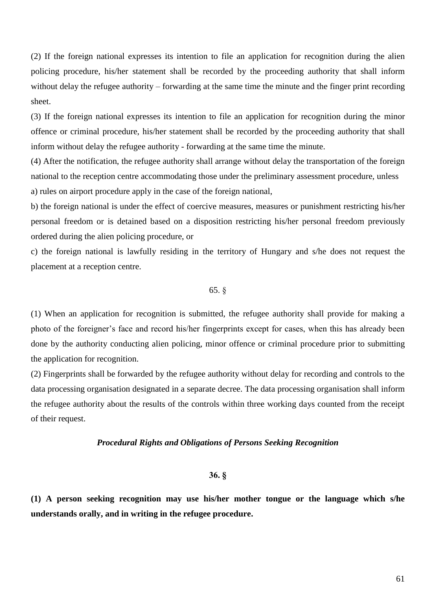(2) If the foreign national expresses its intention to file an application for recognition during the alien policing procedure, his/her statement shall be recorded by the proceeding authority that shall inform without delay the refugee authority – forwarding at the same time the minute and the finger print recording sheet.

(3) If the foreign national expresses its intention to file an application for recognition during the minor offence or criminal procedure, his/her statement shall be recorded by the proceeding authority that shall inform without delay the refugee authority - forwarding at the same time the minute.

(4) After the notification, the refugee authority shall arrange without delay the transportation of the foreign national to the reception centre accommodating those under the preliminary assessment procedure, unless a) rules on airport procedure apply in the case of the foreign national,

b) the foreign national is under the effect of coercive measures, measures or punishment restricting his/her personal freedom or is detained based on a disposition restricting his/her personal freedom previously ordered during the alien policing procedure, or

c) the foreign national is lawfully residing in the territory of Hungary and s/he does not request the placement at a reception centre.

# 65. §

(1) When an application for recognition is submitted, the refugee authority shall provide for making a photo of the foreigner's face and record his/her fingerprints except for cases, when this has already been done by the authority conducting alien policing, minor offence or criminal procedure prior to submitting the application for recognition.

(2) Fingerprints shall be forwarded by the refugee authority without delay for recording and controls to the data processing organisation designated in a separate decree. The data processing organisation shall inform the refugee authority about the results of the controls within three working days counted from the receipt of their request.

#### *Procedural Rights and Obligations of Persons Seeking Recognition*

### **36. §**

**(1) A person seeking recognition may use his/her mother tongue or the language which s/he understands orally, and in writing in the refugee procedure.**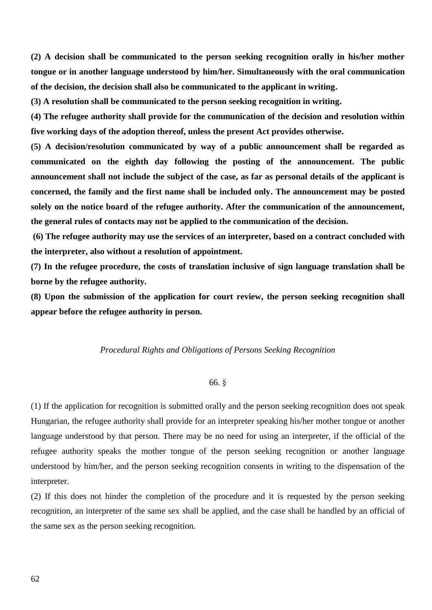**(2) A decision shall be communicated to the person seeking recognition orally in his/her mother tongue or in another language understood by him/her. Simultaneously with the oral communication of the decision, the decision shall also be communicated to the applicant in writing.**

**(3) A resolution shall be communicated to the person seeking recognition in writing.**

**(4) The refugee authority shall provide for the communication of the decision and resolution within five working days of the adoption thereof, unless the present Act provides otherwise.**

**(5) A decision/resolution communicated by way of a public announcement shall be regarded as communicated on the eighth day following the posting of the announcement. The public announcement shall not include the subject of the case, as far as personal details of the applicant is concerned, the family and the first name shall be included only. The announcement may be posted solely on the notice board of the refugee authority. After the communication of the announcement, the general rules of contacts may not be applied to the communication of the decision.**

**(6) The refugee authority may use the services of an interpreter, based on a contract concluded with the interpreter, also without a resolution of appointment.**

**(7) In the refugee procedure, the costs of translation inclusive of sign language translation shall be borne by the refugee authority.**

**(8) Upon the submission of the application for court review, the person seeking recognition shall appear before the refugee authority in person.**

#### *Procedural Rights and Obligations of Persons Seeking Recognition*

# 66. §

(1) If the application for recognition is submitted orally and the person seeking recognition does not speak Hungarian, the refugee authority shall provide for an interpreter speaking his/her mother tongue or another language understood by that person. There may be no need for using an interpreter, if the official of the refugee authority speaks the mother tongue of the person seeking recognition or another language understood by him/her, and the person seeking recognition consents in writing to the dispensation of the interpreter.

(2) If this does not hinder the completion of the procedure and it is requested by the person seeking recognition, an interpreter of the same sex shall be applied, and the case shall be handled by an official of the same sex as the person seeking recognition.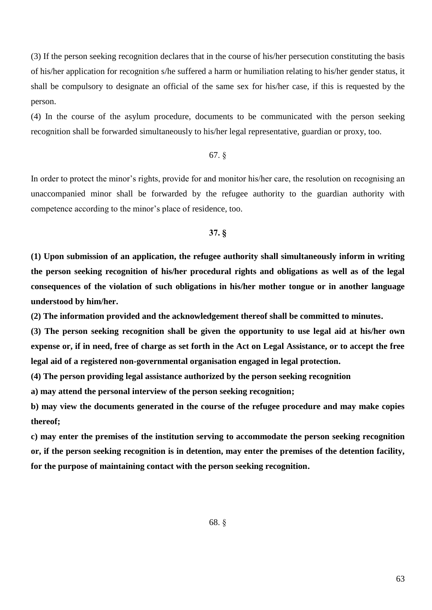(3) If the person seeking recognition declares that in the course of his/her persecution constituting the basis of his/her application for recognition s/he suffered a harm or humiliation relating to his/her gender status, it shall be compulsory to designate an official of the same sex for his/her case, if this is requested by the person.

(4) In the course of the asylum procedure, documents to be communicated with the person seeking recognition shall be forwarded simultaneously to his/her legal representative, guardian or proxy, too.

# 67. §

In order to protect the minor's rights, provide for and monitor his/her care, the resolution on recognising an unaccompanied minor shall be forwarded by the refugee authority to the guardian authority with competence according to the minor's place of residence, too.

# **37. §**

**(1) Upon submission of an application, the refugee authority shall simultaneously inform in writing the person seeking recognition of his/her procedural rights and obligations as well as of the legal consequences of the violation of such obligations in his/her mother tongue or in another language understood by him/her.**

**(2) The information provided and the acknowledgement thereof shall be committed to minutes.**

**(3) The person seeking recognition shall be given the opportunity to use legal aid at his/her own expense or, if in need, free of charge as set forth in the Act on Legal Assistance, or to accept the free legal aid of a registered non-governmental organisation engaged in legal protection.**

**(4) The person providing legal assistance authorized by the person seeking recognition**

**a) may attend the personal interview of the person seeking recognition;**

**b) may view the documents generated in the course of the refugee procedure and may make copies thereof;**

**c) may enter the premises of the institution serving to accommodate the person seeking recognition or, if the person seeking recognition is in detention, may enter the premises of the detention facility, for the purpose of maintaining contact with the person seeking recognition.**

68. §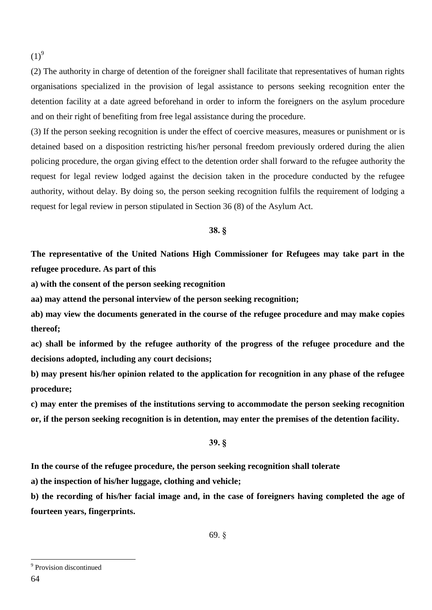$(1)^9$ 

(2) The authority in charge of detention of the foreigner shall facilitate that representatives of human rights organisations specialized in the provision of legal assistance to persons seeking recognition enter the detention facility at a date agreed beforehand in order to inform the foreigners on the asylum procedure and on their right of benefiting from free legal assistance during the procedure.

(3) If the person seeking recognition is under the effect of coercive measures, measures or punishment or is detained based on a disposition restricting his/her personal freedom previously ordered during the alien policing procedure, the organ giving effect to the detention order shall forward to the refugee authority the request for legal review lodged against the decision taken in the procedure conducted by the refugee authority, without delay. By doing so, the person seeking recognition fulfils the requirement of lodging a request for legal review in person stipulated in Section 36 (8) of the Asylum Act.

### **38. §**

**The representative of the United Nations High Commissioner for Refugees may take part in the refugee procedure. As part of this**

**a) with the consent of the person seeking recognition**

**aa) may attend the personal interview of the person seeking recognition;**

**ab) may view the documents generated in the course of the refugee procedure and may make copies thereof;**

**ac) shall be informed by the refugee authority of the progress of the refugee procedure and the decisions adopted, including any court decisions;**

**b) may present his/her opinion related to the application for recognition in any phase of the refugee procedure;**

**c) may enter the premises of the institutions serving to accommodate the person seeking recognition or, if the person seeking recognition is in detention, may enter the premises of the detention facility.**

### **39. §**

**In the course of the refugee procedure, the person seeking recognition shall tolerate**

**a) the inspection of his/her luggage, clothing and vehicle;**

**b) the recording of his/her facial image and, in the case of foreigners having completed the age of fourteen years, fingerprints.**

<sup>&</sup>lt;sup>9</sup> Provision discontinued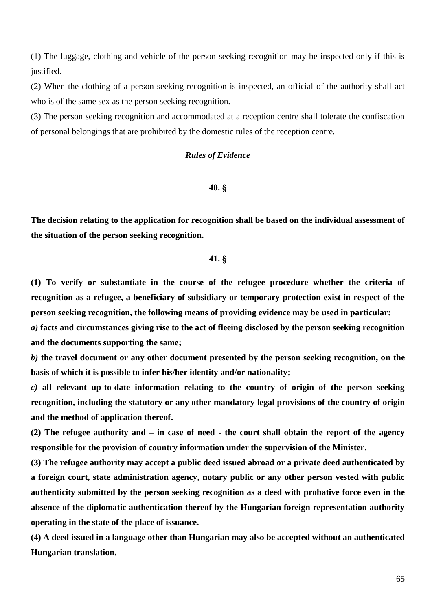(1) The luggage, clothing and vehicle of the person seeking recognition may be inspected only if this is justified.

(2) When the clothing of a person seeking recognition is inspected, an official of the authority shall act who is of the same sex as the person seeking recognition.

(3) The person seeking recognition and accommodated at a reception centre shall tolerate the confiscation of personal belongings that are prohibited by the domestic rules of the reception centre.

# *Rules of Evidence*

#### **40. §**

**The decision relating to the application for recognition shall be based on the individual assessment of the situation of the person seeking recognition.**

# **41. §**

**(1) To verify or substantiate in the course of the refugee procedure whether the criteria of recognition as a refugee, a beneficiary of subsidiary or temporary protection exist in respect of the person seeking recognition, the following means of providing evidence may be used in particular:**

*a)* **facts and circumstances giving rise to the act of fleeing disclosed by the person seeking recognition and the documents supporting the same;**

*b)* **the travel document or any other document presented by the person seeking recognition, on the basis of which it is possible to infer his/her identity and/or nationality;**

*c)* **all relevant up-to-date information relating to the country of origin of the person seeking recognition, including the statutory or any other mandatory legal provisions of the country of origin and the method of application thereof.**

**(2) The refugee authority and – in case of need - the court shall obtain the report of the agency responsible for the provision of country information under the supervision of the Minister.**

**(3) The refugee authority may accept a public deed issued abroad or a private deed authenticated by a foreign court, state administration agency, notary public or any other person vested with public authenticity submitted by the person seeking recognition as a deed with probative force even in the absence of the diplomatic authentication thereof by the Hungarian foreign representation authority operating in the state of the place of issuance.**

**(4) A deed issued in a language other than Hungarian may also be accepted without an authenticated Hungarian translation.**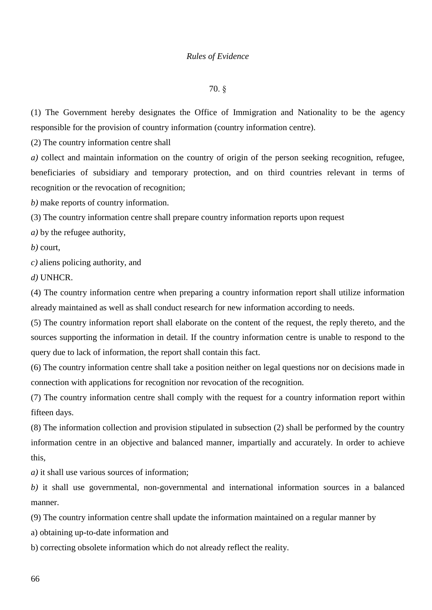### *Rules of Evidence*

#### 70. §

(1) The Government hereby designates the Office of Immigration and Nationality to be the agency responsible for the provision of country information (country information centre).

(2) The country information centre shall

*a)* collect and maintain information on the country of origin of the person seeking recognition, refugee, beneficiaries of subsidiary and temporary protection, and on third countries relevant in terms of recognition or the revocation of recognition;

*b)* make reports of country information.

(3) The country information centre shall prepare country information reports upon request

*a)* by the refugee authority,

*b)* court,

*c)* aliens policing authority, and

*d)* UNHCR.

(4) The country information centre when preparing a country information report shall utilize information already maintained as well as shall conduct research for new information according to needs.

(5) The country information report shall elaborate on the content of the request, the reply thereto, and the sources supporting the information in detail. If the country information centre is unable to respond to the query due to lack of information, the report shall contain this fact.

(6) The country information centre shall take a position neither on legal questions nor on decisions made in connection with applications for recognition nor revocation of the recognition.

(7) The country information centre shall comply with the request for a country information report within fifteen days.

(8) The information collection and provision stipulated in subsection (2) shall be performed by the country information centre in an objective and balanced manner, impartially and accurately. In order to achieve this,

*a)* it shall use various sources of information;

*b)* it shall use governmental, non-governmental and international information sources in a balanced manner.

(9) The country information centre shall update the information maintained on a regular manner by

a) obtaining up-to-date information and

b) correcting obsolete information which do not already reflect the reality.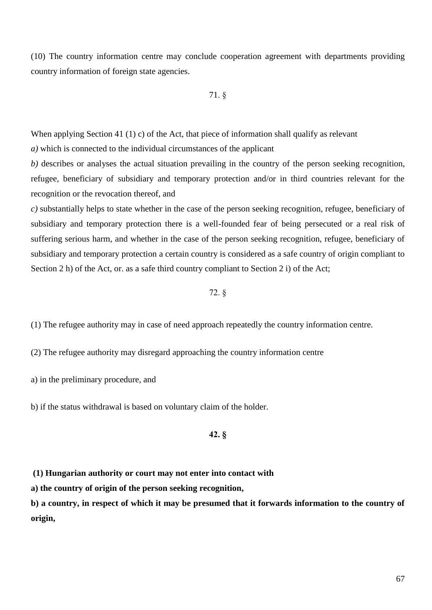(10) The country information centre may conclude cooperation agreement with departments providing country information of foreign state agencies.

71. §

When applying Section 41 (1) c) of the Act, that piece of information shall qualify as relevant

*a)* which is connected to the individual circumstances of the applicant

*b)* describes or analyses the actual situation prevailing in the country of the person seeking recognition, refugee, beneficiary of subsidiary and temporary protection and/or in third countries relevant for the recognition or the revocation thereof, and

*c)* substantially helps to state whether in the case of the person seeking recognition, refugee, beneficiary of subsidiary and temporary protection there is a well-founded fear of being persecuted or a real risk of suffering serious harm, and whether in the case of the person seeking recognition, refugee, beneficiary of subsidiary and temporary protection a certain country is considered as a safe country of origin compliant to Section 2 h) of the Act, or. as a safe third country compliant to Section 2 i) of the Act;

## 72. §

(1) The refugee authority may in case of need approach repeatedly the country information centre.

(2) The refugee authority may disregard approaching the country information centre

a) in the preliminary procedure, and

b) if the status withdrawal is based on voluntary claim of the holder.

# **42. §**

**(1) Hungarian authority or court may not enter into contact with**

**a) the country of origin of the person seeking recognition,**

**b) a country, in respect of which it may be presumed that it forwards information to the country of origin,**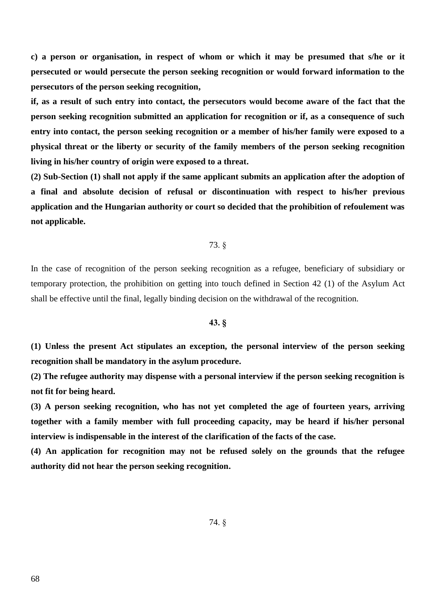**c) a person or organisation, in respect of whom or which it may be presumed that s/he or it persecuted or would persecute the person seeking recognition or would forward information to the persecutors of the person seeking recognition,**

**if, as a result of such entry into contact, the persecutors would become aware of the fact that the person seeking recognition submitted an application for recognition or if, as a consequence of such entry into contact, the person seeking recognition or a member of his/her family were exposed to a physical threat or the liberty or security of the family members of the person seeking recognition living in his/her country of origin were exposed to a threat.**

**(2) Sub-Section (1) shall not apply if the same applicant submits an application after the adoption of a final and absolute decision of refusal or discontinuation with respect to his/her previous application and the Hungarian authority or court so decided that the prohibition of refoulement was not applicable.**

### 73. §

In the case of recognition of the person seeking recognition as a refugee, beneficiary of subsidiary or temporary protection, the prohibition on getting into touch defined in Section 42 (1) of the Asylum Act shall be effective until the final, legally binding decision on the withdrawal of the recognition.

### **43. §**

**(1) Unless the present Act stipulates an exception, the personal interview of the person seeking recognition shall be mandatory in the asylum procedure.**

**(2) The refugee authority may dispense with a personal interview if the person seeking recognition is not fit for being heard.**

**(3) A person seeking recognition, who has not yet completed the age of fourteen years, arriving together with a family member with full proceeding capacity, may be heard if his/her personal interview is indispensable in the interest of the clarification of the facts of the case.**

**(4) An application for recognition may not be refused solely on the grounds that the refugee authority did not hear the person seeking recognition.**

74. §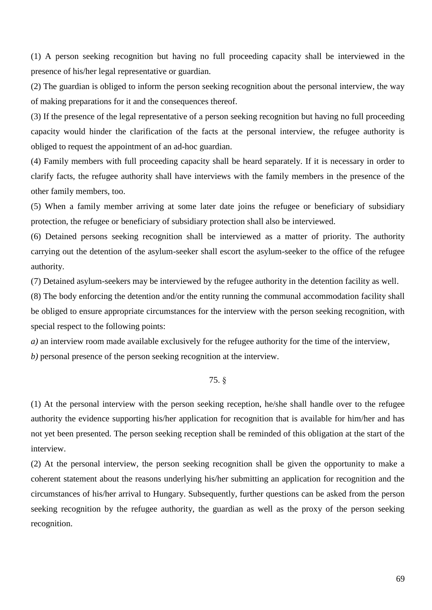(1) A person seeking recognition but having no full proceeding capacity shall be interviewed in the presence of his/her legal representative or guardian.

(2) The guardian is obliged to inform the person seeking recognition about the personal interview, the way of making preparations for it and the consequences thereof.

(3) If the presence of the legal representative of a person seeking recognition but having no full proceeding capacity would hinder the clarification of the facts at the personal interview, the refugee authority is obliged to request the appointment of an ad-hoc guardian.

(4) Family members with full proceeding capacity shall be heard separately. If it is necessary in order to clarify facts, the refugee authority shall have interviews with the family members in the presence of the other family members, too.

(5) When a family member arriving at some later date joins the refugee or beneficiary of subsidiary protection, the refugee or beneficiary of subsidiary protection shall also be interviewed.

(6) Detained persons seeking recognition shall be interviewed as a matter of priority. The authority carrying out the detention of the asylum-seeker shall escort the asylum-seeker to the office of the refugee authority.

(7) Detained asylum-seekers may be interviewed by the refugee authority in the detention facility as well.

(8) The body enforcing the detention and/or the entity running the communal accommodation facility shall be obliged to ensure appropriate circumstances for the interview with the person seeking recognition, with special respect to the following points:

*a)* an interview room made available exclusively for the refugee authority for the time of the interview, *b)* personal presence of the person seeking recognition at the interview.

# 75. §

(1) At the personal interview with the person seeking reception, he/she shall handle over to the refugee authority the evidence supporting his/her application for recognition that is available for him/her and has not yet been presented. The person seeking reception shall be reminded of this obligation at the start of the interview.

(2) At the personal interview, the person seeking recognition shall be given the opportunity to make a coherent statement about the reasons underlying his/her submitting an application for recognition and the circumstances of his/her arrival to Hungary. Subsequently, further questions can be asked from the person seeking recognition by the refugee authority, the guardian as well as the proxy of the person seeking recognition.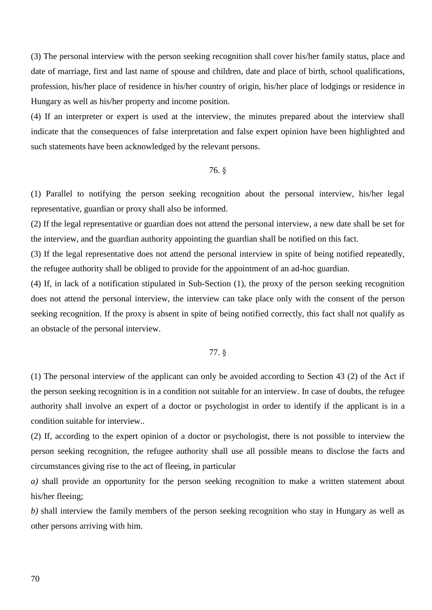(3) The personal interview with the person seeking recognition shall cover his/her family status, place and date of marriage, first and last name of spouse and children, date and place of birth, school qualifications, profession, his/her place of residence in his/her country of origin, his/her place of lodgings or residence in Hungary as well as his/her property and income position.

(4) If an interpreter or expert is used at the interview, the minutes prepared about the interview shall indicate that the consequences of false interpretation and false expert opinion have been highlighted and such statements have been acknowledged by the relevant persons.

### 76. §

(1) Parallel to notifying the person seeking recognition about the personal interview, his/her legal representative, guardian or proxy shall also be informed.

(2) If the legal representative or guardian does not attend the personal interview, a new date shall be set for the interview, and the guardian authority appointing the guardian shall be notified on this fact.

(3) If the legal representative does not attend the personal interview in spite of being notified repeatedly, the refugee authority shall be obliged to provide for the appointment of an ad-hoc guardian.

(4) If, in lack of a notification stipulated in Sub-Section (1), the proxy of the person seeking recognition does not attend the personal interview, the interview can take place only with the consent of the person seeking recognition. If the proxy is absent in spite of being notified correctly, this fact shall not qualify as an obstacle of the personal interview.

### 77. §

(1) The personal interview of the applicant can only be avoided according to Section 43 (2) of the Act if the person seeking recognition is in a condition not suitable for an interview. In case of doubts, the refugee authority shall involve an expert of a doctor or psychologist in order to identify if the applicant is in a condition suitable for interview..

(2) If, according to the expert opinion of a doctor or psychologist, there is not possible to interview the person seeking recognition, the refugee authority shall use all possible means to disclose the facts and circumstances giving rise to the act of fleeing, in particular

*a)* shall provide an opportunity for the person seeking recognition to make a written statement about his/her fleeing;

*b)* shall interview the family members of the person seeking recognition who stay in Hungary as well as other persons arriving with him.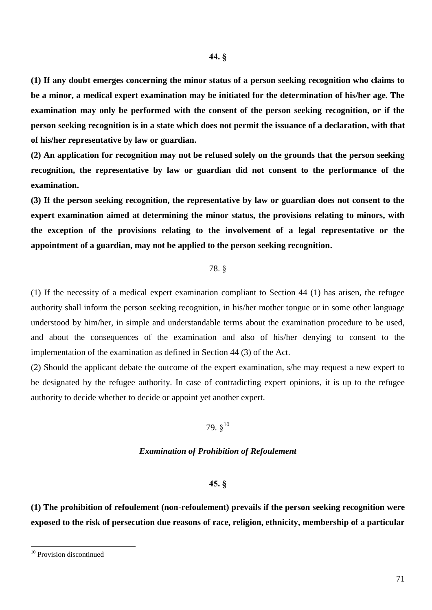**(1) If any doubt emerges concerning the minor status of a person seeking recognition who claims to be a minor, a medical expert examination may be initiated for the determination of his/her age. The examination may only be performed with the consent of the person seeking recognition, or if the person seeking recognition is in a state which does not permit the issuance of a declaration, with that of his/her representative by law or guardian.**

**(2) An application for recognition may not be refused solely on the grounds that the person seeking recognition, the representative by law or guardian did not consent to the performance of the examination.**

**(3) If the person seeking recognition, the representative by law or guardian does not consent to the expert examination aimed at determining the minor status, the provisions relating to minors, with the exception of the provisions relating to the involvement of a legal representative or the appointment of a guardian, may not be applied to the person seeking recognition.**

# 78. §

(1) If the necessity of a medical expert examination compliant to Section 44 (1) has arisen, the refugee authority shall inform the person seeking recognition, in his/her mother tongue or in some other language understood by him/her, in simple and understandable terms about the examination procedure to be used, and about the consequences of the examination and also of his/her denying to consent to the implementation of the examination as defined in Section 44 (3) of the Act.

(2) Should the applicant debate the outcome of the expert examination, s/he may request a new expert to be designated by the refugee authority. In case of contradicting expert opinions, it is up to the refugee authority to decide whether to decide or appoint yet another expert.

# 79.  $\S^{10}$

#### *Examination of Prohibition of Refoulement*

#### **45. §**

**(1) The prohibition of refoulement (non-refoulement) prevails if the person seeking recognition were exposed to the risk of persecution due reasons of race, religion, ethnicity, membership of a particular** 

<sup>&</sup>lt;sup>10</sup> Provision discontinued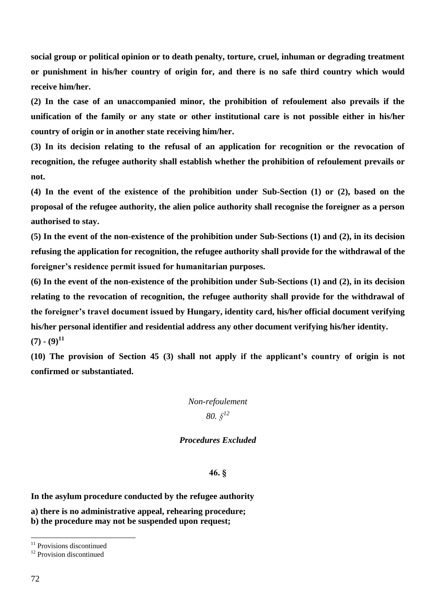**social group or political opinion or to death penalty, torture, cruel, inhuman or degrading treatment or punishment in his/her country of origin for, and there is no safe third country which would receive him/her.**

**(2) In the case of an unaccompanied minor, the prohibition of refoulement also prevails if the unification of the family or any state or other institutional care is not possible either in his/her country of origin or in another state receiving him/her.**

**(3) In its decision relating to the refusal of an application for recognition or the revocation of recognition, the refugee authority shall establish whether the prohibition of refoulement prevails or not.**

**(4) In the event of the existence of the prohibition under Sub-Section (1) or (2), based on the proposal of the refugee authority, the alien police authority shall recognise the foreigner as a person authorised to stay.**

**(5) In the event of the non-existence of the prohibition under Sub-Sections (1) and (2), in its decision refusing the application for recognition, the refugee authority shall provide for the withdrawal of the foreigner's residence permit issued for humanitarian purposes.**

**(6) In the event of the non-existence of the prohibition under Sub-Sections (1) and (2), in its decision relating to the revocation of recognition, the refugee authority shall provide for the withdrawal of the foreigner's travel document issued by Hungary, identity card, his/her official document verifying his/her personal identifier and residential address any other document verifying his/her identity.**   $(7)$  **-**  $(9)^{11}$ 

**(10) The provision of Section 45 (3) shall not apply if the applicant's country of origin is not confirmed or substantiated.**

*Non-refoulement 80. § 12*

# *Procedures Excluded*

# **46. §**

**In the asylum procedure conducted by the refugee authority**

**a) there is no administrative appeal, rehearing procedure;**

**b) the procedure may not be suspended upon request;**

<sup>&</sup>lt;sup>11</sup> Provisions discontinued

<sup>&</sup>lt;sup>12</sup> Provision discontinued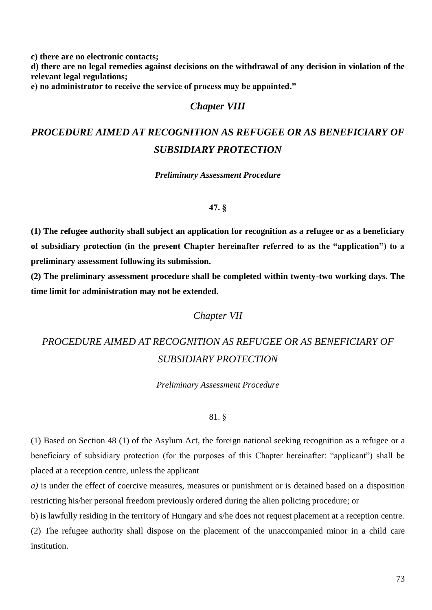**c) there are no electronic contacts;**

**d) there are no legal remedies against decisions on the withdrawal of any decision in violation of the relevant legal regulations;**

**e) no administrator to receive the service of process may be appointed."**

# *Chapter VIII*

# *PROCEDURE AIMED AT RECOGNITION AS REFUGEE OR AS BENEFICIARY OF SUBSIDIARY PROTECTION*

*Preliminary Assessment Procedure*

### **47. §**

**(1) The refugee authority shall subject an application for recognition as a refugee or as a beneficiary of subsidiary protection (in the present Chapter hereinafter referred to as the "application") to a preliminary assessment following its submission.**

**(2) The preliminary assessment procedure shall be completed within twenty-two working days. The time limit for administration may not be extended.**

## *Chapter VII*

# *PROCEDURE AIMED AT RECOGNITION AS REFUGEE OR AS BENEFICIARY OF SUBSIDIARY PROTECTION*

*Preliminary Assessment Procedure*

### 81. §

(1) Based on Section 48 (1) of the Asylum Act, the foreign national seeking recognition as a refugee or a beneficiary of subsidiary protection (for the purposes of this Chapter hereinafter: "applicant") shall be placed at a reception centre, unless the applicant

*a)* is under the effect of coercive measures, measures or punishment or is detained based on a disposition restricting his/her personal freedom previously ordered during the alien policing procedure; or

b) is lawfully residing in the territory of Hungary and s/he does not request placement at a reception centre. (2) The refugee authority shall dispose on the placement of the unaccompanied minor in a child care institution.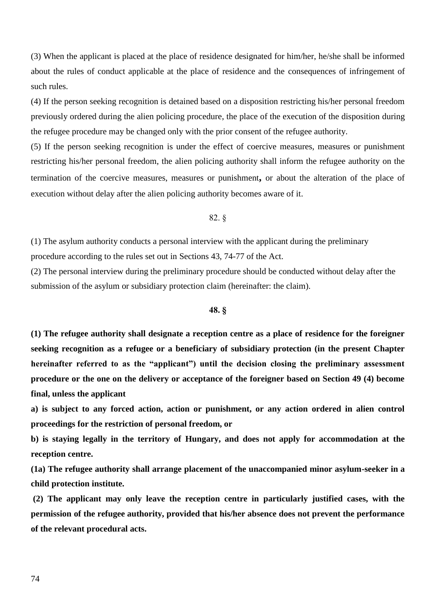(3) When the applicant is placed at the place of residence designated for him/her, he/she shall be informed about the rules of conduct applicable at the place of residence and the consequences of infringement of such rules.

(4) If the person seeking recognition is detained based on a disposition restricting his/her personal freedom previously ordered during the alien policing procedure, the place of the execution of the disposition during the refugee procedure may be changed only with the prior consent of the refugee authority.

(5) If the person seeking recognition is under the effect of coercive measures, measures or punishment restricting his/her personal freedom, the alien policing authority shall inform the refugee authority on the termination of the coercive measures, measures or punishment**,** or about the alteration of the place of execution without delay after the alien policing authority becomes aware of it.

82. §

(1) The asylum authority conducts a personal interview with the applicant during the preliminary procedure according to the rules set out in Sections 43, 74-77 of the Act.

(2) The personal interview during the preliminary procedure should be conducted without delay after the submission of the asylum or subsidiary protection claim (hereinafter: the claim).

### **48. §**

**(1) The refugee authority shall designate a reception centre as a place of residence for the foreigner seeking recognition as a refugee or a beneficiary of subsidiary protection (in the present Chapter hereinafter referred to as the "applicant") until the decision closing the preliminary assessment procedure or the one on the delivery or acceptance of the foreigner based on Section 49 (4) become final, unless the applicant** 

**a) is subject to any forced action, action or punishment, or any action ordered in alien control proceedings for the restriction of personal freedom, or**

**b) is staying legally in the territory of Hungary, and does not apply for accommodation at the reception centre.**

**(1a) The refugee authority shall arrange placement of the unaccompanied minor asylum-seeker in a child protection institute.**

**(2) The applicant may only leave the reception centre in particularly justified cases, with the permission of the refugee authority, provided that his/her absence does not prevent the performance of the relevant procedural acts.**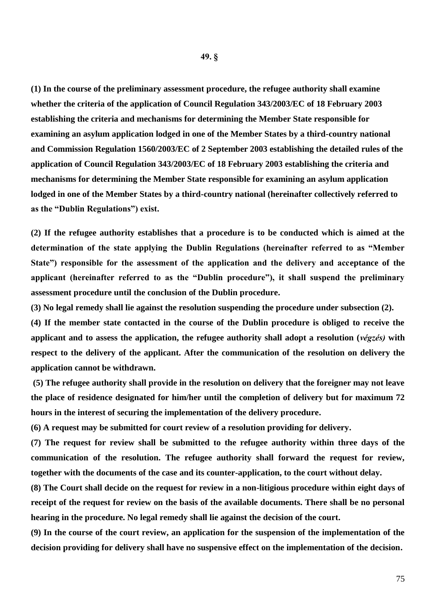**(1) In the course of the preliminary assessment procedure, the refugee authority shall examine whether the criteria of the application of Council Regulation 343/2003/EC of 18 February 2003 establishing the criteria and mechanisms for determining the Member State responsible for examining an asylum application lodged in one of the Member States by a third-country national and Commission Regulation 1560/2003/EC of 2 September 2003 establishing the detailed rules of the application of Council Regulation 343/2003/EC of 18 February 2003 establishing the criteria and mechanisms for determining the Member State responsible for examining an asylum application lodged in one of the Member States by a third-country national (hereinafter collectively referred to as the "Dublin Regulations") exist.**

**(2) If the refugee authority establishes that a procedure is to be conducted which is aimed at the determination of the state applying the Dublin Regulations (hereinafter referred to as "Member State") responsible for the assessment of the application and the delivery and acceptance of the applicant (hereinafter referred to as the "Dublin procedure"), it shall suspend the preliminary assessment procedure until the conclusion of the Dublin procedure.**

**(3) No legal remedy shall lie against the resolution suspending the procedure under subsection (2).**

**(4) If the member state contacted in the course of the Dublin procedure is obliged to receive the applicant and to assess the application, the refugee authority shall adopt a resolution (***végzés)* **with respect to the delivery of the applicant. After the communication of the resolution on delivery the application cannot be withdrawn.** 

**(5) The refugee authority shall provide in the resolution on delivery that the foreigner may not leave the place of residence designated for him/her until the completion of delivery but for maximum 72 hours in the interest of securing the implementation of the delivery procedure.**

**(6) A request may be submitted for court review of a resolution providing for delivery.**

**(7) The request for review shall be submitted to the refugee authority within three days of the communication of the resolution. The refugee authority shall forward the request for review, together with the documents of the case and its counter-application, to the court without delay.**

**(8) The Court shall decide on the request for review in a non-litigious procedure within eight days of receipt of the request for review on the basis of the available documents. There shall be no personal hearing in the procedure. No legal remedy shall lie against the decision of the court.**

**(9) In the course of the court review, an application for the suspension of the implementation of the decision providing for delivery shall have no suspensive effect on the implementation of the decision.**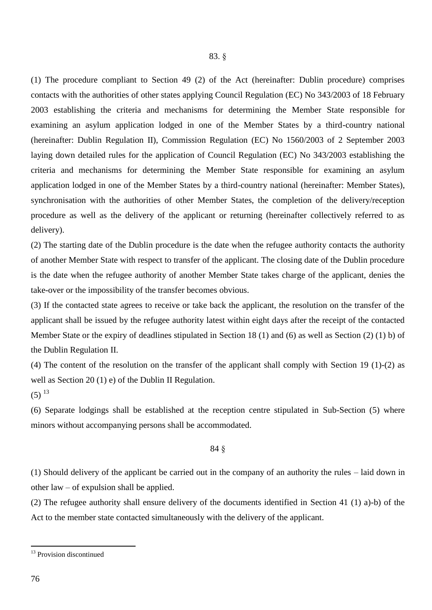### 83. §

(1) The procedure compliant to Section 49 (2) of the Act (hereinafter: Dublin procedure) comprises contacts with the authorities of other states applying Council Regulation (EC) No 343/2003 of 18 February 2003 establishing the criteria and mechanisms for determining the Member State responsible for examining an asylum application lodged in one of the Member States by a third-country national (hereinafter: Dublin Regulation II), Commission Regulation (EC) No 1560/2003 of 2 September 2003 laying down detailed rules for the application of Council Regulation (EC) No 343/2003 establishing the criteria and mechanisms for determining the Member State responsible for examining an asylum application lodged in one of the Member States by a third-country national (hereinafter: Member States), synchronisation with the authorities of other Member States, the completion of the delivery/reception procedure as well as the delivery of the applicant or returning (hereinafter collectively referred to as delivery).

(2) The starting date of the Dublin procedure is the date when the refugee authority contacts the authority of another Member State with respect to transfer of the applicant. The closing date of the Dublin procedure is the date when the refugee authority of another Member State takes charge of the applicant, denies the take-over or the impossibility of the transfer becomes obvious.

(3) If the contacted state agrees to receive or take back the applicant, the resolution on the transfer of the applicant shall be issued by the refugee authority latest within eight days after the receipt of the contacted Member State or the expiry of deadlines stipulated in Section 18 (1) and (6) as well as Section (2) (1) b) of the Dublin Regulation II.

(4) The content of the resolution on the transfer of the applicant shall comply with Section 19 (1)-(2) as well as Section 20 (1) e) of the Dublin II Regulation.

 $(5)$ <sup>13</sup>

(6) Separate lodgings shall be established at the reception centre stipulated in Sub-Section (5) where minors without accompanying persons shall be accommodated.

### 84 §

(1) Should delivery of the applicant be carried out in the company of an authority the rules – laid down in other law – of expulsion shall be applied.

(2) The refugee authority shall ensure delivery of the documents identified in Section 41 (1) a)-b) of the Act to the member state contacted simultaneously with the delivery of the applicant.

<sup>&</sup>lt;sup>13</sup> Provision discontinued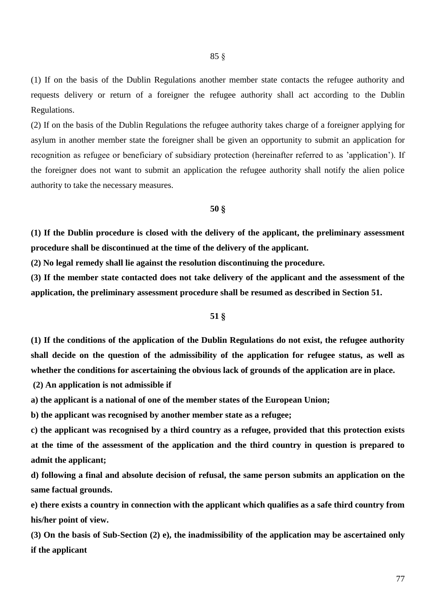(1) If on the basis of the Dublin Regulations another member state contacts the refugee authority and requests delivery or return of a foreigner the refugee authority shall act according to the Dublin Regulations.

(2) If on the basis of the Dublin Regulations the refugee authority takes charge of a foreigner applying for asylum in another member state the foreigner shall be given an opportunity to submit an application for recognition as refugee or beneficiary of subsidiary protection (hereinafter referred to as 'application'). If the foreigner does not want to submit an application the refugee authority shall notify the alien police authority to take the necessary measures.

### **50 §**

**(1) If the Dublin procedure is closed with the delivery of the applicant, the preliminary assessment procedure shall be discontinued at the time of the delivery of the applicant.**

**(2) No legal remedy shall lie against the resolution discontinuing the procedure.**

**(3) If the member state contacted does not take delivery of the applicant and the assessment of the application, the preliminary assessment procedure shall be resumed as described in Section 51.**

### **51 §**

**(1) If the conditions of the application of the Dublin Regulations do not exist, the refugee authority shall decide on the question of the admissibility of the application for refugee status, as well as whether the conditions for ascertaining the obvious lack of grounds of the application are in place.**

**(2) An application is not admissible if**

**a) the applicant is a national of one of the member states of the European Union;**

**b) the applicant was recognised by another member state as a refugee;**

**c) the applicant was recognised by a third country as a refugee, provided that this protection exists at the time of the assessment of the application and the third country in question is prepared to admit the applicant;**

**d) following a final and absolute decision of refusal, the same person submits an application on the same factual grounds.**

**e) there exists a country in connection with the applicant which qualifies as a safe third country from his/her point of view.**

**(3) On the basis of Sub-Section (2) e), the inadmissibility of the application may be ascertained only if the applicant**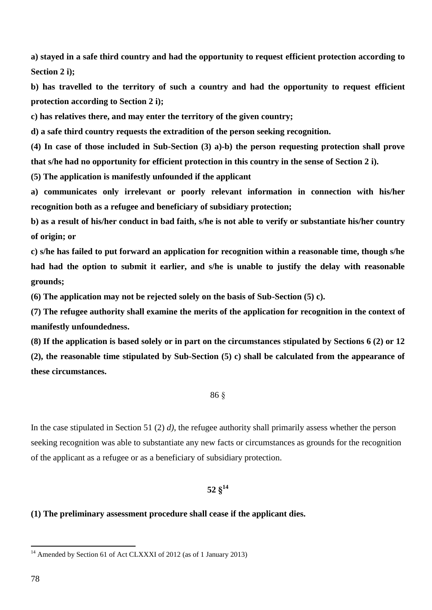**a) stayed in a safe third country and had the opportunity to request efficient protection according to Section 2 i);**

**b) has travelled to the territory of such a country and had the opportunity to request efficient protection according to Section 2 i);**

**c) has relatives there, and may enter the territory of the given country;**

**d) a safe third country requests the extradition of the person seeking recognition.**

**(4) In case of those included in Sub-Section (3) a)-b) the person requesting protection shall prove that s/he had no opportunity for efficient protection in this country in the sense of Section 2 i).**

**(5) The application is manifestly unfounded if the applicant**

**a) communicates only irrelevant or poorly relevant information in connection with his/her recognition both as a refugee and beneficiary of subsidiary protection;**

**b) as a result of his/her conduct in bad faith, s/he is not able to verify or substantiate his/her country of origin; or**

**c) s/he has failed to put forward an application for recognition within a reasonable time, though s/he had had the option to submit it earlier, and s/he is unable to justify the delay with reasonable grounds;**

**(6) The application may not be rejected solely on the basis of Sub-Section (5) c).**

**(7) The refugee authority shall examine the merits of the application for recognition in the context of manifestly unfoundedness.**

**(8) If the application is based solely or in part on the circumstances stipulated by Sections 6 (2) or 12 (2), the reasonable time stipulated by Sub-Section (5) c) shall be calculated from the appearance of these circumstances.**

### 86 §

In the case stipulated in Section 51 (2) *d)*, the refugee authority shall primarily assess whether the person seeking recognition was able to substantiate any new facts or circumstances as grounds for the recognition of the applicant as a refugee or as a beneficiary of subsidiary protection.

# **52 § 14**

### **(1) The preliminary assessment procedure shall cease if the applicant dies.**

<sup>&</sup>lt;sup>14</sup> Amended by Section 61 of Act CLXXXI of 2012 (as of 1 January 2013)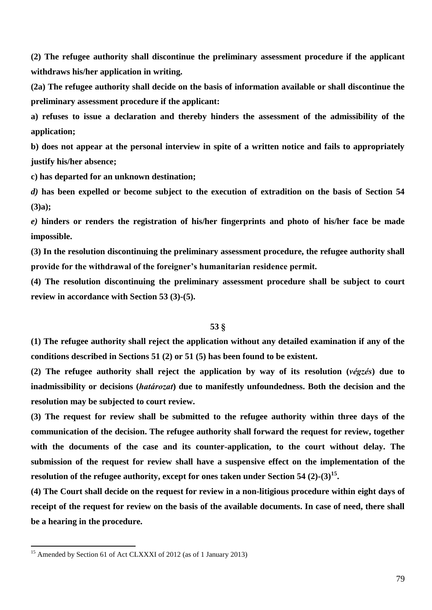**(2) The refugee authority shall discontinue the preliminary assessment procedure if the applicant withdraws his/her application in writing.**

**(2a) The refugee authority shall decide on the basis of information available or shall discontinue the preliminary assessment procedure if the applicant:**

**a) refuses to issue a declaration and thereby hinders the assessment of the admissibility of the application;**

**b) does not appear at the personal interview in spite of a written notice and fails to appropriately justify his/her absence;**

**c) has departed for an unknown destination;**

*d)* **has been expelled or become subject to the execution of extradition on the basis of Section 54 (3)a);**

*e)* **hinders or renders the registration of his/her fingerprints and photo of his/her face be made impossible.**

**(3) In the resolution discontinuing the preliminary assessment procedure, the refugee authority shall provide for the withdrawal of the foreigner's humanitarian residence permit.**

**(4) The resolution discontinuing the preliminary assessment procedure shall be subject to court review in accordance with Section 53 (3)-(5).** 

### **53 §**

**(1) The refugee authority shall reject the application without any detailed examination if any of the conditions described in Sections 51 (2) or 51 (5) has been found to be existent.**

**(2) The refugee authority shall reject the application by way of its resolution (***végzés***) due to inadmissibility or decisions (***határozat***) due to manifestly unfoundedness. Both the decision and the resolution may be subjected to court review.**

**(3) The request for review shall be submitted to the refugee authority within three days of the communication of the decision. The refugee authority shall forward the request for review, together with the documents of the case and its counter-application, to the court without delay. The submission of the request for review shall have a suspensive effect on the implementation of the resolution of the refugee authority, except for ones taken under Section 54 (2)-(3)<sup>15</sup> .** 

**(4) The Court shall decide on the request for review in a non-litigious procedure within eight days of receipt of the request for review on the basis of the available documents. In case of need, there shall be a hearing in the procedure.**

<sup>&</sup>lt;sup>15</sup> Amended by Section 61 of Act CLXXXI of 2012 (as of 1 January 2013)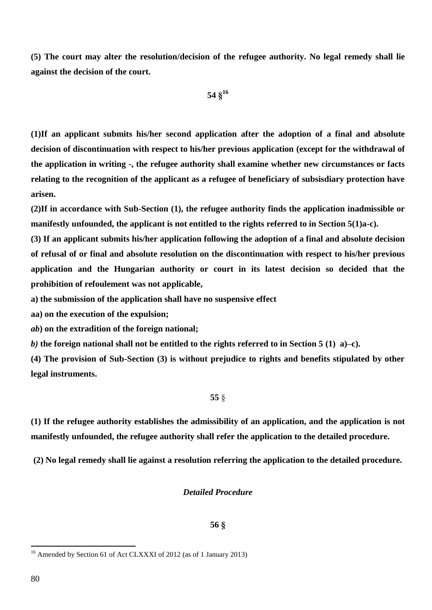**(5) The court may alter the resolution/decision of the refugee authority. No legal remedy shall lie against the decision of the court.**

$$
54\;\S^{16}
$$

**(1)If an applicant submits his/her second application after the adoption of a final and absolute decision of discontinuation with respect to his/her previous application (except for the withdrawal of the application in writing -, the refugee authority shall examine whether new circumstances or facts relating to the recognition of the applicant as a refugee of beneficiary of subsisdiary protection have arisen.**

**(2)If in accordance with Sub-Section (1), the refugee authority finds the application inadmissible or manifestly unfounded, the applicant is not entitled to the rights referred to in Section 5(1)a-c).** 

**(3) If an applicant submits his/her application following the adoption of a final and absolute decision of refusal of or final and absolute resolution on the discontinuation with respect to his/her previous application and the Hungarian authority or court in its latest decision so decided that the prohibition of refoulement was not applicable,**

**a) the submission of the application shall have no suspensive effect**

**aa) on the execution of the expulsion;**

*ab***) on the extradition of the foreign national;**

*b)* **the foreign national shall not be entitled to the rights referred to in Section 5 (1) a)–c).**

**(4) The provision of Sub-Section (3) is without prejudice to rights and benefits stipulated by other legal instruments.**

**55** §

**(1) If the refugee authority establishes the admissibility of an application, and the application is not manifestly unfounded, the refugee authority shall refer the application to the detailed procedure.**

**(2) No legal remedy shall lie against a resolution referring the application to the detailed procedure.**

# *Detailed Procedure*

### **56 §**

<sup>&</sup>lt;sup>16</sup> Amended by Section 61 of Act CLXXXI of 2012 (as of 1 January 2013)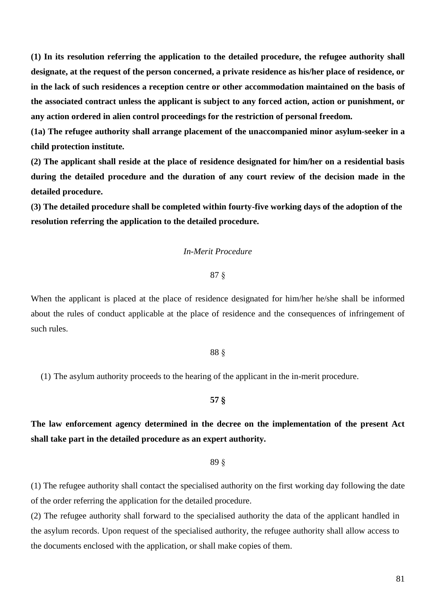**(1) In its resolution referring the application to the detailed procedure, the refugee authority shall designate, at the request of the person concerned, a private residence as his/her place of residence, or in the lack of such residences a reception centre or other accommodation maintained on the basis of the associated contract unless the applicant is subject to any forced action, action or punishment, or any action ordered in alien control proceedings for the restriction of personal freedom.**

**(1a) The refugee authority shall arrange placement of the unaccompanied minor asylum-seeker in a child protection institute.**

**(2) The applicant shall reside at the place of residence designated for him/her on a residential basis during the detailed procedure and the duration of any court review of the decision made in the detailed procedure.**

**(3) The detailed procedure shall be completed within fourty-five working days of the adoption of the resolution referring the application to the detailed procedure.**

### *In-Merit Procedure*

### 87 §

When the applicant is placed at the place of residence designated for him/her he/she shall be informed about the rules of conduct applicable at the place of residence and the consequences of infringement of such rules.

### 88 §

(1) The asylum authority proceeds to the hearing of the applicant in the in-merit procedure.

### **57 §**

**The law enforcement agency determined in the decree on the implementation of the present Act shall take part in the detailed procedure as an expert authority.**

89 §

(1) The refugee authority shall contact the specialised authority on the first working day following the date of the order referring the application for the detailed procedure.

(2) The refugee authority shall forward to the specialised authority the data of the applicant handled in the asylum records. Upon request of the specialised authority, the refugee authority shall allow access to the documents enclosed with the application, or shall make copies of them.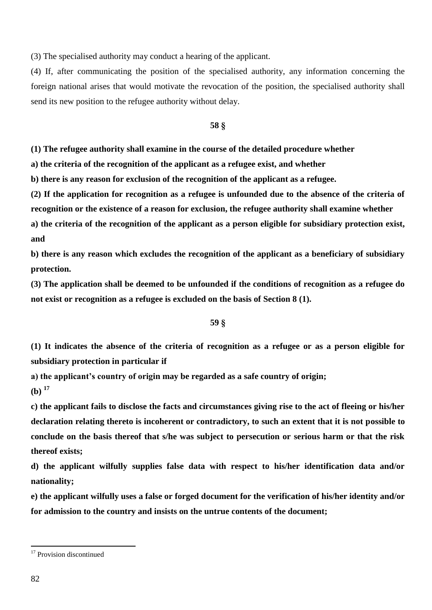(3) The specialised authority may conduct a hearing of the applicant.

(4) If, after communicating the position of the specialised authority, any information concerning the foreign national arises that would motivate the revocation of the position, the specialised authority shall send its new position to the refugee authority without delay.

### **58 §**

**(1) The refugee authority shall examine in the course of the detailed procedure whether**

**a) the criteria of the recognition of the applicant as a refugee exist, and whether**

**b) there is any reason for exclusion of the recognition of the applicant as a refugee.**

**(2) If the application for recognition as a refugee is unfounded due to the absence of the criteria of** 

**recognition or the existence of a reason for exclusion, the refugee authority shall examine whether**

**a) the criteria of the recognition of the applicant as a person eligible for subsidiary protection exist, and**

**b) there is any reason which excludes the recognition of the applicant as a beneficiary of subsidiary protection.**

**(3) The application shall be deemed to be unfounded if the conditions of recognition as a refugee do not exist or recognition as a refugee is excluded on the basis of Section 8 (1).**

## **59 §**

**(1) It indicates the absence of the criteria of recognition as a refugee or as a person eligible for subsidiary protection in particular if**

**a) the applicant's country of origin may be regarded as a safe country of origin;**

**(b) <sup>17</sup>**

**c) the applicant fails to disclose the facts and circumstances giving rise to the act of fleeing or his/her declaration relating thereto is incoherent or contradictory, to such an extent that it is not possible to conclude on the basis thereof that s/he was subject to persecution or serious harm or that the risk thereof exists;**

**d) the applicant wilfully supplies false data with respect to his/her identification data and/or nationality;**

**e) the applicant wilfully uses a false or forged document for the verification of his/her identity and/or for admission to the country and insists on the untrue contents of the document;**

<sup>&</sup>lt;sup>17</sup> Provision discontinued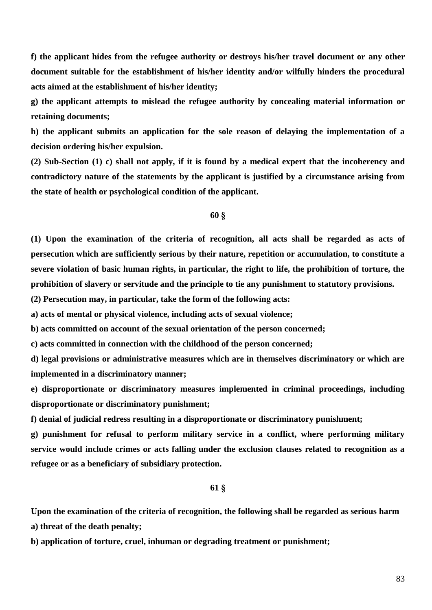**f) the applicant hides from the refugee authority or destroys his/her travel document or any other document suitable for the establishment of his/her identity and/or wilfully hinders the procedural acts aimed at the establishment of his/her identity;**

**g) the applicant attempts to mislead the refugee authority by concealing material information or retaining documents;**

**h) the applicant submits an application for the sole reason of delaying the implementation of a decision ordering his/her expulsion.**

**(2) Sub-Section (1) c) shall not apply, if it is found by a medical expert that the incoherency and contradictory nature of the statements by the applicant is justified by a circumstance arising from the state of health or psychological condition of the applicant.**

### **60 §**

**(1) Upon the examination of the criteria of recognition, all acts shall be regarded as acts of persecution which are sufficiently serious by their nature, repetition or accumulation, to constitute a severe violation of basic human rights, in particular, the right to life, the prohibition of torture, the prohibition of slavery or servitude and the principle to tie any punishment to statutory provisions.**

**(2) Persecution may, in particular, take the form of the following acts:**

**a) acts of mental or physical violence, including acts of sexual violence;**

**b) acts committed on account of the sexual orientation of the person concerned;**

**c) acts committed in connection with the childhood of the person concerned;**

**d) legal provisions or administrative measures which are in themselves discriminatory or which are implemented in a discriminatory manner;**

**e) disproportionate or discriminatory measures implemented in criminal proceedings, including disproportionate or discriminatory punishment;**

**f) denial of judicial redress resulting in a disproportionate or discriminatory punishment;**

**g) punishment for refusal to perform military service in a conflict, where performing military service would include crimes or acts falling under the exclusion clauses related to recognition as a refugee or as a beneficiary of subsidiary protection.**

### **61 §**

**Upon the examination of the criteria of recognition, the following shall be regarded as serious harm a) threat of the death penalty;**

**b) application of torture, cruel, inhuman or degrading treatment or punishment;**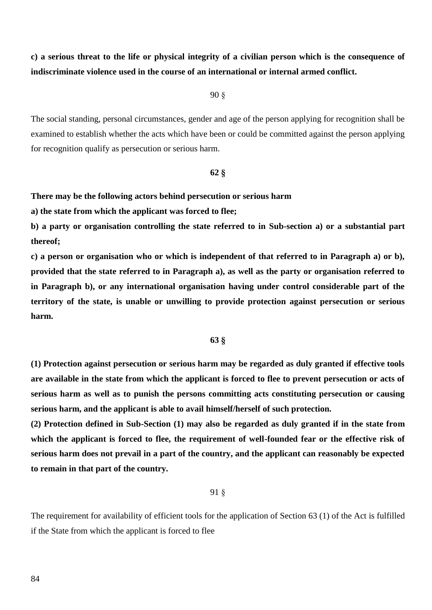**c) a serious threat to the life or physical integrity of a civilian person which is the consequence of indiscriminate violence used in the course of an international or internal armed conflict.**

90 §

The social standing, personal circumstances, gender and age of the person applying for recognition shall be examined to establish whether the acts which have been or could be committed against the person applying for recognition qualify as persecution or serious harm.

### **62 §**

### **There may be the following actors behind persecution or serious harm**

**a) the state from which the applicant was forced to flee;**

**b) a party or organisation controlling the state referred to in Sub-section a) or a substantial part thereof;**

**c) a person or organisation who or which is independent of that referred to in Paragraph a) or b), provided that the state referred to in Paragraph a), as well as the party or organisation referred to in Paragraph b), or any international organisation having under control considerable part of the territory of the state, is unable or unwilling to provide protection against persecution or serious harm.**

### **63 §**

**(1) Protection against persecution or serious harm may be regarded as duly granted if effective tools are available in the state from which the applicant is forced to flee to prevent persecution or acts of serious harm as well as to punish the persons committing acts constituting persecution or causing serious harm, and the applicant is able to avail himself/herself of such protection.**

**(2) Protection defined in Sub-Section (1) may also be regarded as duly granted if in the state from which the applicant is forced to flee, the requirement of well-founded fear or the effective risk of serious harm does not prevail in a part of the country, and the applicant can reasonably be expected to remain in that part of the country.**

### 91 §

The requirement for availability of efficient tools for the application of Section 63 (1) of the Act is fulfilled if the State from which the applicant is forced to flee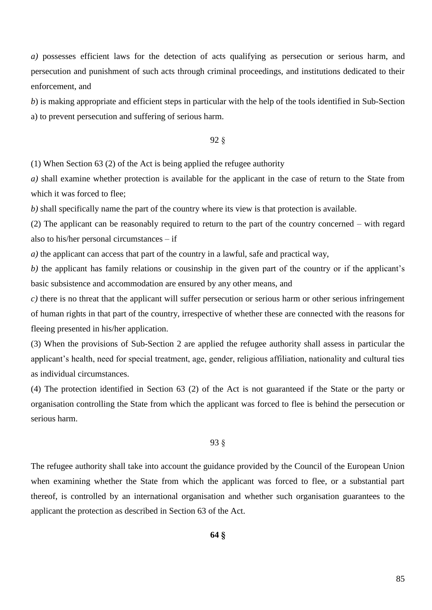*a)* possesses efficient laws for the detection of acts qualifying as persecution or serious harm, and persecution and punishment of such acts through criminal proceedings, and institutions dedicated to their enforcement, and

*b*) is making appropriate and efficient steps in particular with the help of the tools identified in Sub-Section a) to prevent persecution and suffering of serious harm.

## 92 §

(1) When Section 63 (2) of the Act is being applied the refugee authority

*a)* shall examine whether protection is available for the applicant in the case of return to the State from which it was forced to flee;

*b)* shall specifically name the part of the country where its view is that protection is available.

(2) The applicant can be reasonably required to return to the part of the country concerned – with regard also to his/her personal circumstances – if

*a)* the applicant can access that part of the country in a lawful, safe and practical way,

*b)* the applicant has family relations or cousinship in the given part of the country or if the applicant's basic subsistence and accommodation are ensured by any other means, and

*c)* there is no threat that the applicant will suffer persecution or serious harm or other serious infringement of human rights in that part of the country, irrespective of whether these are connected with the reasons for fleeing presented in his/her application.

(3) When the provisions of Sub-Section 2 are applied the refugee authority shall assess in particular the applicant's health, need for special treatment, age, gender, religious affiliation, nationality and cultural ties as individual circumstances.

(4) The protection identified in Section 63 (2) of the Act is not guaranteed if the State or the party or organisation controlling the State from which the applicant was forced to flee is behind the persecution or serious harm.

### 93 §

The refugee authority shall take into account the guidance provided by the Council of the European Union when examining whether the State from which the applicant was forced to flee, or a substantial part thereof, is controlled by an international organisation and whether such organisation guarantees to the applicant the protection as described in Section 63 of the Act.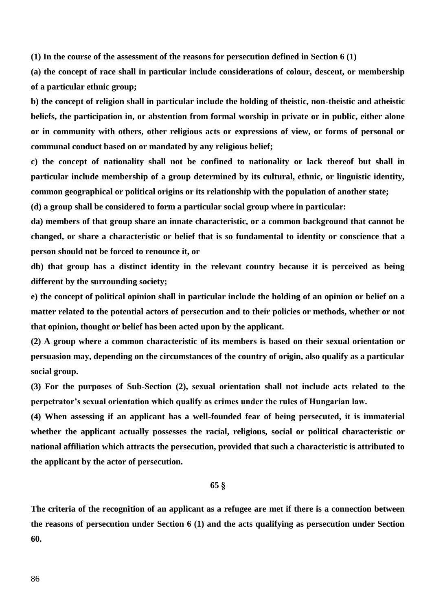**(1) In the course of the assessment of the reasons for persecution defined in Section 6 (1)**

**(a) the concept of race shall in particular include considerations of colour, descent, or membership of a particular ethnic group;**

**b) the concept of religion shall in particular include the holding of theistic, non-theistic and atheistic beliefs, the participation in, or abstention from formal worship in private or in public, either alone or in community with others, other religious acts or expressions of view, or forms of personal or communal conduct based on or mandated by any religious belief;**

**c) the concept of nationality shall not be confined to nationality or lack thereof but shall in particular include membership of a group determined by its cultural, ethnic, or linguistic identity, common geographical or political origins or its relationship with the population of another state;**

**(d) a group shall be considered to form a particular social group where in particular:**

**da) members of that group share an innate characteristic, or a common background that cannot be changed, or share a characteristic or belief that is so fundamental to identity or conscience that a person should not be forced to renounce it, or**

**db) that group has a distinct identity in the relevant country because it is perceived as being different by the surrounding society;**

**e) the concept of political opinion shall in particular include the holding of an opinion or belief on a matter related to the potential actors of persecution and to their policies or methods, whether or not that opinion, thought or belief has been acted upon by the applicant.**

**(2) A group where a common characteristic of its members is based on their sexual orientation or persuasion may, depending on the circumstances of the country of origin, also qualify as a particular social group.**

**(3) For the purposes of Sub-Section (2), sexual orientation shall not include acts related to the perpetrator's sexual orientation which qualify as crimes under the rules of Hungarian law.**

**(4) When assessing if an applicant has a well-founded fear of being persecuted, it is immaterial whether the applicant actually possesses the racial, religious, social or political characteristic or national affiliation which attracts the persecution, provided that such a characteristic is attributed to the applicant by the actor of persecution.**

### **65 §**

**The criteria of the recognition of an applicant as a refugee are met if there is a connection between the reasons of persecution under Section 6 (1) and the acts qualifying as persecution under Section 60.**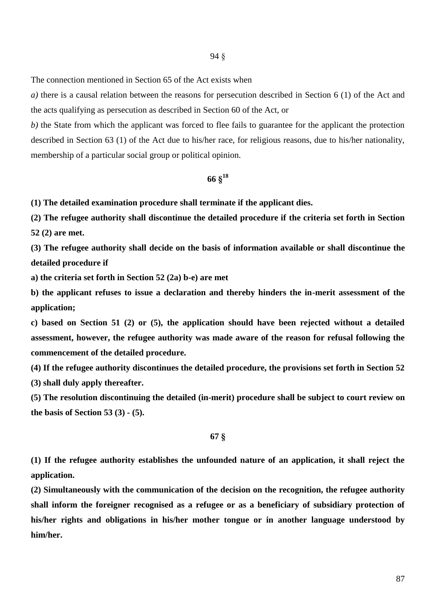The connection mentioned in Section 65 of the Act exists when

*a)* there is a causal relation between the reasons for persecution described in Section 6 (1) of the Act and the acts qualifying as persecution as described in Section 60 of the Act, or

*b*) the State from which the applicant was forced to flee fails to guarantee for the applicant the protection described in Section 63 (1) of the Act due to his/her race, for religious reasons, due to his/her nationality, membership of a particular social group or political opinion.

# **66 § 18**

**(1) The detailed examination procedure shall terminate if the applicant dies.**

**(2) The refugee authority shall discontinue the detailed procedure if the criteria set forth in Section 52 (2) are met.**

**(3) The refugee authority shall decide on the basis of information available or shall discontinue the detailed procedure if**

**a) the criteria set forth in Section 52 (2a) b-e) are met**

**b) the applicant refuses to issue a declaration and thereby hinders the in-merit assessment of the application;**

**c) based on Section 51 (2) or (5), the application should have been rejected without a detailed assessment, however, the refugee authority was made aware of the reason for refusal following the commencement of the detailed procedure.**

**(4) If the refugee authority discontinues the detailed procedure, the provisions set forth in Section 52** 

**(3) shall duly apply thereafter.**

**(5) The resolution discontinuing the detailed (in-merit) procedure shall be subject to court review on the basis of Section 53 (3) - (5).**

### **67 §**

**(1) If the refugee authority establishes the unfounded nature of an application, it shall reject the application.**

**(2) Simultaneously with the communication of the decision on the recognition, the refugee authority shall inform the foreigner recognised as a refugee or as a beneficiary of subsidiary protection of his/her rights and obligations in his/her mother tongue or in another language understood by him/her.**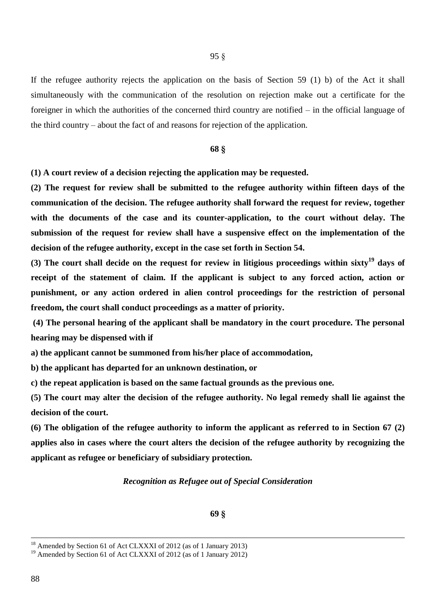If the refugee authority rejects the application on the basis of Section 59 (1) b) of the Act it shall simultaneously with the communication of the resolution on rejection make out a certificate for the foreigner in which the authorities of the concerned third country are notified – in the official language of the third country – about the fact of and reasons for rejection of the application.

### **68 §**

**(1) A court review of a decision rejecting the application may be requested.**

**(2) The request for review shall be submitted to the refugee authority within fifteen days of the communication of the decision. The refugee authority shall forward the request for review, together with the documents of the case and its counter-application, to the court without delay. The submission of the request for review shall have a suspensive effect on the implementation of the decision of the refugee authority, except in the case set forth in Section 54.** 

**(3) The court shall decide on the request for review in litigious proceedings within sixty<sup>19</sup> days of receipt of the statement of claim. If the applicant is subject to any forced action, action or punishment, or any action ordered in alien control proceedings for the restriction of personal freedom, the court shall conduct proceedings as a matter of priority.**

**(4) The personal hearing of the applicant shall be mandatory in the court procedure. The personal hearing may be dispensed with if**

**a) the applicant cannot be summoned from his/her place of accommodation,**

**b) the applicant has departed for an unknown destination, or**

**c) the repeat application is based on the same factual grounds as the previous one.**

**(5) The court may alter the decision of the refugee authority. No legal remedy shall lie against the decision of the court.**

**(6) The obligation of the refugee authority to inform the applicant as referred to in Section 67 (2) applies also in cases where the court alters the decision of the refugee authority by recognizing the applicant as refugee or beneficiary of subsidiary protection.**

### *Recognition as Refugee out of Special Consideration*

<sup>&</sup>lt;sup>18</sup> Amended by Section 61 of Act CLXXXI of 2012 (as of 1 January 2013)

<sup>&</sup>lt;sup>19</sup> Amended by Section 61 of Act CLXXXI of 2012 (as of 1 January 2012)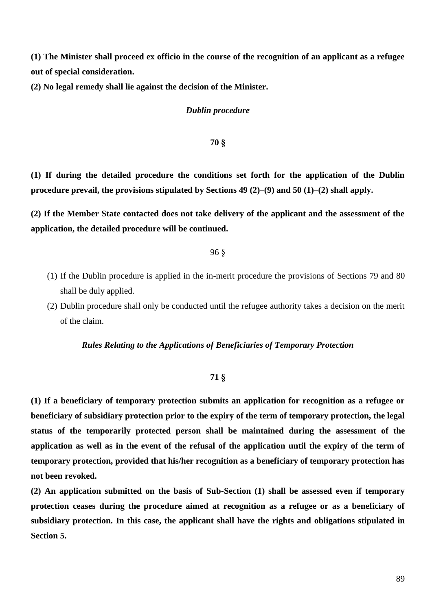**(1) The Minister shall proceed ex officio in the course of the recognition of an applicant as a refugee out of special consideration.**

**(2) No legal remedy shall lie against the decision of the Minister.**

### *Dublin procedure*

### **70 §**

**(1) If during the detailed procedure the conditions set forth for the application of the Dublin procedure prevail, the provisions stipulated by Sections 49 (2)–(9) and 50 (1)–(2) shall apply.**

**(2) If the Member State contacted does not take delivery of the applicant and the assessment of the application, the detailed procedure will be continued.**

96 §

- (1) If the Dublin procedure is applied in the in-merit procedure the provisions of Sections 79 and 80 shall be duly applied.
- (2) Dublin procedure shall only be conducted until the refugee authority takes a decision on the merit of the claim.

### *Rules Relating to the Applications of Beneficiaries of Temporary Protection*

### **71 §**

**(1) If a beneficiary of temporary protection submits an application for recognition as a refugee or beneficiary of subsidiary protection prior to the expiry of the term of temporary protection, the legal status of the temporarily protected person shall be maintained during the assessment of the application as well as in the event of the refusal of the application until the expiry of the term of temporary protection, provided that his/her recognition as a beneficiary of temporary protection has not been revoked.**

**(2) An application submitted on the basis of Sub-Section (1) shall be assessed even if temporary protection ceases during the procedure aimed at recognition as a refugee or as a beneficiary of subsidiary protection. In this case, the applicant shall have the rights and obligations stipulated in Section 5.**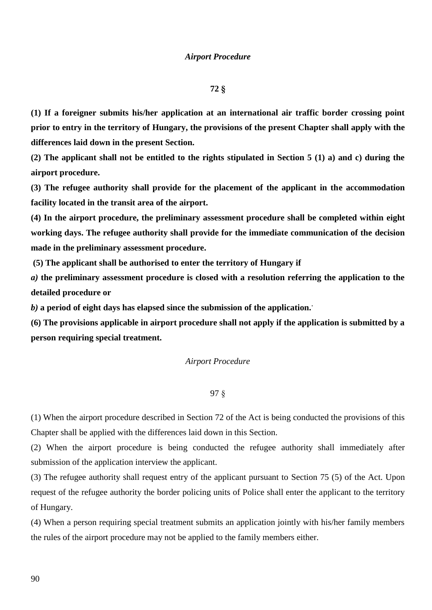### **72 §**

**(1) If a foreigner submits his/her application at an international air traffic border crossing point prior to entry in the territory of Hungary, the provisions of the present Chapter shall apply with the differences laid down in the present Section.**

**(2) The applicant shall not be entitled to the rights stipulated in Section 5 (1) a) and c) during the airport procedure.**

**(3) The refugee authority shall provide for the placement of the applicant in the accommodation facility located in the transit area of the airport.**

**(4) In the airport procedure, the preliminary assessment procedure shall be completed within eight working days. The refugee authority shall provide for the immediate communication of the decision made in the preliminary assessment procedure.**

**(5) The applicant shall be authorised to enter the territory of Hungary if**

*a)* **the preliminary assessment procedure is closed with a resolution referring the application to the detailed procedure or**

*b)* **a period of eight days has elapsed since the submission of the application..**

**(6) The provisions applicable in airport procedure shall not apply if the application is submitted by a person requiring special treatment.**

### *Airport Procedure*

### 97 §

(1) When the airport procedure described in Section 72 of the Act is being conducted the provisions of this Chapter shall be applied with the differences laid down in this Section.

(2) When the airport procedure is being conducted the refugee authority shall immediately after submission of the application interview the applicant.

(3) The refugee authority shall request entry of the applicant pursuant to Section 75 (5) of the Act. Upon request of the refugee authority the border policing units of Police shall enter the applicant to the territory of Hungary.

(4) When a person requiring special treatment submits an application jointly with his/her family members the rules of the airport procedure may not be applied to the family members either.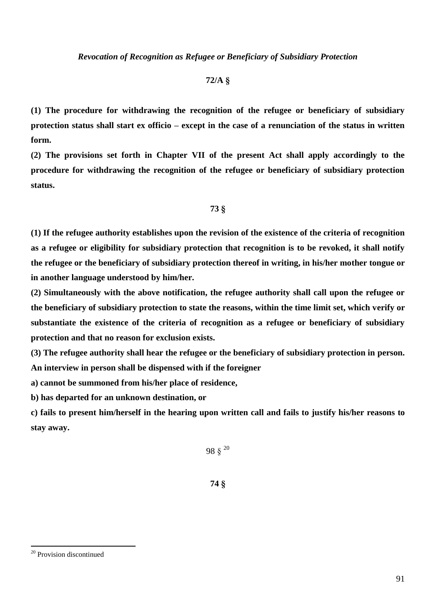# **72/A §**

**(1) The procedure for withdrawing the recognition of the refugee or beneficiary of subsidiary protection status shall start ex officio – except in the case of a renunciation of the status in written form.** 

**(2) The provisions set forth in Chapter VII of the present Act shall apply accordingly to the procedure for withdrawing the recognition of the refugee or beneficiary of subsidiary protection status.**

### **73 §**

**(1) If the refugee authority establishes upon the revision of the existence of the criteria of recognition as a refugee or eligibility for subsidiary protection that recognition is to be revoked, it shall notify the refugee or the beneficiary of subsidiary protection thereof in writing, in his/her mother tongue or in another language understood by him/her.**

**(2) Simultaneously with the above notification, the refugee authority shall call upon the refugee or the beneficiary of subsidiary protection to state the reasons, within the time limit set, which verify or substantiate the existence of the criteria of recognition as a refugee or beneficiary of subsidiary protection and that no reason for exclusion exists.**

**(3) The refugee authority shall hear the refugee or the beneficiary of subsidiary protection in person. An interview in person shall be dispensed with if the foreigner**

**a) cannot be summoned from his/her place of residence,**

**b) has departed for an unknown destination, or**

**c) fails to present him/herself in the hearing upon written call and fails to justify his/her reasons to stay away.**

 $98 \frac{1}{3}^{20}$ 

**74 §**

<sup>20</sup> Provision discontinued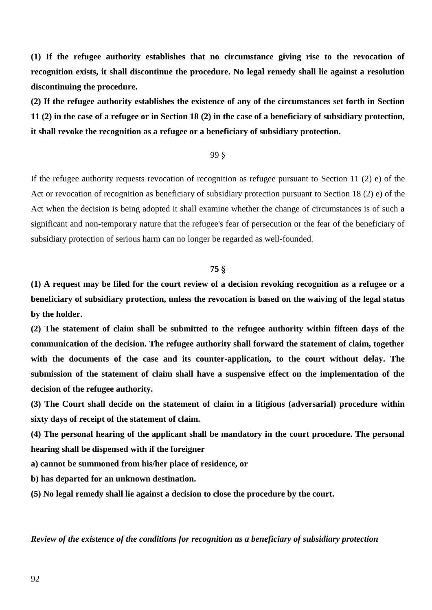**(1) If the refugee authority establishes that no circumstance giving rise to the revocation of recognition exists, it shall discontinue the procedure. No legal remedy shall lie against a resolution discontinuing the procedure.**

**(2) If the refugee authority establishes the existence of any of the circumstances set forth in Section 11 (2) in the case of a refugee or in Section 18 (2) in the case of a beneficiary of subsidiary protection, it shall revoke the recognition as a refugee or a beneficiary of subsidiary protection.**

### 99 §

If the refugee authority requests revocation of recognition as refugee pursuant to Section 11 (2) e) of the Act or revocation of recognition as beneficiary of subsidiary protection pursuant to Section 18 (2) e) of the Act when the decision is being adopted it shall examine whether the change of circumstances is of such a significant and non-temporary nature that the refugee's fear of persecution or the fear of the beneficiary of subsidiary protection of serious harm can no longer be regarded as well-founded.

# **75 §**

**(1) A request may be filed for the court review of a decision revoking recognition as a refugee or a beneficiary of subsidiary protection, unless the revocation is based on the waiving of the legal status by the holder.**

**(2) The statement of claim shall be submitted to the refugee authority within fifteen days of the communication of the decision. The refugee authority shall forward the statement of claim, together with the documents of the case and its counter-application, to the court without delay. The submission of the statement of claim shall have a suspensive effect on the implementation of the decision of the refugee authority.**

**(3) The Court shall decide on the statement of claim in a litigious (adversarial) procedure within sixty days of receipt of the statement of claim.**

**(4) The personal hearing of the applicant shall be mandatory in the court procedure. The personal hearing shall be dispensed with if the foreigner**

**a) cannot be summoned from his/her place of residence, or**

**b) has departed for an unknown destination.**

**(5) No legal remedy shall lie against a decision to close the procedure by the court.**

*Review of the existence of the conditions for recognition as a beneficiary of subsidiary protection*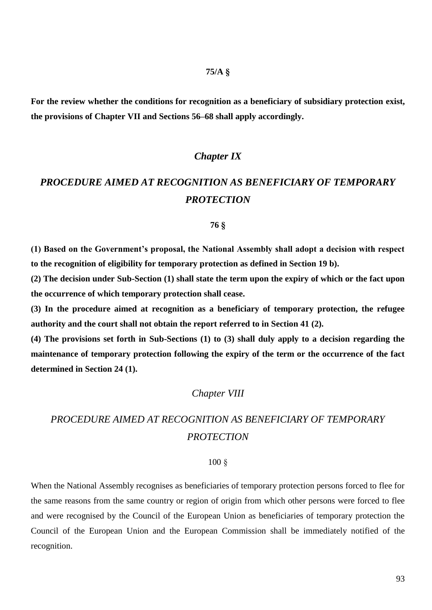### **75/A §**

**For the review whether the conditions for recognition as a beneficiary of subsidiary protection exist, the provisions of Chapter VII and Sections 56–68 shall apply accordingly.**

# *Chapter IX*

# *PROCEDURE AIMED AT RECOGNITION AS BENEFICIARY OF TEMPORARY PROTECTION*

### **76 §**

**(1) Based on the Government's proposal, the National Assembly shall adopt a decision with respect to the recognition of eligibility for temporary protection as defined in Section 19 b).**

**(2) The decision under Sub-Section (1) shall state the term upon the expiry of which or the fact upon the occurrence of which temporary protection shall cease.**

**(3) In the procedure aimed at recognition as a beneficiary of temporary protection, the refugee authority and the court shall not obtain the report referred to in Section 41 (2).**

**(4) The provisions set forth in Sub-Sections (1) to (3) shall duly apply to a decision regarding the maintenance of temporary protection following the expiry of the term or the occurrence of the fact determined in Section 24 (1).**

## *Chapter VIII*

# *PROCEDURE AIMED AT RECOGNITION AS BENEFICIARY OF TEMPORARY PROTECTION*

### 100 §

When the National Assembly recognises as beneficiaries of temporary protection persons forced to flee for the same reasons from the same country or region of origin from which other persons were forced to flee and were recognised by the Council of the European Union as beneficiaries of temporary protection the Council of the European Union and the European Commission shall be immediately notified of the recognition.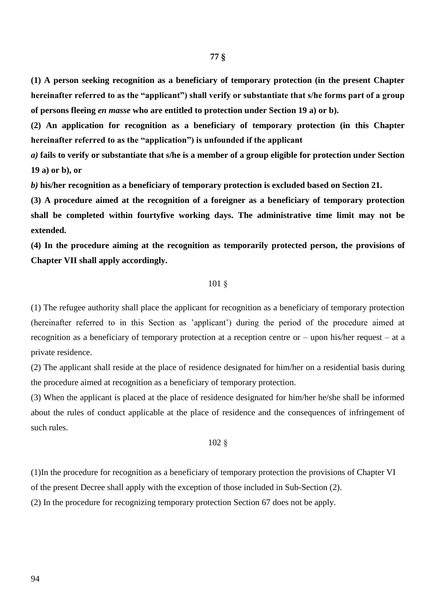**(1) A person seeking recognition as a beneficiary of temporary protection (in the present Chapter hereinafter referred to as the "applicant") shall verify or substantiate that s/he forms part of a group of persons fleeing** *en masse* **who are entitled to protection under Section 19 a) or b).**

**(2) An application for recognition as a beneficiary of temporary protection (in this Chapter hereinafter referred to as the "application") is unfounded if the applicant**

*a)* **fails to verify or substantiate that s/he is a member of a group eligible for protection under Section 19 a) or b), or**

*b)* **his/her recognition as a beneficiary of temporary protection is excluded based on Section 21.**

**(3) A procedure aimed at the recognition of a foreigner as a beneficiary of temporary protection shall be completed within fourtyfive working days. The administrative time limit may not be extended.**

**(4) In the procedure aiming at the recognition as temporarily protected person, the provisions of Chapter VII shall apply accordingly.**

### 101 §

(1) The refugee authority shall place the applicant for recognition as a beneficiary of temporary protection (hereinafter referred to in this Section as 'applicant') during the period of the procedure aimed at recognition as a beneficiary of temporary protection at a reception centre or – upon his/her request – at a private residence.

(2) The applicant shall reside at the place of residence designated for him/her on a residential basis during the procedure aimed at recognition as a beneficiary of temporary protection.

(3) When the applicant is placed at the place of residence designated for him/her he/she shall be informed about the rules of conduct applicable at the place of residence and the consequences of infringement of such rules.

### 102 §

(1)In the procedure for recognition as a beneficiary of temporary protection the provisions of Chapter VI of the present Decree shall apply with the exception of those included in Sub-Section (2).

(2) In the procedure for recognizing temporary protection Section 67 does not be apply.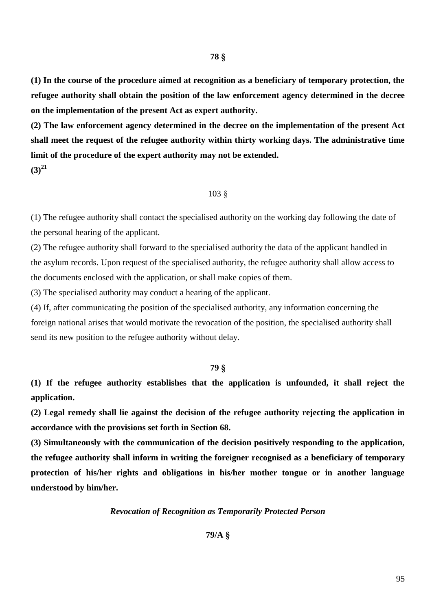**(1) In the course of the procedure aimed at recognition as a beneficiary of temporary protection, the refugee authority shall obtain the position of the law enforcement agency determined in the decree on the implementation of the present Act as expert authority.**

**(2) The law enforcement agency determined in the decree on the implementation of the present Act shall meet the request of the refugee authority within thirty working days. The administrative time limit of the procedure of the expert authority may not be extended. (3)<sup>21</sup>**

103 §

(1) The refugee authority shall contact the specialised authority on the working day following the date of the personal hearing of the applicant.

(2) The refugee authority shall forward to the specialised authority the data of the applicant handled in the asylum records. Upon request of the specialised authority, the refugee authority shall allow access to the documents enclosed with the application, or shall make copies of them.

(3) The specialised authority may conduct a hearing of the applicant.

(4) If, after communicating the position of the specialised authority, any information concerning the foreign national arises that would motivate the revocation of the position, the specialised authority shall send its new position to the refugee authority without delay.

### **79 §**

**(1) If the refugee authority establishes that the application is unfounded, it shall reject the application.**

**(2) Legal remedy shall lie against the decision of the refugee authority rejecting the application in accordance with the provisions set forth in Section 68.**

**(3) Simultaneously with the communication of the decision positively responding to the application, the refugee authority shall inform in writing the foreigner recognised as a beneficiary of temporary protection of his/her rights and obligations in his/her mother tongue or in another language understood by him/her.**

### *Revocation of Recognition as Temporarily Protected Person*

# **79/A §**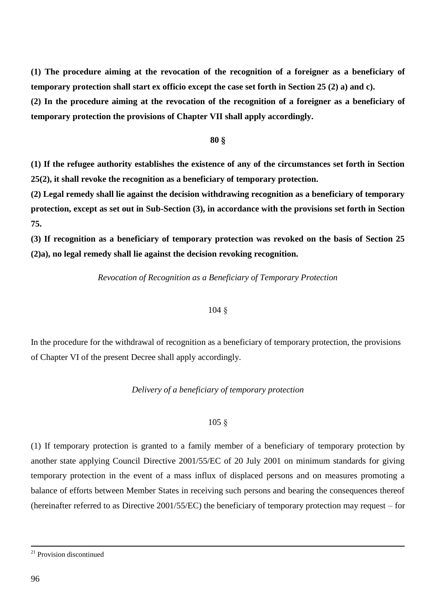**(1) The procedure aiming at the revocation of the recognition of a foreigner as a beneficiary of temporary protection shall start ex officio except the case set forth in Section 25 (2) a) and c).**

**(2) In the procedure aiming at the revocation of the recognition of a foreigner as a beneficiary of temporary protection the provisions of Chapter VII shall apply accordingly.**

### **80 §**

**(1) If the refugee authority establishes the existence of any of the circumstances set forth in Section 25(2), it shall revoke the recognition as a beneficiary of temporary protection.**

**(2) Legal remedy shall lie against the decision withdrawing recognition as a beneficiary of temporary protection, except as set out in Sub-Section (3), in accordance with the provisions set forth in Section 75.**

**(3) If recognition as a beneficiary of temporary protection was revoked on the basis of Section 25 (2)a), no legal remedy shall lie against the decision revoking recognition.**

### *Revocation of Recognition as a Beneficiary of Temporary Protection*

### 104 §

In the procedure for the withdrawal of recognition as a beneficiary of temporary protection, the provisions of Chapter VI of the present Decree shall apply accordingly.

### *Delivery of a beneficiary of temporary protection*

### 105 §

(1) If temporary protection is granted to a family member of a beneficiary of temporary protection by another state applying Council Directive 2001/55/EC of 20 July 2001 on minimum standards for giving temporary protection in the event of a mass influx of displaced persons and on measures promoting a balance of efforts between Member States in receiving such persons and bearing the consequences thereof (hereinafter referred to as Directive 2001/55/EC) the beneficiary of temporary protection may request – for

<sup>21</sup> Provision discontinued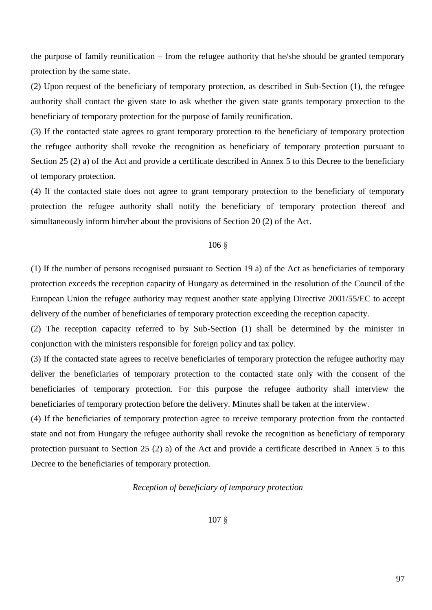the purpose of family reunification – from the refugee authority that he/she should be granted temporary protection by the same state.

(2) Upon request of the beneficiary of temporary protection, as described in Sub-Section (1), the refugee authority shall contact the given state to ask whether the given state grants temporary protection to the beneficiary of temporary protection for the purpose of family reunification.

(3) If the contacted state agrees to grant temporary protection to the beneficiary of temporary protection the refugee authority shall revoke the recognition as beneficiary of temporary protection pursuant to Section 25 (2) a) of the Act and provide a certificate described in Annex 5 to this Decree to the beneficiary of temporary protection.

(4) If the contacted state does not agree to grant temporary protection to the beneficiary of temporary protection the refugee authority shall notify the beneficiary of temporary protection thereof and simultaneously inform him/her about the provisions of Section 20 (2) of the Act.

### 106 §

(1) If the number of persons recognised pursuant to Section 19 a) of the Act as beneficiaries of temporary protection exceeds the reception capacity of Hungary as determined in the resolution of the Council of the European Union the refugee authority may request another state applying Directive 2001/55/EC to accept delivery of the number of beneficiaries of temporary protection exceeding the reception capacity.

(2) The reception capacity referred to by Sub-Section (1) shall be determined by the minister in conjunction with the ministers responsible for foreign policy and tax policy.

(3) If the contacted state agrees to receive beneficiaries of temporary protection the refugee authority may deliver the beneficiaries of temporary protection to the contacted state only with the consent of the beneficiaries of temporary protection. For this purpose the refugee authority shall interview the beneficiaries of temporary protection before the delivery. Minutes shall be taken at the interview.

(4) If the beneficiaries of temporary protection agree to receive temporary protection from the contacted state and not from Hungary the refugee authority shall revoke the recognition as beneficiary of temporary protection pursuant to Section 25 (2) a) of the Act and provide a certificate described in Annex 5 to this Decree to the beneficiaries of temporary protection.

### *Reception of beneficiary of temporary protection*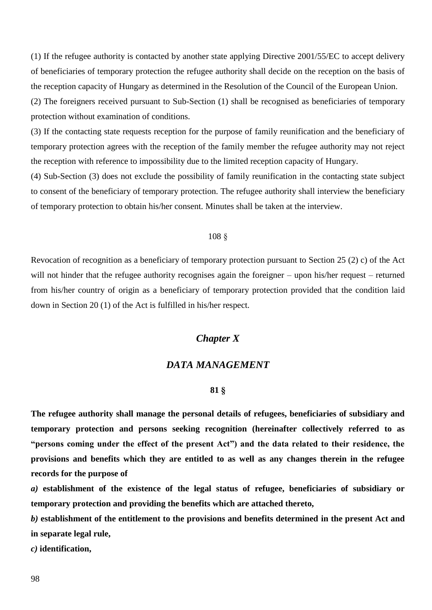(1) If the refugee authority is contacted by another state applying Directive 2001/55/EC to accept delivery of beneficiaries of temporary protection the refugee authority shall decide on the reception on the basis of the reception capacity of Hungary as determined in the Resolution of the Council of the European Union.

(2) The foreigners received pursuant to Sub-Section (1) shall be recognised as beneficiaries of temporary protection without examination of conditions.

(3) If the contacting state requests reception for the purpose of family reunification and the beneficiary of temporary protection agrees with the reception of the family member the refugee authority may not reject the reception with reference to impossibility due to the limited reception capacity of Hungary.

(4) Sub-Section (3) does not exclude the possibility of family reunification in the contacting state subject to consent of the beneficiary of temporary protection. The refugee authority shall interview the beneficiary of temporary protection to obtain his/her consent. Minutes shall be taken at the interview.

### 108 §

Revocation of recognition as a beneficiary of temporary protection pursuant to Section 25 (2) c) of the Act will not hinder that the refugee authority recognises again the foreigner – upon his/her request – returned from his/her country of origin as a beneficiary of temporary protection provided that the condition laid down in Section 20 (1) of the Act is fulfilled in his/her respect.

# *Chapter X*

## *DATA MANAGEMENT*

### **81 §**

**The refugee authority shall manage the personal details of refugees, beneficiaries of subsidiary and temporary protection and persons seeking recognition (hereinafter collectively referred to as "persons coming under the effect of the present Act") and the data related to their residence, the provisions and benefits which they are entitled to as well as any changes therein in the refugee records for the purpose of**

*a)* **establishment of the existence of the legal status of refugee, beneficiaries of subsidiary or temporary protection and providing the benefits which are attached thereto,**

*b)* **establishment of the entitlement to the provisions and benefits determined in the present Act and in separate legal rule,**

*c)* **identification,**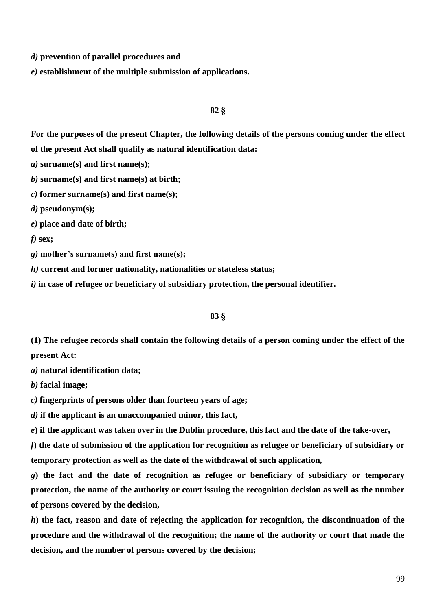*d)* **prevention of parallel procedures and**

*e)* **establishment of the multiple submission of applications.**

### **82 §**

**For the purposes of the present Chapter, the following details of the persons coming under the effect of the present Act shall qualify as natural identification data:**

*a)* **surname(s) and first name(s);**

*b)* **surname(s) and first name(s) at birth;**

*c)* **former surname(s) and first name(s);**

*d)* **pseudonym(s);**

*e)* **place and date of birth;**

*f)* **sex;**

*g)* **mother's surname(s) and first name(s);**

*h)* **current and former nationality, nationalities or stateless status;**

*i)* **in case of refugee or beneficiary of subsidiary protection, the personal identifier.**

### **83 §**

**(1) The refugee records shall contain the following details of a person coming under the effect of the present Act:**

*a)* **natural identification data;**

*b)* **facial image;**

*c)* **fingerprints of persons older than fourteen years of age;**

*d)* **if the applicant is an unaccompanied minor, this fact,**

*e***) if the applicant was taken over in the Dublin procedure, this fact and the date of the take-over,**

*f***) the date of submission of the application for recognition as refugee or beneficiary of subsidiary or temporary protection as well as the date of the withdrawal of such application***,*

*g***) the fact and the date of recognition as refugee or beneficiary of subsidiary or temporary protection, the name of the authority or court issuing the recognition decision as well as the number of persons covered by the decision,**

*h***) the fact, reason and date of rejecting the application for recognition, the discontinuation of the procedure and the withdrawal of the recognition; the name of the authority or court that made the decision, and the number of persons covered by the decision;**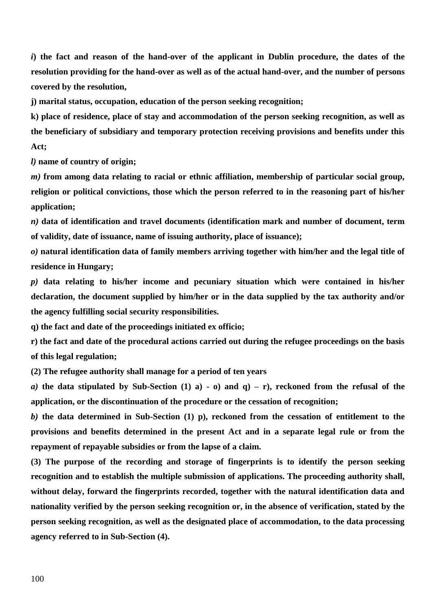*i*) the fact and reason of the hand-over of the applicant in Dublin procedure, the dates of the **resolution providing for the hand-over as well as of the actual hand-over, and the number of persons covered by the resolution,**

**j) marital status, occupation, education of the person seeking recognition;**

**k) place of residence, place of stay and accommodation of the person seeking recognition, as well as the beneficiary of subsidiary and temporary protection receiving provisions and benefits under this Act;**

*l)* **name of country of origin;**

*m)* **from among data relating to racial or ethnic affiliation, membership of particular social group, religion or political convictions, those which the person referred to in the reasoning part of his/her application;**

*n)* **data of identification and travel documents (identification mark and number of document, term of validity, date of issuance, name of issuing authority, place of issuance);**

*o)* **natural identification data of family members arriving together with him/her and the legal title of residence in Hungary;**

*p)* **data relating to his/her income and pecuniary situation which were contained in his/her declaration, the document supplied by him/her or in the data supplied by the tax authority and/or the agency fulfilling social security responsibilities.**

**q) the fact and date of the proceedings initiated ex officio;**

**r) the fact and date of the procedural actions carried out during the refugee proceedings on the basis of this legal regulation;**

**(2) The refugee authority shall manage for a period of ten years**

*a*) the data stipulated by Sub-Section (1) a) -  $\sigma$ ) and  $q$ ) –  $r$ ), reckoned from the refusal of the **application, or the discontinuation of the procedure or the cessation of recognition;**

*b)* **the data determined in Sub-Section (1) p), reckoned from the cessation of entitlement to the provisions and benefits determined in the present Act and in a separate legal rule or from the repayment of repayable subsidies or from the lapse of a claim.**

**(3) The purpose of the recording and storage of fingerprints is to identify the person seeking recognition and to establish the multiple submission of applications. The proceeding authority shall, without delay, forward the fingerprints recorded, together with the natural identification data and nationality verified by the person seeking recognition or, in the absence of verification, stated by the person seeking recognition, as well as the designated place of accommodation, to the data processing agency referred to in Sub-Section (4).**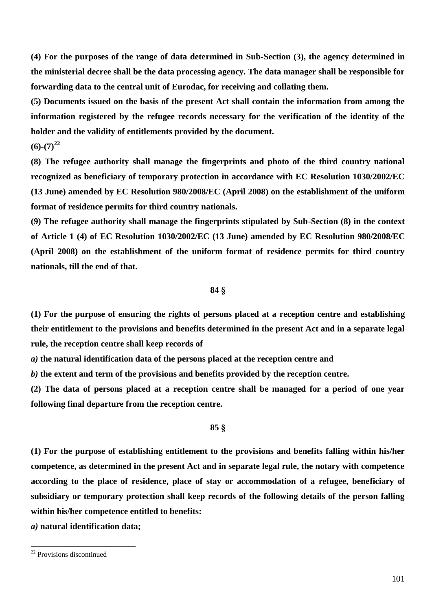**(4) For the purposes of the range of data determined in Sub-Section (3), the agency determined in the ministerial decree shall be the data processing agency. The data manager shall be responsible for forwarding data to the central unit of Eurodac, for receiving and collating them.**

**(5) Documents issued on the basis of the present Act shall contain the information from among the information registered by the refugee records necessary for the verification of the identity of the holder and the validity of entitlements provided by the document.**

# $(6)-(7)^{22}$

**(8) The refugee authority shall manage the fingerprints and photo of the third country national recognized as beneficiary of temporary protection in accordance with EC Resolution 1030/2002/EC (13 June) amended by EC Resolution 980/2008/EC (April 2008) on the establishment of the uniform format of residence permits for third country nationals.**

**(9) The refugee authority shall manage the fingerprints stipulated by Sub-Section (8) in the context of Article 1 (4) of EC Resolution 1030/2002/EC (13 June) amended by EC Resolution 980/2008/EC (April 2008) on the establishment of the uniform format of residence permits for third country nationals, till the end of that.**

### **84 §**

**(1) For the purpose of ensuring the rights of persons placed at a reception centre and establishing their entitlement to the provisions and benefits determined in the present Act and in a separate legal rule, the reception centre shall keep records of**

*a)* **the natural identification data of the persons placed at the reception centre and**

*b)* **the extent and term of the provisions and benefits provided by the reception centre.**

**(2) The data of persons placed at a reception centre shall be managed for a period of one year following final departure from the reception centre.**

### **85 §**

**(1) For the purpose of establishing entitlement to the provisions and benefits falling within his/her competence, as determined in the present Act and in separate legal rule, the notary with competence according to the place of residence, place of stay or accommodation of a refugee, beneficiary of subsidiary or temporary protection shall keep records of the following details of the person falling within his/her competence entitled to benefits:**

*a)* **natural identification data;**

<sup>&</sup>lt;sup>22</sup> Provisions discontinued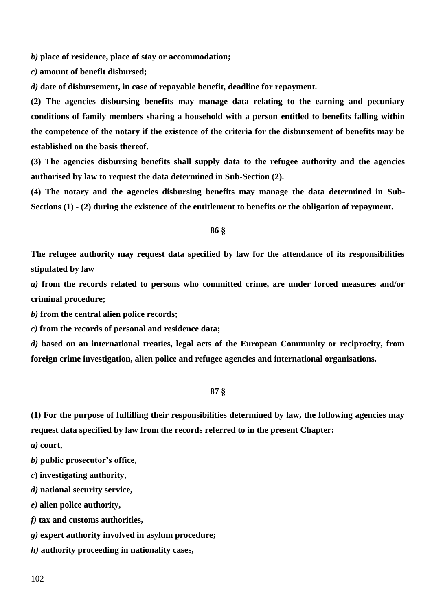*b)* **place of residence, place of stay or accommodation;**

*c)* **amount of benefit disbursed;**

*d)* **date of disbursement, in case of repayable benefit, deadline for repayment.**

**(2) The agencies disbursing benefits may manage data relating to the earning and pecuniary conditions of family members sharing a household with a person entitled to benefits falling within the competence of the notary if the existence of the criteria for the disbursement of benefits may be established on the basis thereof.**

**(3) The agencies disbursing benefits shall supply data to the refugee authority and the agencies authorised by law to request the data determined in Sub-Section (2).**

**(4) The notary and the agencies disbursing benefits may manage the data determined in Sub-Sections (1) - (2) during the existence of the entitlement to benefits or the obligation of repayment.**

**86 §**

**The refugee authority may request data specified by law for the attendance of its responsibilities stipulated by law**

*a)* **from the records related to persons who committed crime, are under forced measures and/or criminal procedure;**

*b)* **from the central alien police records;**

*c)* **from the records of personal and residence data;**

*d)* **based on an international treaties, legal acts of the European Community or reciprocity, from foreign crime investigation, alien police and refugee agencies and international organisations.**

### **87 §**

**(1) For the purpose of fulfilling their responsibilities determined by law, the following agencies may request data specified by law from the records referred to in the present Chapter:**

*a)* **court,**

*b)* **public prosecutor's office,**

*c***) investigating authority,**

*d)* **national security service,**

*e)* **alien police authority,**

*f)* **tax and customs authorities,**

*g)* **expert authority involved in asylum procedure;**

*h)* **authority proceeding in nationality cases,**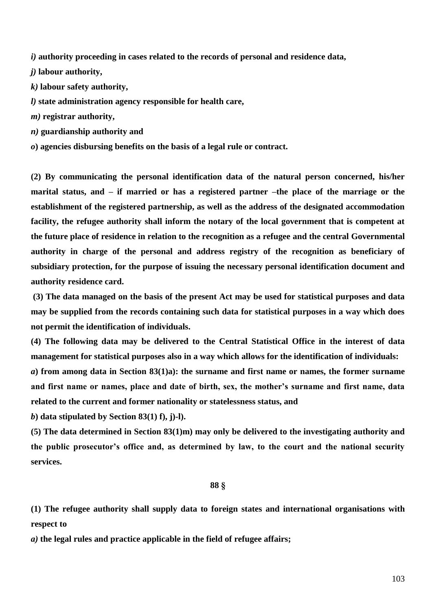*i)* **authority proceeding in cases related to the records of personal and residence data,**

*j)* **labour authority,**

*k)* **labour safety authority,**

*l)* **state administration agency responsible for health care,**

*m)* **registrar authority,**

*n)* **guardianship authority and**

*o***) agencies disbursing benefits on the basis of a legal rule or contract.**

**(2) By communicating the personal identification data of the natural person concerned, his/her marital status, and – if married or has a registered partner –the place of the marriage or the establishment of the registered partnership, as well as the address of the designated accommodation facility, the refugee authority shall inform the notary of the local government that is competent at the future place of residence in relation to the recognition as a refugee and the central Governmental authority in charge of the personal and address registry of the recognition as beneficiary of subsidiary protection, for the purpose of issuing the necessary personal identification document and authority residence card.**

**(3) The data managed on the basis of the present Act may be used for statistical purposes and data may be supplied from the records containing such data for statistical purposes in a way which does not permit the identification of individuals.**

**(4) The following data may be delivered to the Central Statistical Office in the interest of data management for statistical purposes also in a way which allows for the identification of individuals:** *a***) from among data in Section 83(1)a): the surname and first name or names, the former surname and first name or names, place and date of birth, sex, the mother's surname and first name, data related to the current and former nationality or statelessness status, and**

*b***) data stipulated by Section 83(1) f), j)-l).**

**(5) The data determined in Section 83(1)m) may only be delivered to the investigating authority and the public prosecutor's office and, as determined by law, to the court and the national security services.**

#### **88 §**

**(1) The refugee authority shall supply data to foreign states and international organisations with respect to**

*a)* **the legal rules and practice applicable in the field of refugee affairs;**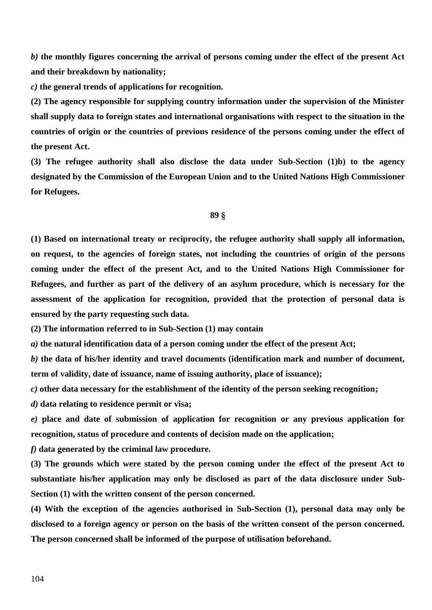*b)* **the monthly figures concerning the arrival of persons coming under the effect of the present Act and their breakdown by nationality;**

*c)* **the general trends of applications for recognition.**

**(2) The agency responsible for supplying country information under the supervision of the Minister shall supply data to foreign states and international organisations with respect to the situation in the countries of origin or the countries of previous residence of the persons coming under the effect of the present Act.**

**(3) The refugee authority shall also disclose the data under Sub-Section (1)b) to the agency designated by the Commission of the European Union and to the United Nations High Commissioner for Refugees.**

### **89 §**

**(1) Based on international treaty or reciprocity, the refugee authority shall supply all information, on request, to the agencies of foreign states, not including the countries of origin of the persons coming under the effect of the present Act, and to the United Nations High Commissioner for Refugees, and further as part of the delivery of an asylum procedure, which is necessary for the assessment of the application for recognition, provided that the protection of personal data is ensured by the party requesting such data.**

**(2) The information referred to in Sub-Section (1) may contain**

*a)* **the natural identification data of a person coming under the effect of the present Act;**

*b)* **the data of his/her identity and travel documents (identification mark and number of document, term of validity, date of issuance, name of issuing authority, place of issuance);**

*c)* **other data necessary for the establishment of the identity of the person seeking recognition;**

*d)* **data relating to residence permit or visa;**

*e)* **place and date of submission of application for recognition or any previous application for recognition, status of procedure and contents of decision made on the application;**

*f)* **data generated by the criminal law procedure.**

**(3) The grounds which were stated by the person coming under the effect of the present Act to substantiate his/her application may only be disclosed as part of the data disclosure under Sub-Section (1) with the written consent of the person concerned.**

**(4) With the exception of the agencies authorised in Sub-Section (1), personal data may only be disclosed to a foreign agency or person on the basis of the written consent of the person concerned. The person concerned shall be informed of the purpose of utilisation beforehand.**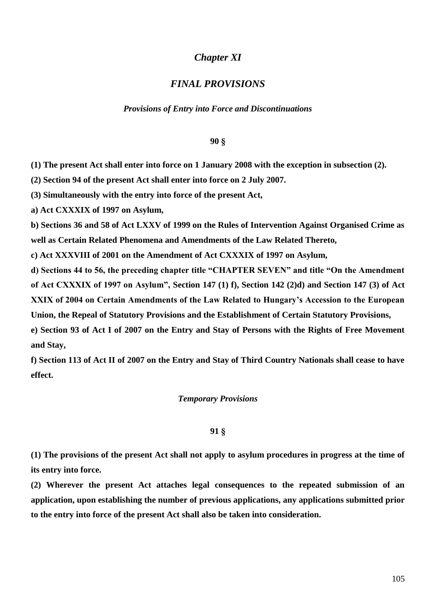# *Chapter XI*

# *FINAL PROVISIONS*

### *Provisions of Entry into Force and Discontinuations*

### **90 §**

**(1) The present Act shall enter into force on 1 January 2008 with the exception in subsection (2).**

**(2) Section 94 of the present Act shall enter into force on 2 July 2007.**

**(3) Simultaneously with the entry into force of the present Act,**

**a) Act CXXXIX of 1997 on Asylum,**

**b) Sections 36 and 58 of Act LXXV of 1999 on the Rules of Intervention Against Organised Crime as well as Certain Related Phenomena and Amendments of the Law Related Thereto,**

**c) Act XXXVIII of 2001 on the Amendment of Act CXXXIX of 1997 on Asylum,**

**d) Sections 44 to 56, the preceding chapter title "CHAPTER SEVEN" and title "On the Amendment of Act CXXXIX of 1997 on Asylum", Section 147 (1) f), Section 142 (2)d) and Section 147 (3) of Act XXIX of 2004 on Certain Amendments of the Law Related to Hungary's Accession to the European Union, the Repeal of Statutory Provisions and the Establishment of Certain Statutory Provisions,**

**e) Section 93 of Act I of 2007 on the Entry and Stay of Persons with the Rights of Free Movement and Stay,**

**f) Section 113 of Act II of 2007 on the Entry and Stay of Third Country Nationals shall cease to have effect.**

#### *Temporary Provisions*

### **91 §**

**(1) The provisions of the present Act shall not apply to asylum procedures in progress at the time of its entry into force.**

**(2) Wherever the present Act attaches legal consequences to the repeated submission of an application, upon establishing the number of previous applications, any applications submitted prior to the entry into force of the present Act shall also be taken into consideration.**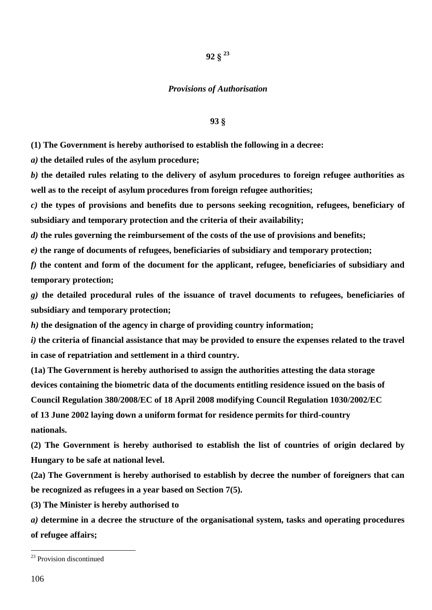# **92 § 23**

### *Provisions of Authorisation*

### **93 §**

**(1) The Government is hereby authorised to establish the following in a decree:**

*a)* **the detailed rules of the asylum procedure;**

*b)* **the detailed rules relating to the delivery of asylum procedures to foreign refugee authorities as well as to the receipt of asylum procedures from foreign refugee authorities;**

*c)* **the types of provisions and benefits due to persons seeking recognition, refugees, beneficiary of subsidiary and temporary protection and the criteria of their availability;**

*d)* **the rules governing the reimbursement of the costs of the use of provisions and benefits;**

*e)* **the range of documents of refugees, beneficiaries of subsidiary and temporary protection;**

*f)* **the content and form of the document for the applicant, refugee, beneficiaries of subsidiary and temporary protection;**

*g)* **the detailed procedural rules of the issuance of travel documents to refugees, beneficiaries of subsidiary and temporary protection;**

*h)* **the designation of the agency in charge of providing country information;**

*i)* **the criteria of financial assistance that may be provided to ensure the expenses related to the travel in case of repatriation and settlement in a third country.**

**(1a) The Government is hereby authorised to assign the authorities attesting the data storage devices containing the biometric data of the documents entitling residence issued on the basis of** 

**Council Regulation 380/2008/EC of 18 April 2008 modifying Council Regulation 1030/2002/EC** 

**of 13 June 2002 laying down a uniform format for residence permits for third-country nationals.**

**(2) The Government is hereby authorised to establish the list of countries of origin declared by Hungary to be safe at national level.**

**(2a) The Government is hereby authorised to establish by decree the number of foreigners that can be recognized as refugees in a year based on Section 7(5).**

**(3) The Minister is hereby authorised to**

*a)* **determine in a decree the structure of the organisational system, tasks and operating procedures of refugee affairs;**

<sup>23</sup> Provision discontinued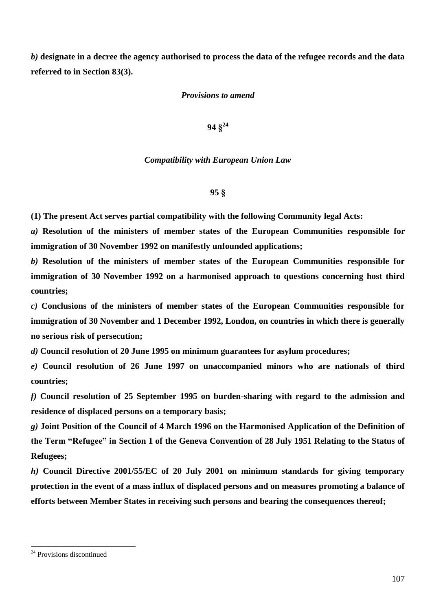*b)* **designate in a decree the agency authorised to process the data of the refugee records and the data referred to in Section 83(3).**

# *Provisions to amend*

**94 § 24**

*Compatibility with European Union Law*

**95 §**

**(1) The present Act serves partial compatibility with the following Community legal Acts:**

*a)* **Resolution of the ministers of member states of the European Communities responsible for immigration of 30 November 1992 on manifestly unfounded applications;**

*b)* **Resolution of the ministers of member states of the European Communities responsible for immigration of 30 November 1992 on a harmonised approach to questions concerning host third countries;**

*c)* **Conclusions of the ministers of member states of the European Communities responsible for immigration of 30 November and 1 December 1992, London, on countries in which there is generally no serious risk of persecution;**

*d)* **Council resolution of 20 June 1995 on minimum guarantees for asylum procedures;**

*e)* **Council resolution of 26 June 1997 on unaccompanied minors who are nationals of third countries;**

*f)* **Council resolution of 25 September 1995 on burden-sharing with regard to the admission and residence of displaced persons on a temporary basis;**

*g)* **Joint Position of the Council of 4 March 1996 on the Harmonised Application of the Definition of the Term "Refugee" in Section 1 of the Geneva Convention of 28 July 1951 Relating to the Status of Refugees;**

*h)* **Council Directive 2001/55/EC of 20 July 2001 on minimum standards for giving temporary protection in the event of a mass influx of displaced persons and on measures promoting a balance of efforts between Member States in receiving such persons and bearing the consequences thereof;**

<sup>&</sup>lt;sup>24</sup> Provisions discontinued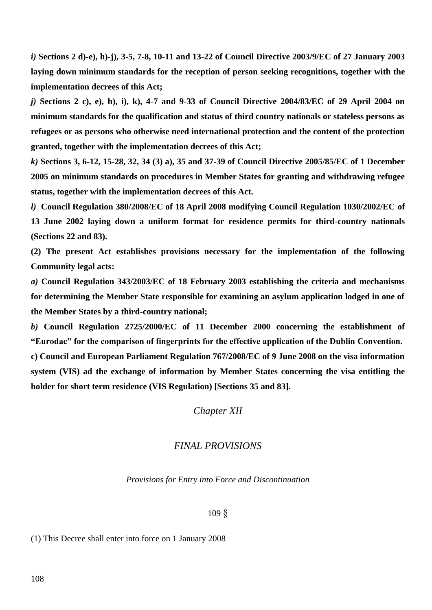*i)* **Sections 2 d)-e), h)-j), 3-5, 7-8, 10-11 and 13-22 of Council Directive 2003/9/EC of 27 January 2003 laying down minimum standards for the reception of person seeking recognitions, together with the implementation decrees of this Act;**

*j)* **Sections 2 c), e), h), i), k), 4-7 and 9-33 of Council Directive 2004/83/EC of 29 April 2004 on minimum standards for the qualification and status of third country nationals or stateless persons as refugees or as persons who otherwise need international protection and the content of the protection granted, together with the implementation decrees of this Act;**

*k)* **Sections 3, 6-12, 15-28, 32, 34 (3) a), 35 and 37-39 of Council Directive 2005/85/EC of 1 December 2005 on minimum standards on procedures in Member States for granting and withdrawing refugee status, together with the implementation decrees of this Act.**

*l)* **Council Regulation 380/2008/EC of 18 April 2008 modifying Council Regulation 1030/2002/EC of 13 June 2002 laying down a uniform format for residence permits for third-country nationals (Sections 22 and 83).**

**(2) The present Act establishes provisions necessary for the implementation of the following Community legal acts:**

*a)* **Council Regulation 343/2003/EC of 18 February 2003 establishing the criteria and mechanisms for determining the Member State responsible for examining an asylum application lodged in one of the Member States by a third-country national;**

*b)* **Council Regulation 2725/2000/EC of 11 December 2000 concerning the establishment of "Eurodac" for the comparison of fingerprints for the effective application of the Dublin Convention. c) Council and European Parliament Regulation 767/2008/EC of 9 June 2008 on the visa information system (VIS) ad the exchange of information by Member States concerning the visa entitling the holder for short term residence (VIS Regulation) [Sections 35 and 83].** 

*Chapter XII*

# *FINAL PROVISIONS*

*Provisions for Entry into Force and Discontinuation*

109 §

(1) This Decree shall enter into force on 1 January 2008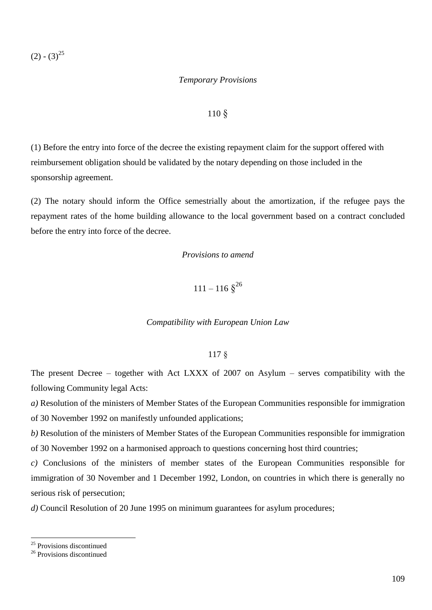$(2) - (3)^{25}$ 

### *Temporary Provisions*

#### 110 §

(1) Before the entry into force of the decree the existing repayment claim for the support offered with reimbursement obligation should be validated by the notary depending on those included in the sponsorship agreement.

(2) The notary should inform the Office semestrially about the amortization, if the refugee pays the repayment rates of the home building allowance to the local government based on a contract concluded before the entry into force of the decree.

*Provisions to amend*

 $111 - 116 \text{ } \S^{26}$ 

*Compatibility with European Union Law*

#### 117 §

The present Decree – together with Act LXXX of 2007 on Asylum – serves compatibility with the following Community legal Acts:

*a)* Resolution of the ministers of Member States of the European Communities responsible for immigration of 30 November 1992 on manifestly unfounded applications;

*b)* Resolution of the ministers of Member States of the European Communities responsible for immigration of 30 November 1992 on a harmonised approach to questions concerning host third countries;

*c)* Conclusions of the ministers of member states of the European Communities responsible for immigration of 30 November and 1 December 1992, London, on countries in which there is generally no serious risk of persecution;

*d)* Council Resolution of 20 June 1995 on minimum guarantees for asylum procedures;

 $\overline{a}$ 

<sup>&</sup>lt;sup>25</sup> Provisions discontinued

<sup>&</sup>lt;sup>26</sup> Provisions discontinued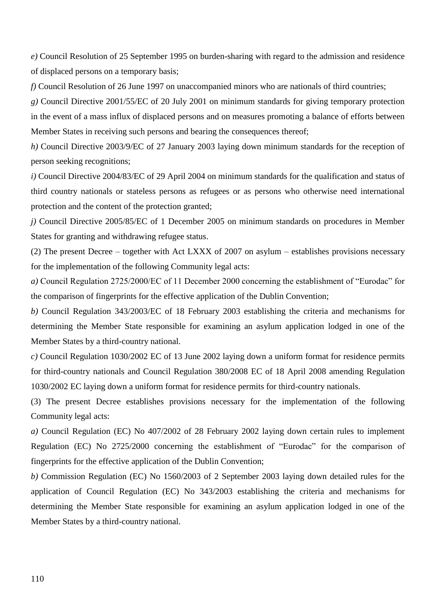*e)* Council Resolution of 25 September 1995 on burden-sharing with regard to the admission and residence of displaced persons on a temporary basis;

*f)* Council Resolution of 26 June 1997 on unaccompanied minors who are nationals of third countries;

*g)* Council Directive 2001/55/EC of 20 July 2001 on minimum standards for giving temporary protection in the event of a mass influx of displaced persons and on measures promoting a balance of efforts between Member States in receiving such persons and bearing the consequences thereof;

*h)* Council Directive 2003/9/EC of 27 January 2003 laying down minimum standards for the reception of person seeking recognitions;

*i)* Council Directive 2004/83/EC of 29 April 2004 on minimum standards for the qualification and status of third country nationals or stateless persons as refugees or as persons who otherwise need international protection and the content of the protection granted;

*j)* Council Directive 2005/85/EC of 1 December 2005 on minimum standards on procedures in Member States for granting and withdrawing refugee status.

(2) The present Decree – together with Act LXXX of 2007 on asylum – establishes provisions necessary for the implementation of the following Community legal acts:

*a)* Council Regulation 2725/2000/EC of 11 December 2000 concerning the establishment of "Eurodac" for the comparison of fingerprints for the effective application of the Dublin Convention;

*b)* Council Regulation 343/2003/EC of 18 February 2003 establishing the criteria and mechanisms for determining the Member State responsible for examining an asylum application lodged in one of the Member States by a third-country national.

*c)* Council Regulation 1030/2002 EC of 13 June 2002 laying down a uniform format for residence permits for third-country nationals and Council Regulation 380/2008 EC of 18 April 2008 amending Regulation 1030/2002 EC laying down a uniform format for residence permits for third-country nationals.

(3) The present Decree establishes provisions necessary for the implementation of the following Community legal acts:

*a)* Council Regulation (EC) No 407/2002 of 28 February 2002 laying down certain rules to implement Regulation (EC) No 2725/2000 concerning the establishment of "Eurodac" for the comparison of fingerprints for the effective application of the Dublin Convention;

*b)* Commission Regulation (EC) No 1560/2003 of 2 September 2003 laying down detailed rules for the application of Council Regulation (EC) No 343/2003 establishing the criteria and mechanisms for determining the Member State responsible for examining an asylum application lodged in one of the Member States by a third-country national.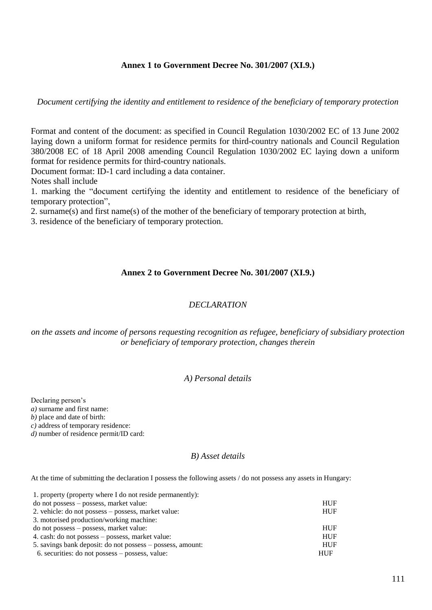### **Annex 1 to Government Decree No. 301/2007 (XI.9.)**

*Document certifying the identity and entitlement to residence of the beneficiary of temporary protection*

Format and content of the document: as specified in Council Regulation 1030/2002 EC of 13 June 2002 laying down a uniform format for residence permits for third-country nationals and Council Regulation 380/2008 EC of 18 April 2008 amending Council Regulation 1030/2002 EC laying down a uniform format for residence permits for third-country nationals.

Document format: ID-1 card including a data container.

Notes shall include

1. marking the "document certifying the identity and entitlement to residence of the beneficiary of temporary protection",

2. surname(s) and first name(s) of the mother of the beneficiary of temporary protection at birth,

3. residence of the beneficiary of temporary protection.

### **Annex 2 to Government Decree No. 301/2007 (XI.9.)**

### *DECLARATION*

*on the assets and income of persons requesting recognition as refugee, beneficiary of subsidiary protection or beneficiary of temporary protection, changes therein*

### *A) Personal details*

Declaring person's

*a)* surname and first name:

*b)* place and date of birth:

*c)* address of temporary residence:

*d*) number of residence permit/ID card:

### *B) Asset details*

At the time of submitting the declaration I possess the following assets / do not possess any assets in Hungary:

| 1. property (property where I do not reside permanently):  |            |
|------------------------------------------------------------|------------|
| do not possess – possess, market value:                    | <b>HUF</b> |
| 2. vehicle: do not possess – possess, market value:        | <b>HUF</b> |
| 3. motorised production/working machine:                   |            |
| do not possess – possess, market value:                    | <b>HUF</b> |
| 4. cash: do not possess – possess, market value:           | <b>HUF</b> |
| 5. savings bank deposit: do not possess – possess, amount: | <b>HUF</b> |
| 6. securities: do not possess – possess, value:            | <b>HUF</b> |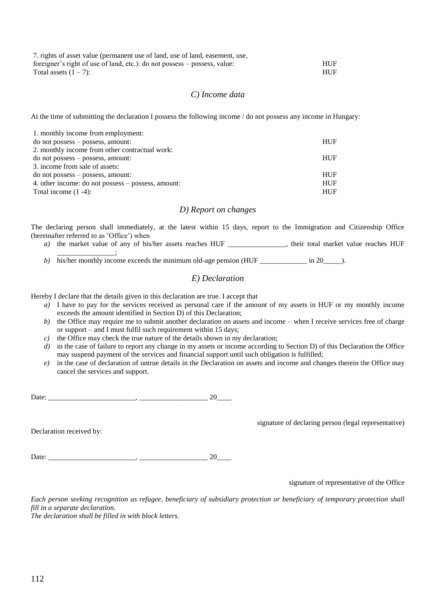| 7. rights of asset value (permanent use of land, use of land, easement, use, |            |
|------------------------------------------------------------------------------|------------|
| foreigner's right of use of land, etc.): do not possess – possess, value:    | <b>HUF</b> |
| Total assets $(1 – 7)$ :                                                     | <b>HUF</b> |

#### *C) Income data*

At the time of submitting the declaration I possess the following income / do not possess any income in Hungary:

| 1. monthly income from employment:                 |            |
|----------------------------------------------------|------------|
| do not possess – possess, amount:                  | <b>HUF</b> |
| 2. monthly income from other contractual work:     |            |
| do not possess – possess, amount:                  | <b>HUF</b> |
| 3. income from sale of assets:                     |            |
| do not possess – possess, amount:                  | <b>HUF</b> |
| 4. other income: do not possess – possess, amount: | <b>HUF</b> |
| Total income $(1 -4)$ :                            | <b>HUF</b> |

#### *D) Report on changes*

The declaring person shall immediately, at the latest within 15 days, report to the Immigration and Citizenship Office (hereinafter referred to as 'Office') when

*a*) the market value of any of his/her assets reaches HUF \_\_\_\_\_\_\_\_\_\_\_\_\_\_, their total market value reaches HUF

\_\_\_\_\_\_\_\_\_\_\_\_\_\_\_\_; *b*) his/her monthly income exceeds the minimum old-age pension (HUF \_\_\_\_\_\_\_\_\_\_\_\_ in 20\_\_\_\_\_).

#### *E) Declaration*

Hereby I declare that the details given in this declaration are true. I accept that

- *a)* I have to pay for the services received as personal care if the amount of my assets in HUF or my monthly income exceeds the amount identified in Section D) of this Declaration;
- *b*) the Office may require me to submit another declaration on assets and income when I receive services free of charge or support – and I must fulfil such requirement within 15 days;
- *c*) the Office may check the true nature of the details shown in my declaration;
- *d*) in the case of failure to report any change in my assets or income according to Section D) of this Declaration the Office may suspend payment of the services and financial support until such obligation is fulfilled;
- *e)* in the case of declaration of untrue details in the Declaration on assets and income and changes therein the Office may cancel the services and support.

Date: \_\_\_\_\_\_\_\_\_\_\_\_\_\_\_\_\_\_\_\_\_\_\_\_, \_\_\_\_\_\_\_\_\_\_\_\_\_\_\_\_\_\_\_ 20\_\_\_\_

Declaration received by:

Date: \_\_\_\_\_\_\_\_\_\_\_\_\_\_\_\_\_\_\_\_\_\_\_\_, \_\_\_\_\_\_\_\_\_\_\_\_\_\_\_\_\_\_\_ 20\_\_\_\_

signature of representative of the Office

signature of declaring person (legal representative)

*Each person seeking recognition as refugee, beneficiary of subsidiary protection or beneficiary of temporary protection shall fill in a separate declaration.*

*The declaration shall be filled in with block letters.*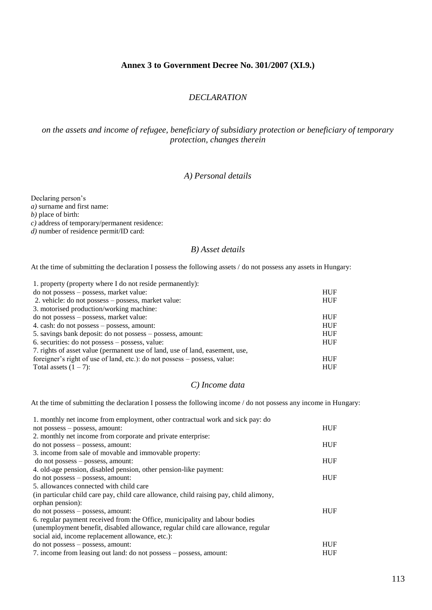### **Annex 3 to Government Decree No. 301/2007 (XI.9.)**

### *DECLARATION*

## *on the assets and income of refugee, beneficiary of subsidiary protection or beneficiary of temporary protection, changes therein*

### *A) Personal details*

Declaring person's *a)* surname and first name: *b)* place of birth: *c)* address of temporary/permanent residence: *d*) number of residence permit/ID card:

### *B) Asset details*

At the time of submitting the declaration I possess the following assets / do not possess any assets in Hungary:

| 1. property (property where I do not reside permanently):                    |            |
|------------------------------------------------------------------------------|------------|
| do not possess – possess, market value:                                      | <b>HUF</b> |
| 2. vehicle: do not possess – possess, market value:                          | <b>HUF</b> |
| 3. motorised production/working machine:                                     |            |
| do not possess – possess, market value:                                      | <b>HUF</b> |
| 4. cash: do not possess – possess, amount:                                   | <b>HUF</b> |
| 5. savings bank deposit: do not possess – possess, amount:                   | <b>HUF</b> |
| 6. securities: do not possess – possess, value:                              | <b>HUF</b> |
| 7. rights of asset value (permanent use of land, use of land, easement, use, |            |
| foreigner's right of use of land, etc.): do not possess – possess, value:    | <b>HUF</b> |
| Total assets $(1 – 7)$ :                                                     | <b>HUF</b> |

# *C) Income data*

At the time of submitting the declaration I possess the following income / do not possess any income in Hungary:

| 1. monthly net income from employment, other contractual work and sick pay: do         |            |
|----------------------------------------------------------------------------------------|------------|
| not possess - possess, amount:                                                         | <b>HUF</b> |
| 2. monthly net income from corporate and private enterprise:                           |            |
| do not possess – possess, amount:                                                      | <b>HUF</b> |
| 3. income from sale of movable and immovable property:                                 |            |
| do not possess – possess, amount:                                                      | <b>HUF</b> |
| 4. old-age pension, disabled pension, other pension-like payment:                      |            |
| do not possess – possess, amount:                                                      | <b>HUF</b> |
| 5. allowances connected with child care                                                |            |
| (in particular child care pay, child care allowance, child raising pay, child alimony, |            |
| orphan pension):                                                                       |            |
| do not possess – possess, amount:                                                      | <b>HUF</b> |
| 6. regular payment received from the Office, municipality and labour bodies            |            |
| (unemployment benefit, disabled allowance, regular child care allowance, regular       |            |
| social aid, income replacement allowance, etc.):                                       |            |
| do not possess – possess, amount:                                                      | <b>HUF</b> |
| 7. income from leasing out land: do not possess – possess, amount:                     | <b>HUF</b> |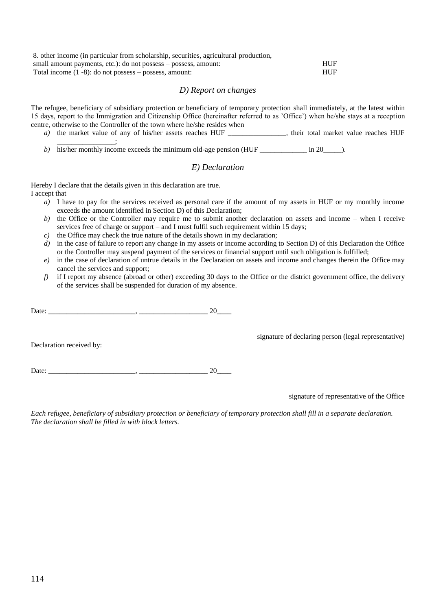| 8. other income (in particular from scholarship, securities, agricultural production, |            |
|---------------------------------------------------------------------------------------|------------|
| small amount payments, etc.): do not possess – possess, amount:                       | <b>HUF</b> |
| Total income $(1 - 8)$ : do not possess – possess, amount:                            | <b>HUF</b> |

#### *D) Report on changes*

The refugee, beneficiary of subsidiary protection or beneficiary of temporary protection shall immediately, at the latest within 15 days, report to the Immigration and Citizenship Office (hereinafter referred to as 'Office') when he/she stays at a reception centre, otherwise to the Controller of the town where he/she resides when

- *a*) the market value of any of his/her assets reaches HUF \_\_\_\_\_\_\_\_\_\_\_\_, their total market value reaches HUF  $\sim$   $\sim$   $\sim$   $\sim$   $\sim$
- *b*) his/her monthly income exceeds the minimum old-age pension (HUF \_\_\_\_\_\_\_\_\_\_ in 20\_\_\_\_\_).

### *E) Declaration*

Hereby I declare that the details given in this declaration are true. I accept that

- *a)* I have to pay for the services received as personal care if the amount of my assets in HUF or my monthly income exceeds the amount identified in Section D) of this Declaration;
- *b)* the Office or the Controller may require me to submit another declaration on assets and income when I receive services free of charge or support – and I must fulfil such requirement within 15 days;
- *c)* the Office may check the true nature of the details shown in my declaration;
- *d*) in the case of failure to report any change in my assets or income according to Section D) of this Declaration the Office or the Controller may suspend payment of the services or financial support until such obligation is fulfilled;
- *e)* in the case of declaration of untrue details in the Declaration on assets and income and changes therein the Office may cancel the services and support;
- *f*) if I report my absence (abroad or other) exceeding 30 days to the Office or the district government office, the delivery of the services shall be suspended for duration of my absence.

Date: \_\_\_\_\_\_\_\_\_\_\_\_\_\_\_\_\_\_\_\_\_\_\_\_, \_\_\_\_\_\_\_\_\_\_\_\_\_\_\_\_\_\_\_ 20\_\_\_\_

Declaration received by:

Date:  $20$ 

signature of representative of the Office

signature of declaring person (legal representative)

*Each refugee, beneficiary of subsidiary protection or beneficiary of temporary protection shall fill in a separate declaration. The declaration shall be filled in with block letters.*